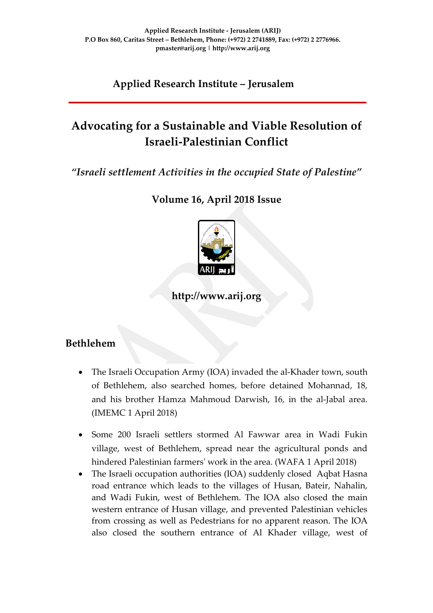**Applied Research Institute – Jerusalem**

# **Advocating for a Sustainable and Viable Resolution of Israeli-Palestinian Conflict**

*"Israeli settlement Activities in the occupied State of Palestine"*

**Volume 16, April 2018 Issue**



**http://www.arij.org**

## **Bethlehem**

- The Israeli Occupation Army (IOA) invaded the al-Khader town, south of Bethlehem, also searched homes, before detained Mohannad, 18, and his brother Hamza Mahmoud Darwish, 16, in the al-Jabal area. (IMEMC 1 April 2018)
- Some 200 Israeli settlers stormed Al Fawwar area in Wadi Fukin village, west of Bethlehem, spread near the agricultural ponds and hindered Palestinian farmers' work in the area. (WAFA 1 April 2018)
- The Israeli occupation authorities (IOA) suddenly closed Aqbat Hasna road entrance which leads to the villages of Husan, Bateir, Nahalin, and Wadi Fukin, west of Bethlehem. The IOA also closed the main western entrance of Husan village, and prevented Palestinian vehicles from crossing as well as Pedestrians for no apparent reason. The IOA also closed the southern entrance of Al Khader village, west of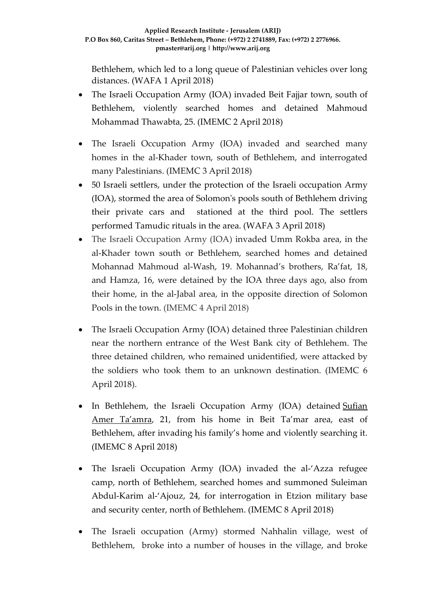Bethlehem, which led to a long queue of Palestinian vehicles over long distances. (WAFA 1 April 2018)

- The Israeli Occupation Army (IOA) invaded Beit Fajjar town, south of Bethlehem, violently searched homes and detained Mahmoud Mohammad Thawabta, 25. (IMEMC 2 April 2018)
- The Israeli Occupation Army (IOA) invaded and searched many homes in the al-Khader town, south of Bethlehem, and interrogated many Palestinians. (IMEMC 3 April 2018)
- 50 Israeli settlers, under the protection of the Israeli occupation Army (IOA), stormed the area of Solomon's pools south of Bethlehem driving their private cars and stationed at the third pool. The settlers performed Tamudic rituals in the area. (WAFA 3 April 2018)
- The Israeli Occupation Army (IOA) invaded Umm Rokba area, in the al-Khader town south or Bethlehem, searched homes and detained Mohannad Mahmoud al-Wash, 19. Mohannad's brothers, Ra'fat, 18, and Hamza, 16, were detained by the IOA three days ago, also from their home, in the al-Jabal area, in the opposite direction of Solomon Pools in the town. (IMEMC 4 April 2018)
- The Israeli Occupation Army (IOA) detained three Palestinian children near the northern entrance of the West Bank city of Bethlehem. The three detained children, who remained unidentified, were attacked by the soldiers who took them to an unknown destination. (IMEMC 6 April 2018).
- In Bethlehem, the Israeli Occupation Army (IOA) detained Sufian [Amer Ta'amra,](http://imemc.org/article/army-abducts-one-palestinian-summon-another-in-bethlehem/) 21, from his home in Beit Ta'mar area, east of Bethlehem, after invading his family's home and violently searching it. (IMEMC 8 April 2018)
- The Israeli Occupation Army (IOA) invaded the al-'Azza refugee camp, north of Bethlehem, searched homes and summoned Suleiman Abdul-Karim al-'Ajouz, 24, for interrogation in Etzion military base and security center, north of Bethlehem. (IMEMC 8 April 2018)
- The Israeli occupation (Army) stormed Nahhalin village, west of Bethlehem, broke into a number of houses in the village, and broke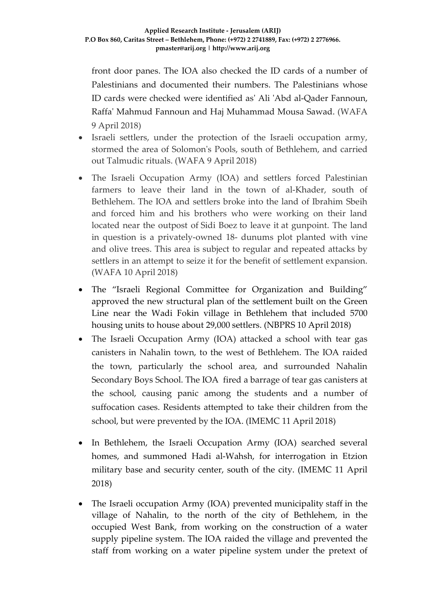front door panes. The IOA also checked the ID cards of a number of Palestinians and documented their numbers. The Palestinians whose ID cards were checked were identified as' Ali 'Abd al-Qader Fannoun, Raffa' Mahmud Fannoun and Haj Muhammad Mousa Sawad. (WAFA 9 April 2018)

- Israeli settlers, under the protection of the Israeli occupation army, stormed the area of Solomon's Pools, south of Bethlehem, and carried out Talmudic rituals. (WAFA 9 April 2018)
- The Israeli Occupation Army (IOA) and settlers forced Palestinian farmers to leave their land in the town of al-Khader, south of Bethlehem. The IOA and settlers broke into the land of Ibrahim Sbeih and forced him and his brothers who were working on their land located near the outpost of Sidi Boez to leave it at gunpoint. The land in question is a privately-owned 18- dunums plot planted with vine and olive trees. This area is subject to regular and repeated attacks by settlers in an attempt to seize it for the benefit of settlement expansion. (WAFA 10 April 2018)
- The "Israeli Regional Committee for Organization and Building" approved the new structural plan of the settlement built on the Green Line near the Wadi Fokin village in Bethlehem that included 5700 housing units to house about 29,000 settlers. (NBPRS 10 April 2018)
- The Israeli Occupation Army (IOA) attacked a school with tear gas canisters in Nahalin town, to the west of Bethlehem. The IOA raided the town, particularly the school area, and surrounded Nahalin Secondary Boys School. The IOA fired a barrage of tear gas canisters at the school, causing panic among the students and a number of suffocation cases. Residents attempted to take their children from the school, but were prevented by the IOA. (IMEMC 11 April 2018)
- In Bethlehem, the Israeli Occupation Army (IOA) searched several homes, and summoned Hadi al-Wahsh, for interrogation in Etzion military base and security center, south of the city. (IMEMC 11 April 2018)
- The Israeli occupation Army (IOA) prevented municipality staff in the village of Nahalin, to the north of the city of Bethlehem, in the occupied West Bank, from working on the construction of a water supply pipeline system. The IOA raided the village and prevented the staff from working on a water pipeline system under the pretext of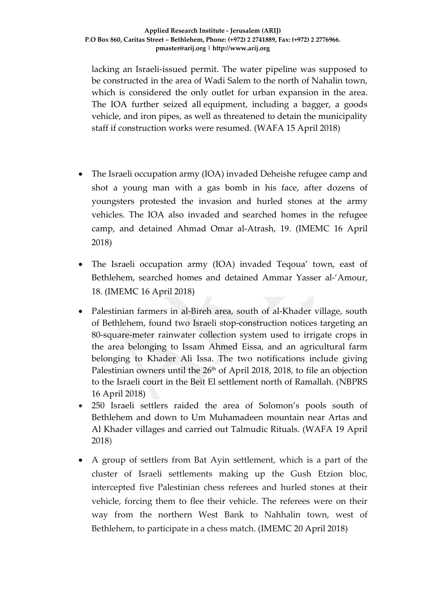lacking an Israeli-issued permit. The water pipeline was supposed to be constructed in the area of Wadi Salem to the north of Nahalin town, which is considered the only outlet for urban expansion in the area. The IOA further seized all equipment, including a bagger, a goods vehicle, and iron pipes, as well as threatened to detain the municipality staff if construction works were resumed. (WAFA 15 April 2018)

- The Israeli occupation army (IOA) invaded Deheishe refugee camp and shot a young man with a gas bomb in his face, after dozens of youngsters protested the invasion and hurled stones at the army vehicles. The IOA also invaded and searched homes in the refugee camp, and detained Ahmad Omar al-Atrash, 19. (IMEMC 16 April 2018)
- The Israeli occupation army (IOA) invaded Teqoua' town, east of Bethlehem, searched homes and detained Ammar Yasser al-'Amour, 18. (IMEMC 16 April 2018)
- Palestinian farmers in al-Bireh area, south of al-Khader village, south of Bethlehem, found two Israeli stop-construction notices targeting an 80-square-meter rainwater collection system used to irrigate crops in the area belonging to Issam Ahmed Eissa, and an agricultural farm belonging to Khader Ali Issa. The two notifications include giving Palestinian owners until the  $26<sup>th</sup>$  of April 2018, 2018, to file an objection to the Israeli court in the Beit El settlement north of Ramallah. (NBPRS 16 April 2018)
- 250 Israeli settlers raided the area of Solomon's pools south of Bethlehem and down to Um Muhamadeen mountain near Artas and Al Khader villages and carried out Talmudic Rituals. (WAFA 19 April 2018)
- A group of settlers from Bat Ayin settlement, which is a part of the cluster of Israeli settlements making up the Gush Etzion bloc, intercepted five Palestinian chess referees and hurled stones at their vehicle, forcing them to flee their vehicle. The referees were on their way from the northern West Bank to Nahhalin town, west of Bethlehem, to participate in a chess match. (IMEMC 20 April 2018)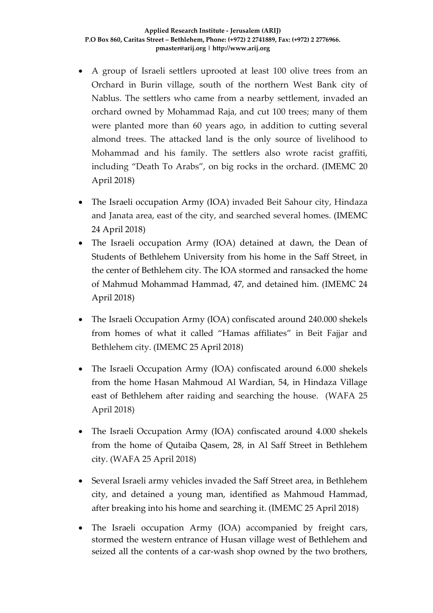- A group of Israeli settlers uprooted at least 100 olive trees from an Orchard in Burin village, south of the northern West Bank city of Nablus. The settlers who came from a nearby settlement, invaded an orchard owned by Mohammad Raja, and cut 100 trees; many of them were planted more than 60 years ago, in addition to cutting several almond trees. The attacked land is the only source of livelihood to Mohammad and his family. The settlers also wrote racist graffiti, including "Death To Arabs", on big rocks in the orchard. (IMEMC 20 April 2018)
- The Israeli occupation Army (IOA) invaded Beit Sahour city, Hindaza and Janata area, east of the city, and searched several homes. (IMEMC 24 April 2018)
- The Israeli occupation Army (IOA) detained at dawn, the Dean of Students of Bethlehem University from his home in the Saff Street, in the center of Bethlehem city. The IOA stormed and ransacked the home of Mahmud Mohammad Hammad, 47, and detained him. (IMEMC 24 April 2018)
- The Israeli Occupation Army (IOA) confiscated around 240.000 shekels from homes of what it called "Hamas affiliates" in Beit Fajjar and Bethlehem city. (IMEMC 25 April 2018)
- The Israeli Occupation Army (IOA) confiscated around 6.000 shekels from the home Hasan Mahmoud Al Wardian, 54, in Hindaza Village east of Bethlehem after raiding and searching the house. (WAFA 25 April 2018)
- The Israeli Occupation Army (IOA) confiscated around 4.000 shekels from the home of Qutaiba Qasem, 28, in Al Saff Street in Bethlehem city. (WAFA 25 April 2018)
- Several Israeli army vehicles invaded the Saff Street area, in Bethlehem city, and detained a young man, identified as Mahmoud Hammad, after breaking into his home and searching it. (IMEMC 25 April 2018)
- The Israeli occupation Army (IOA) accompanied by freight cars, stormed the western entrance of Husan village west of Bethlehem and seized all the contents of a car-wash shop owned by the two brothers,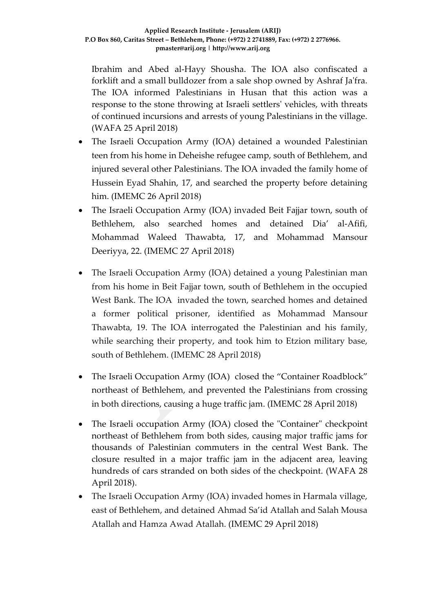Ibrahim and Abed al-Hayy Shousha. The IOA also confiscated a forklift and a small bulldozer from a sale shop owned by Ashraf Ja'fra. The IOA informed Palestinians in Husan that this action was a response to the stone throwing at Israeli settlers' vehicles, with threats of continued incursions and arrests of young Palestinians in the village. (WAFA 25 April 2018)

- The Israeli Occupation Army (IOA) detained a wounded Palestinian teen from his home in Deheishe refugee camp, south of Bethlehem, and injured several other Palestinians. The IOA invaded the family home of Hussein Eyad Shahin, 17, and searched the property before detaining him. (IMEMC 26 April 2018)
- The Israeli Occupation Army (IOA) invaded Beit Fajjar town, south of Bethlehem, also searched homes and detained Dia' al-Afifi, Mohammad Waleed Thawabta, 17, and Mohammad Mansour Deeriyya, 22. (IMEMC 27 April 2018)
- The Israeli Occupation Army (IOA) detained a young Palestinian man from his home in Beit Fajjar town, south of Bethlehem in the occupied West Bank. The IOA invaded the town, searched homes and detained a former political prisoner, identified as Mohammad Mansour Thawabta, 19. The IOA interrogated the Palestinian and his family, while searching their property, and took him to Etzion military base, south of Bethlehem. (IMEMC 28 April 2018)
- The Israeli Occupation Army (IOA) closed the "Container Roadblock" northeast of Bethlehem, and prevented the Palestinians from crossing in both directions, causing a huge traffic jam. (IMEMC 28 April 2018)
- The Israeli occupation Army (IOA) closed the "Container" checkpoint northeast of Bethlehem from both sides, causing major traffic jams for thousands of Palestinian commuters in the central West Bank. The closure resulted in a major traffic jam in the adjacent area, leaving hundreds of cars stranded on both sides of the checkpoint. (WAFA 28 April 2018).
- The Israeli Occupation Army (IOA) invaded homes in Harmala village, east of Bethlehem, and detained Ahmad Sa'id Atallah and Salah Mousa Atallah and Hamza Awad Atallah. (IMEMC 29 April 2018)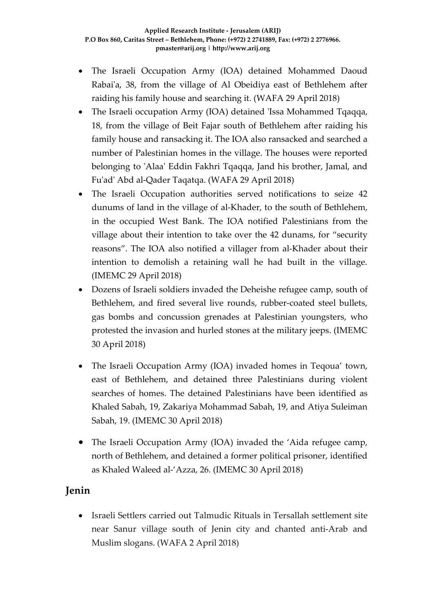- The Israeli Occupation Army (IOA) detained Mohammed Daoud Rabai'a, 38, from the village of Al Obeidiya east of Bethlehem after raiding his family house and searching it. (WAFA 29 April 2018)
- The Israeli occupation Army (IOA) detained 'Issa Mohammed Tqaqqa, 18, from the village of Beit Fajar south of Bethlehem after raiding his family house and ransacking it. The IOA also ransacked and searched a number of Palestinian homes in the village. The houses were reported belonging to 'Alaa' Eddin Fakhri Tqaqqa, Jand his brother, Jamal, and Fu'ad' Abd al-Qader Taqatqa. (WAFA 29 April 2018)
- The Israeli Occupation authorities served notifications to seize 42 dunums of land in the village of al-Khader, to the south of Bethlehem, in the occupied West Bank. The IOA notified Palestinians from the village about their intention to take over the 42 dunams, for "security reasons". The IOA also notified a villager from al-Khader about their intention to demolish a retaining wall he had built in the village. (IMEMC 29 April 2018)
- Dozens of Israeli soldiers invaded the Deheishe refugee camp, south of Bethlehem, and fired several live rounds, rubber-coated steel bullets, gas bombs and concussion grenades at Palestinian youngsters, who protested the invasion and hurled stones at the military jeeps. (IMEMC 30 April 2018)
- The Israeli Occupation Army (IOA) invaded homes in Teqoua' town, east of Bethlehem, and detained three Palestinians during violent searches of homes. The detained Palestinians have been identified as Khaled Sabah, 19, Zakariya Mohammad Sabah, 19, and Atiya Suleiman Sabah, 19. (IMEMC 30 April 2018)
- The Israeli Occupation Army (IOA) invaded the 'Aida refugee camp, north of Bethlehem, and detained a former political prisoner, identified as Khaled Waleed al-'Azza, 26. (IMEMC 30 April 2018)

### **Jenin**

• Israeli Settlers carried out Talmudic Rituals in Tersallah settlement site near Sanur village south of Jenin city and chanted anti-Arab and Muslim slogans. (WAFA 2 April 2018)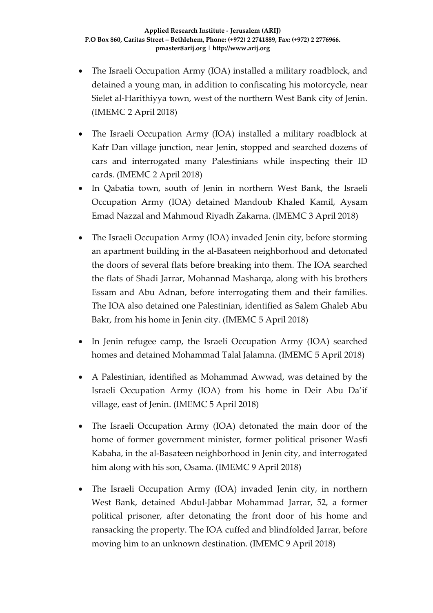- The Israeli Occupation Army (IOA) installed a military roadblock, and detained a young man, in addition to confiscating his motorcycle, near Sielet al-Harithiyya town, west of the northern West Bank city of Jenin. (IMEMC 2 April 2018)
- The Israeli Occupation Army (IOA) installed a military roadblock at Kafr Dan village junction, near Jenin, stopped and searched dozens of cars and interrogated many Palestinians while inspecting their ID cards. (IMEMC 2 April 2018)
- In Qabatia town, south of Jenin in northern West Bank, the Israeli Occupation Army (IOA) detained Mandoub Khaled Kamil, Aysam Emad Nazzal and Mahmoud Riyadh Zakarna. (IMEMC 3 April 2018)
- The Israeli Occupation Army (IOA) invaded Jenin city, before storming an apartment building in the al-Basateen neighborhood and detonated the doors of several flats before breaking into them. The IOA searched the flats of Shadi Jarrar, Mohannad Masharqa, along with his brothers Essam and Abu Adnan, before interrogating them and their families. The IOA also detained one Palestinian, identified as Salem Ghaleb Abu Bakr, from his home in Jenin city. (IMEMC 5 April 2018)
- In Jenin refugee camp, the Israeli Occupation Army (IOA) searched homes and detained Mohammad Talal Jalamna. (IMEMC 5 April 2018)
- A Palestinian, identified as Mohammad Awwad, was detained by the Israeli Occupation Army (IOA) from his home in Deir Abu Da'if village, east of Jenin. (IMEMC 5 April 2018)
- The Israeli Occupation Army (IOA) detonated the main door of the home of former government minister, former political prisoner Wasfi Kabaha, in the al-Basateen neighborhood in Jenin city, and interrogated him along with his son, Osama. (IMEMC 9 April 2018)
- The Israeli Occupation Army (IOA) invaded Jenin city, in northern West Bank, detained Abdul-Jabbar Mohammad Jarrar, 52, a former political prisoner, after detonating the front door of his home and ransacking the property. The IOA cuffed and blindfolded Jarrar, before moving him to an unknown destination. (IMEMC 9 April 2018)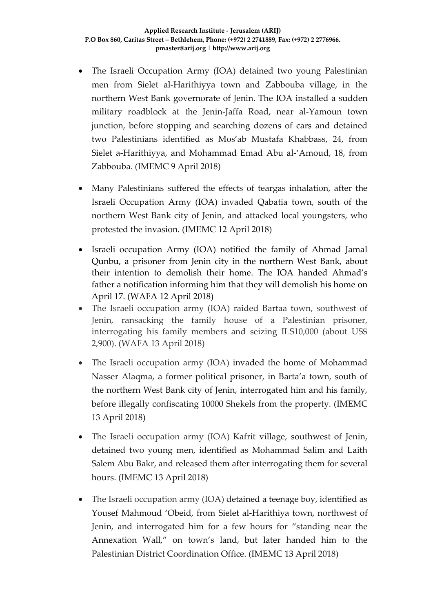- The Israeli Occupation Army (IOA) detained two young Palestinian men from Sielet al-Harithiyya town and Zabbouba village, in the northern West Bank governorate of Jenin. The IOA installed a sudden military roadblock at the Jenin-Jaffa Road, near al-Yamoun town junction, before stopping and searching dozens of cars and detained two Palestinians identified as Mos'ab Mustafa Khabbass, 24, from Sielet a-Harithiyya, and Mohammad Emad Abu al-'Amoud, 18, from Zabbouba. (IMEMC 9 April 2018)
- Many Palestinians suffered the effects of teargas inhalation, after the Israeli Occupation Army (IOA) invaded Qabatia town, south of the northern West Bank city of Jenin, and attacked local youngsters, who protested the invasion. (IMEMC 12 April 2018)
- Israeli occupation Army (IOA) notified the family of Ahmad Jamal Qunbu, a prisoner from Jenin city in the northern West Bank, about their intention to demolish their home. The IOA handed Ahmad's father a notification informing him that they will demolish his home on April 17. (WAFA 12 April 2018)
- The Israeli occupation army (IOA) raided Bartaa town, southwest of Jenin, ransacking the family house of a Palestinian prisoner, interrogating his family members and seizing ILS10,000 (about US\$ 2,900). (WAFA 13 April 2018)
- The Israeli occupation army (IOA) invaded the home of Mohammad Nasser Alaqma, a former political prisoner, in Barta'a town, south of the northern West Bank city of Jenin, interrogated him and his family, before illegally confiscating 10000 Shekels from the property. (IMEMC 13 April 2018)
- The Israeli occupation army (IOA) Kafrit village, southwest of Jenin, detained two young men, identified as Mohammad Salim and Laith Salem Abu Bakr, and released them after interrogating them for several hours. (IMEMC 13 April 2018)
- The Israeli occupation army (IOA) detained a teenage boy, identified as Yousef Mahmoud 'Obeid, from Sielet al-Harithiya town, northwest of Jenin, and interrogated him for a few hours for "standing near the Annexation Wall," on town's land, but later handed him to the Palestinian District Coordination Office. (IMEMC 13 April 2018)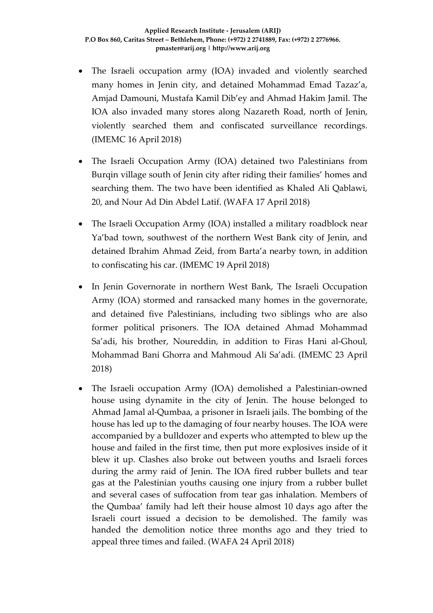- The Israeli occupation army (IOA) invaded and violently searched many homes in Jenin city, and detained Mohammad Emad Tazaz'a, Amjad Damouni, Mustafa Kamil Dib'ey and Ahmad Hakim Jamil. The IOA also invaded many stores along Nazareth Road, north of Jenin, violently searched them and confiscated surveillance recordings. (IMEMC 16 April 2018)
- The Israeli Occupation Army (IOA) detained two Palestinians from Burqin village south of Jenin city after riding their families' homes and searching them. The two have been identified as Khaled Ali Qablawi, 20, and Nour Ad Din Abdel Latif. (WAFA 17 April 2018)
- The Israeli Occupation Army (IOA) installed a military roadblock near Ya'bad town, southwest of the northern West Bank city of Jenin, and detained Ibrahim Ahmad Zeid, from Barta'a nearby town, in addition to confiscating his car. (IMEMC 19 April 2018)
- In Jenin Governorate in northern West Bank, The Israeli Occupation Army (IOA) stormed and ransacked many homes in the governorate, and detained five Palestinians, including two siblings who are also former political prisoners. The IOA detained Ahmad Mohammad Sa'adi, his brother, Noureddin, in addition to Firas Hani al-Ghoul, Mohammad Bani Ghorra and Mahmoud Ali Sa'adi. (IMEMC 23 April 2018)
- The Israeli occupation Army (IOA) demolished a Palestinian-owned house using dynamite in the city of Jenin. The house belonged to Ahmad Jamal al-Qumbaa, a prisoner in Israeli jails. The bombing of the house has led up to the damaging of four nearby houses. The IOA were accompanied by a bulldozer and experts who attempted to blew up the house and failed in the first time, then put more explosives inside of it blew it up. Clashes also broke out between youths and Israeli forces during the army raid of Jenin. The IOA fired rubber bullets and tear gas at the Palestinian youths causing one injury from a rubber bullet and several cases of suffocation from tear gas inhalation. Members of the Qumbaa' family had left their house almost 10 days ago after the Israeli court issued a decision to be demolished. The family was handed the demolition notice three months ago and they tried to appeal three times and failed. (WAFA 24 April 2018)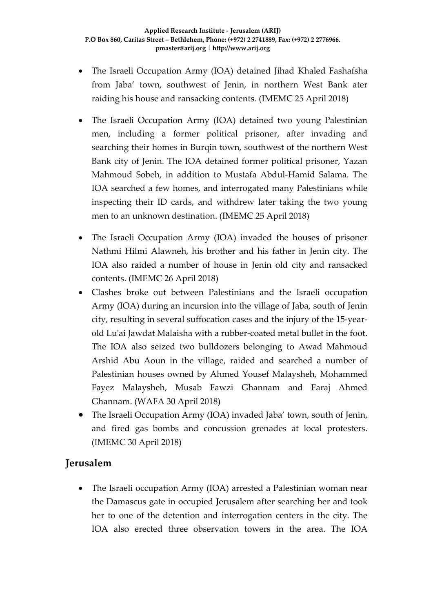- The Israeli Occupation Army (IOA) detained Jihad Khaled Fashafsha from Jaba' town, southwest of Jenin, in northern West Bank ater raiding his house and ransacking contents. (IMEMC 25 April 2018)
- The Israeli Occupation Army (IOA) detained two young Palestinian men, including a former political prisoner, after invading and searching their homes in Burqin town, southwest of the northern West Bank city of Jenin. The IOA detained former political prisoner, Yazan Mahmoud Sobeh, in addition to Mustafa Abdul-Hamid Salama. The IOA searched a few homes, and interrogated many Palestinians while inspecting their ID cards, and withdrew later taking the two young men to an unknown destination. (IMEMC 25 April 2018)
- The Israeli Occupation Army (IOA) invaded the houses of prisoner Nathmi Hilmi Alawneh, his brother and his father in Jenin city. The IOA also raided a number of house in Jenin old city and ransacked contents. (IMEMC 26 April 2018)
- Clashes broke out between Palestinians and the Israeli occupation Army (IOA) during an incursion into the village of Jaba, south of Jenin city, resulting in several suffocation cases and the injury of the 15-yearold Lu'ai Jawdat Malaisha with a rubber-coated metal bullet in the foot. The IOA also seized two bulldozers belonging to Awad Mahmoud Arshid Abu Aoun in the village, raided and searched a number of Palestinian houses owned by Ahmed Yousef Malaysheh, Mohammed Fayez Malaysheh, Musab Fawzi Ghannam and Faraj Ahmed Ghannam. (WAFA 30 April 2018)
- The Israeli Occupation Army (IOA) invaded Jaba' town, south of Jenin, and fired gas bombs and concussion grenades at local protesters. (IMEMC 30 April 2018)

### **Jerusalem**

• The Israeli occupation Army (IOA) arrested a Palestinian woman near the Damascus gate in occupied Jerusalem after searching her and took her to one of the detention and interrogation centers in the city. The IOA also erected three observation towers in the area. The IOA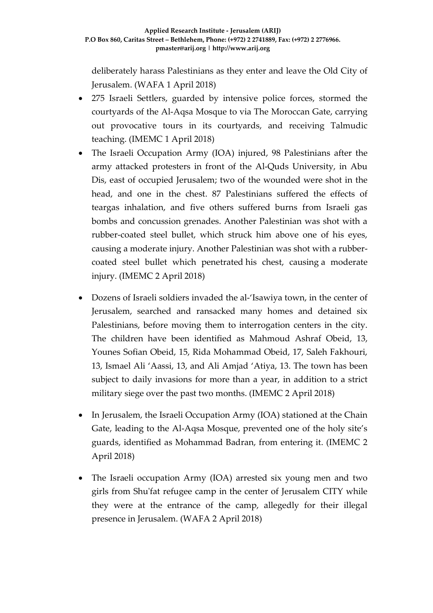deliberately harass Palestinians as they enter and leave the Old City of Jerusalem. (WAFA 1 April 2018)

- 275 Israeli Settlers, guarded by intensive police forces, stormed the courtyards of the Al-Aqsa Mosque to via The Moroccan Gate, carrying out provocative tours in its courtyards, and receiving Talmudic teaching. (IMEMC 1 April 2018)
- The Israeli Occupation Army (IOA) injured, 98 Palestinians after the army attacked protesters in front of the Al-Quds University, in Abu Dis, east of occupied Jerusalem; two of the wounded were shot in the head, and one in the chest. 87 Palestinians suffered the effects of teargas inhalation, and five others suffered burns from Israeli gas bombs and concussion grenades. Another Palestinian was shot with a rubber-coated steel bullet, which struck him above one of his eyes, causing a moderate injury. Another Palestinian was shot with a rubbercoated steel bullet which penetrated his chest, causing a moderate injury. (IMEMC 2 April 2018)
- Dozens of Israeli soldiers invaded the al-'Isawiya town, in the center of Jerusalem, searched and ransacked many homes and detained six Palestinians, before moving them to interrogation centers in the city. The children have been identified as Mahmoud Ashraf Obeid, 13, Younes Sofian Obeid, 15, Rida Mohammad Obeid, 17, Saleh Fakhouri, 13, Ismael Ali 'Aassi, 13, and Ali Amjad 'Atiya, 13. The town has been subject to daily invasions for more than a year, in addition to a strict military siege over the past two months. (IMEMC 2 April 2018)
- In Jerusalem, the Israeli Occupation Army (IOA) stationed at the Chain Gate, leading to the Al-Aqsa Mosque, prevented one of the holy site's guards, identified as Mohammad Badran, from entering it. (IMEMC 2 April 2018)
- The Israeli occupation Army (IOA) arrested six young men and two girls from Shu'fat refugee camp in the center of Jerusalem CITY while they were at the entrance of the camp, allegedly for their illegal presence in Jerusalem. (WAFA 2 April 2018)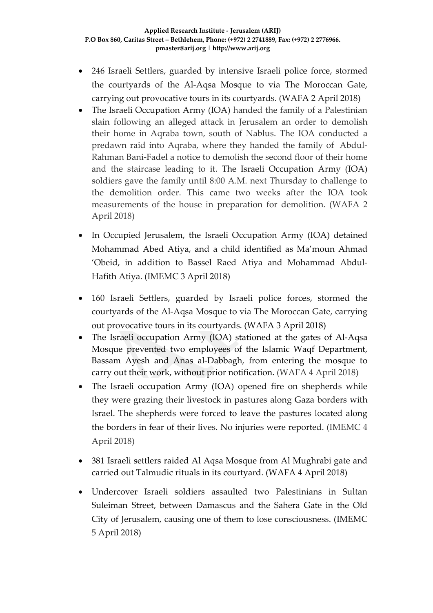- 246 Israeli Settlers, guarded by intensive Israeli police force, stormed the courtyards of the Al-Aqsa Mosque to via The Moroccan Gate, carrying out provocative tours in its courtyards. (WAFA 2 April 2018)
- The Israeli Occupation Army (IOA) handed the family of a Palestinian slain following an alleged attack in Jerusalem an order to demolish their home in Aqraba town, south of Nablus. The IOA conducted a predawn raid into Aqraba, where they handed the family of Abdul-Rahman Bani-Fadel a notice to demolish the second floor of their home and the staircase leading to it. The Israeli Occupation Army (IOA) soldiers gave the family until 8:00 A.M. next Thursday to challenge to the demolition order. This came two weeks after the IOA took measurements of the house in preparation for demolition. (WAFA 2 April 2018)
- In Occupied Jerusalem, the Israeli Occupation Army (IOA) detained Mohammad Abed Atiya, and a child identified as Ma'moun Ahmad 'Obeid, in addition to Bassel Raed Atiya and Mohammad Abdul-Hafith Atiya. (IMEMC 3 April 2018)
- 160 Israeli Settlers, guarded by Israeli police forces, stormed the courtyards of the Al-Aqsa Mosque to via The Moroccan Gate, carrying out provocative tours in its courtyards. (WAFA 3 April 2018)
- The Israeli occupation Army (IOA) stationed at the gates of Al-Aqsa Mosque prevented two employees of the Islamic Waqf Department, Bassam Ayesh and Anas al-Dabbagh, from entering the mosque to carry out their work, without prior notification. (WAFA 4 April 2018)
- The Israeli occupation Army (IOA) opened fire on shepherds while they were grazing their livestock in pastures along Gaza borders with Israel. The shepherds were forced to leave the pastures located along the borders in fear of their lives. No injuries were reported. (IMEMC 4 April 2018)
- 381 Israeli settlers raided Al Aqsa Mosque from Al Mughrabi gate and carried out Talmudic rituals in its courtyard. (WAFA 4 April 2018)
- Undercover Israeli soldiers assaulted two Palestinians in Sultan Suleiman Street, between Damascus and the Sahera Gate in the Old City of Jerusalem, causing one of them to lose consciousness. (IMEMC 5 April 2018)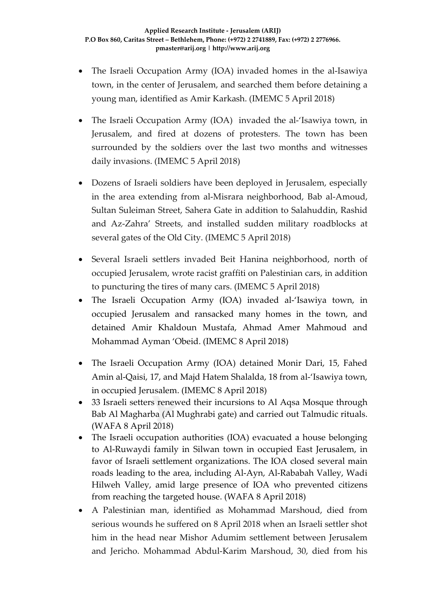- The Israeli Occupation Army (IOA) invaded homes in the al-Isawiya town, in the center of Jerusalem, and searched them before detaining a young man, identified as Amir Karkash. (IMEMC 5 April 2018)
- The Israeli Occupation Army (IOA) invaded the al-'Isawiya town, in Jerusalem, and fired at dozens of protesters. The town has been surrounded by the soldiers over the last two months and witnesses daily invasions. (IMEMC 5 April 2018)
- Dozens of Israeli soldiers have been deployed in Jerusalem, especially in the area extending from al-Misrara neighborhood, Bab al-Amoud, Sultan Suleiman Street, Sahera Gate in addition to Salahuddin, Rashid and Az-Zahra' Streets, and installed sudden military roadblocks at several gates of the Old City. (IMEMC 5 April 2018)
- Several Israeli settlers invaded Beit Hanina neighborhood, north of occupied Jerusalem, wrote racist graffiti on Palestinian cars, in addition to puncturing the tires of many cars. (IMEMC 5 April 2018)
- The Israeli Occupation Army (IOA) invaded al-'Isawiya town, in occupied Jerusalem and ransacked many homes in the town, and detained Amir Khaldoun Mustafa, Ahmad Amer Mahmoud and Mohammad Ayman 'Obeid. (IMEMC 8 April 2018)
- The Israeli Occupation Army (IOA) detained Monir Dari, 15, Fahed Amin al-Qaisi, 17, and Majd Hatem Shalalda, 18 from al-'Isawiya town, in occupied Jerusalem. (IMEMC 8 April 2018)
- 33 Israeli setters renewed their incursions to Al Aqsa Mosque through Bab Al Magharba (Al Mughrabi gate) and carried out Talmudic rituals. (WAFA 8 April 2018)
- The Israeli occupation authorities (IOA) evacuated a house belonging to Al-Ruwaydi family in Silwan town in occupied East Jerusalem, in favor of Israeli settlement organizations. The IOA closed several main roads leading to the area, including Al-Ayn, Al-Rababah Valley, Wadi Hilweh Valley, amid large presence of IOA who prevented citizens from reaching the targeted house. (WAFA 8 April 2018)
- A Palestinian man, identified as Mohammad Marshoud, died from serious wounds he suffered on 8 April 2018 when an Israeli settler shot him in the head near Mishor Adumim settlement between Jerusalem and Jericho. Mohammad Abdul-Karim Marshoud, 30, died from his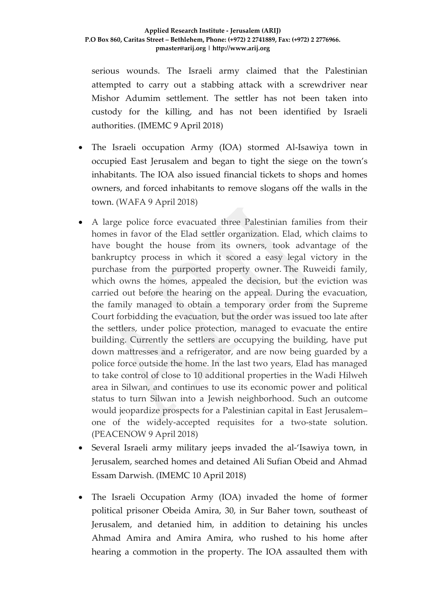serious wounds. The Israeli army claimed that the Palestinian attempted to carry out a stabbing attack with a screwdriver near Mishor Adumim settlement. The settler has not been taken into custody for the killing, and has not been identified by Israeli authorities. (IMEMC 9 April 2018)

- The Israeli occupation Army (IOA) stormed Al-Isawiya town in occupied East Jerusalem and began to tight the siege on the town's inhabitants. The IOA also issued financial tickets to shops and homes owners, and forced inhabitants to remove slogans off the walls in the town. (WAFA 9 April 2018)
- A large police force evacuated three Palestinian families from their homes in favor of the Elad settler organization. Elad, which claims to have bought the house from its owners, took advantage of the bankruptcy process in which it scored a easy legal victory in the purchase from the purported property owner. The Ruweidi family, which owns the homes, appealed the decision, but the eviction was carried out before the hearing on the appeal. During the evacuation, the family managed to obtain a temporary order from the Supreme Court forbidding the evacuation, but the order was issued too late after the settlers, under police protection, managed to evacuate the entire building. Currently the settlers are occupying the building, have put down mattresses and a refrigerator, and are now being guarded by a police force outside the home. In the last two years, Elad has managed to take control of close to 10 additional properties in the Wadi Hilweh area in Silwan, and continues to use its economic power and political status to turn Silwan into a Jewish neighborhood. Such an outcome would jeopardize prospects for a Palestinian capital in East Jerusalem– one of the widely-accepted requisites for a two-state solution. (PEACENOW 9 April 2018)
- Several Israeli army military jeeps invaded the al-'Isawiya town, in Jerusalem, searched homes and detained Ali Sufian Obeid and Ahmad Essam Darwish. (IMEMC 10 April 2018)
- The Israeli Occupation Army (IOA) invaded the home of former political prisoner Obeida Amira, 30, in Sur Baher town, southeast of Jerusalem, and detanied him, in addition to detaining his uncles Ahmad Amira and Amira Amira, who rushed to his home after hearing a commotion in the property. The IOA assaulted them with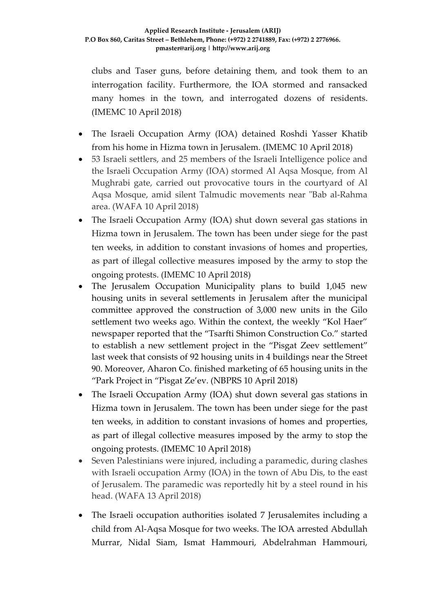clubs and Taser guns, before detaining them, and took them to an interrogation facility. Furthermore, the IOA stormed and ransacked many homes in the town, and interrogated dozens of residents. (IMEMC 10 April 2018)

- The Israeli Occupation Army (IOA) detained Roshdi Yasser Khatib from his home in Hizma town in Jerusalem. (IMEMC 10 April 2018)
- 53 Israeli settlers, and 25 members of the Israeli Intelligence police and the Israeli Occupation Army (IOA) stormed Al Aqsa Mosque, from Al Mughrabi gate, carried out provocative tours in the courtyard of Al Aqsa Mosque, amid silent Talmudic movements near "Bab al-Rahma area. (WAFA 10 April 2018)
- The Israeli Occupation Army (IOA) shut down several gas stations in Hizma town in Jerusalem. The town has been under siege for the past ten weeks, in addition to constant invasions of homes and properties, as part of illegal collective measures imposed by the army to stop the ongoing protests. (IMEMC 10 April 2018)
- The Jerusalem Occupation Municipality plans to build 1,045 new housing units in several settlements in Jerusalem after the municipal committee approved the construction of 3,000 new units in the Gilo settlement two weeks ago. Within the context, the weekly "Kol Haer" newspaper reported that the "Tsarfti Shimon Construction Co." started to establish a new settlement project in the "Pisgat Zeev settlement" last week that consists of 92 housing units in 4 buildings near the Street 90. Moreover, Aharon Co. finished marketing of 65 housing units in the "Park Project in "Pisgat Ze'ev. (NBPRS 10 April 2018)
- The Israeli Occupation Army (IOA) shut down several gas stations in Hizma town in Jerusalem. The town has been under siege for the past ten weeks, in addition to constant invasions of homes and properties, as part of illegal collective measures imposed by the army to stop the ongoing protests. (IMEMC 10 April 2018)
- Seven Palestinians were injured, including a paramedic, during clashes with Israeli occupation Army (IOA) in the town of Abu Dis, to the east of Jerusalem. The paramedic was reportedly hit by a steel round in his head. (WAFA 13 April 2018)
- The Israeli occupation authorities isolated 7 Jerusalemites including a child from Al-Aqsa Mosque for two weeks. The IOA arrested Abdullah Murrar, Nidal Siam, Ismat Hammouri, Abdelrahman Hammouri,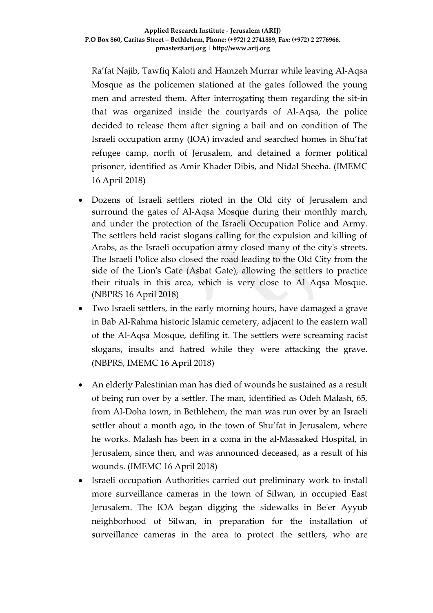Ra'fat Najib, Tawfiq Kaloti and Hamzeh Murrar while leaving Al-Aqsa Mosque as the policemen stationed at the gates followed the young men and arrested them. After interrogating them regarding the sit-in that was organized inside the courtyards of Al-Aqsa, the police decided to release them after signing a bail and on condition of The Israeli occupation army (IOA) invaded and searched homes in Shu'fat refugee camp, north of Jerusalem, and detained a former political prisoner, identified as Amir Khader Dibis, and Nidal Sheeha. (IMEMC 16 April 2018)

- Dozens of Israeli settlers rioted in the Old city of Jerusalem and surround the gates of Al-Aqsa Mosque during their monthly march, and under the protection of the Israeli Occupation Police and Army. The settlers held racist slogans calling for the expulsion and killing of Arabs, as the Israeli occupation army closed many of the city's streets. The Israeli Police also closed the road leading to the Old City from the side of the Lion's Gate (Asbat Gate), allowing the settlers to practice their rituals in this area, which is very close to Al Aqsa Mosque. (NBPRS 16 April 2018)
- Two Israeli settlers, in the early morning hours, have damaged a grave in Bab Al-Rahma historic Islamic cemetery, adjacent to the eastern wall of the Al-Aqsa Mosque, defiling it. The settlers were screaming racist slogans, insults and hatred while they were attacking the grave. (NBPRS, IMEMC 16 April 2018)
- An elderly Palestinian man has died of wounds he sustained as a result of being run over by a settler. The man, identified as Odeh Malash, 65, from Al-Doha town, in Bethlehem, the man was run over by an Israeli settler about a month ago, in the town of Shu'fat in Jerusalem, where he works. Malash has been in a coma in the al-Massaked Hospital, in Jerusalem, since then, and was announced deceased, as a result of his wounds. (IMEMC 16 April 2018)
- Israeli occupation Authorities carried out preliminary work to install more surveillance cameras in the town of Silwan, in occupied East Jerusalem. The IOA began digging the sidewalks in Be'er Ayyub neighborhood of Silwan, in preparation for the installation of surveillance cameras in the area to protect the settlers, who are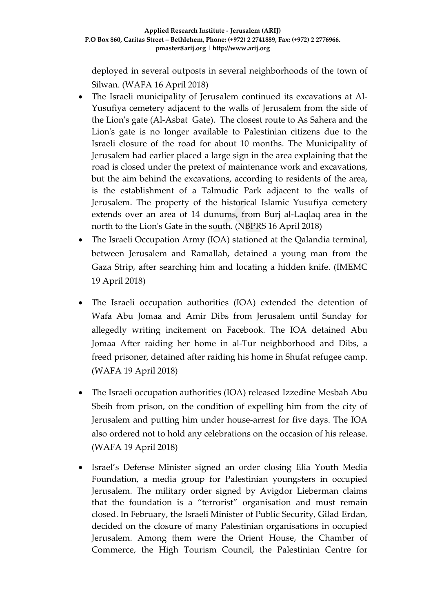deployed in several outposts in several neighborhoods of the town of Silwan. (WAFA 16 April 2018)

- The Israeli municipality of Jerusalem continued its excavations at Al-Yusufiya cemetery adjacent to the walls of Jerusalem from the side of the Lion's gate (Al-Asbat Gate). The closest route to As Sahera and the Lion's gate is no longer available to Palestinian citizens due to the Israeli closure of the road for about 10 months. The Municipality of Jerusalem had earlier placed a large sign in the area explaining that the road is closed under the pretext of maintenance work and excavations, but the aim behind the excavations, according to residents of the area, is the establishment of a Talmudic Park adjacent to the walls of Jerusalem. The property of the historical Islamic Yusufiya cemetery extends over an area of 14 dunums, from Burj al-Laqlaq area in the north to the Lion's Gate in the south. (NBPRS 16 April 2018)
- The Israeli Occupation Army (IOA) stationed at the Qalandia terminal, between Jerusalem and Ramallah, detained a young man from the Gaza Strip, after searching him and locating a hidden knife. (IMEMC 19 April 2018)
- The Israeli occupation authorities (IOA) extended the detention of Wafa Abu Jomaa and Amir Dibs from Jerusalem until Sunday for allegedly writing incitement on Facebook. The IOA detained Abu Jomaa After raiding her home in al-Tur neighborhood and Dibs, a freed prisoner, detained after raiding his home in Shufat refugee camp. (WAFA 19 April 2018)
- The Israeli occupation authorities (IOA) released Izzedine Mesbah Abu Sbeih from prison, on the condition of expelling him from the city of Jerusalem and putting him under house-arrest for five days. The IOA also ordered not to hold any celebrations on the occasion of his release. (WAFA 19 April 2018)
- Israel's Defense Minister signed an order closing Elia Youth Media Foundation, a media group for Palestinian youngsters in occupied Jerusalem. The military order signed by Avigdor Lieberman claims that the foundation is a "terrorist" organisation and must remain closed. In February, the Israeli Minister of Public Security, Gilad Erdan, decided on the closure of many Palestinian organisations in occupied Jerusalem. Among them were the Orient House, the Chamber of Commerce, the High Tourism Council, the Palestinian Centre for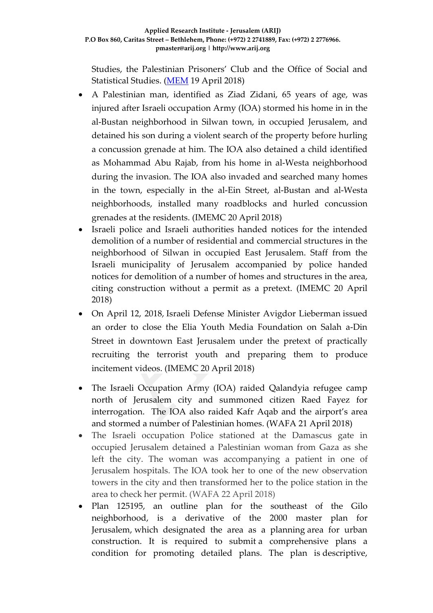Studies, the Palestinian Prisoners' Club and the Office of Social and Statistical Studies. [\(MEM](https://www.middleeastmonitor.com/20180418-israel-closes-youth-media-foundation-in-jerusalem/) 19 April 2018)

- A Palestinian man, identified as Ziad Zidani, 65 years of age, was injured after Israeli occupation Army (IOA) stormed his home in in the al-Bustan neighborhood in Silwan town, in occupied Jerusalem, and detained his son during a violent search of the property before hurling a concussion grenade at him. The IOA also detained a child identified as Mohammad Abu Rajab, from his home in al-Westa neighborhood during the invasion. The IOA also invaded and searched many homes in the town, especially in the al-Ein Street, al-Bustan and al-Westa neighborhoods, installed many roadblocks and hurled concussion grenades at the residents. (IMEMC 20 April 2018)
- Israeli police and Israeli authorities handed notices for the intended demolition of a number of residential and commercial structures in the neighborhood of Silwan in occupied East Jerusalem. Staff from the Israeli municipality of Jerusalem accompanied by police handed notices for demolition of a number of homes and structures in the area, citing construction without a permit as a pretext. (IMEMC 20 April 2018)
- On April 12, 2018, [Israeli Defense Minister Avigdor Lieberman](http://imemc.org/?s=avigdor+lieberman) issued an order to close the Elia Youth Media Foundation on Salah a-Din Street in downtown East Jerusalem under the pretext of practically recruiting the terrorist youth and preparing them to produce incitement videos. (IMEMC 20 April 2018)
- The Israeli Occupation Army (IOA) raided Qalandyia refugee camp north of Jerusalem city and summoned citizen Raed Fayez for interrogation. The IOA also raided Kafr Aqab and the airport's area and stormed a number of Palestinian homes. (WAFA 21 April 2018)
- The Israeli occupation Police stationed at the Damascus gate in occupied Jerusalem detained a Palestinian woman from Gaza as she left the city. The woman was accompanying a patient in one of Jerusalem hospitals. The IOA took her to one of the new observation towers in the city and then transformed her to the police station in the area to check her permit. (WAFA 22 April 2018)
- Plan 125195, an outline plan for the southeast of the Gilo neighborhood, is a derivative of the 2000 master plan for Jerusalem, which designated the area as a planning area for urban construction. It is required to submit a comprehensive plans a condition for promoting detailed plans. The plan is descriptive,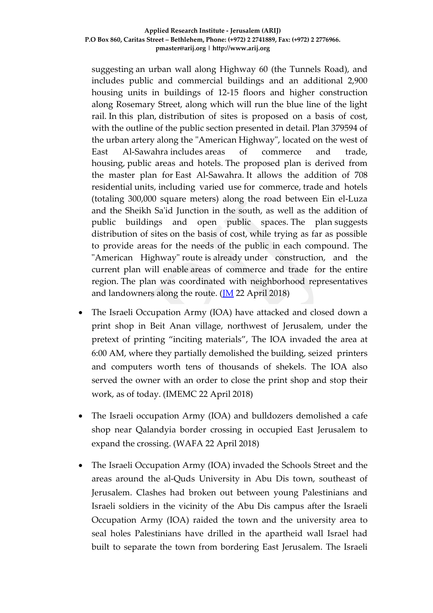#### **Applied Research Institute - Jerusalem (ARIJ) P.O Box 860, Caritas Street – Bethlehem, Phone: (+972) 2 2741889, Fax: (+972) 2 2776966. pmaster@arij.org | http://www.arij.org**

suggesting an urban wall along Highway 60 (the Tunnels Road), and includes public and commercial buildings and an additional 2,900 housing units in buildings of 12-15 floors and higher construction along Rosemary Street, along which will run the blue line of the light rail. In this plan, distribution of sites is proposed on a basis of cost, with the outline of the public section presented in detail. Plan 379594 of the urban artery along the "American Highway", located on the west of East Al-Sawahra includes areas of commerce and trade, housing, public areas and hotels. The proposed plan is derived from the master plan for East Al-Sawahra. It allows the addition of 708 residential units, including varied use for commerce, trade and hotels (totaling 300,000 square meters) along the road between Ein el-Luza and the Sheikh Sa'id Junction in the south, as well as the addition of public buildings and open public spaces. The plan suggests distribution of sites on the basis of cost, while trying as far as possible to provide areas for the needs of the public in each compound. The "American Highway" route is already under construction, and the current plan will enable areas of commerce and trade for the entire region. The plan was coordinated with neighborhood representatives and landowners along the route.  $($ <u>M</u> 22 April 2018)

- The Israeli Occupation Army (IOA) have attacked and closed down a print shop in Beit Anan village, northwest of Jerusalem, under the pretext of printing "inciting materials", The IOA invaded the area at 6:00 AM, where they partially demolished the building, seized printers and computers worth tens of thousands of shekels. The IOA also served the owner with an order to close the print shop and stop their work, as of today. (IMEMC 22 April 2018)
- The Israeli occupation Army (IOA) and bulldozers demolished a cafe shop near Qalandyia border crossing in occupied East Jerusalem to expand the crossing. (WAFA 22 April 2018)
- The Israeli Occupation Army (IOA) invaded the Schools Street and the areas around the al-Quds University in Abu Dis town, southeast of Jerusalem. Clashes had broken out between young Palestinians and Israeli soldiers in the vicinity of the Abu Dis campus after the Israeli Occupation Army (IOA) raided the town and the university area to seal holes Palestinians have drilled in the apartheid wall Israel had built to separate the town from bordering East Jerusalem. The Israeli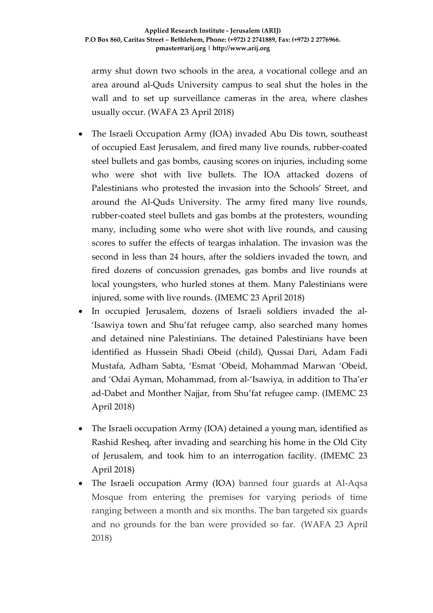army shut down two schools in the area, a vocational college and an area around al-Quds University campus to seal shut the holes in the wall and to set up surveillance cameras in the area, where clashes usually occur. (WAFA 23 April 2018)

- The Israeli Occupation Army (IOA) invaded Abu Dis town, southeast of occupied East Jerusalem, and fired many live rounds, rubber-coated steel bullets and gas bombs, causing scores on injuries, including some who were shot with live bullets. The IOA attacked dozens of Palestinians who protested the invasion into the Schools' Street, and around the Al-Quds University. The army fired many live rounds, rubber-coated steel bullets and gas bombs at the protesters, wounding many, including some who were shot with live rounds, and causing scores to suffer the effects of teargas inhalation. The invasion was the second in less than 24 hours, after the soldiers invaded the town, and fired dozens of concussion grenades, gas bombs and live rounds at local youngsters, who hurled stones at them. Many Palestinians were injured, some with live rounds. (IMEMC 23 April 2018)
- In occupied Jerusalem, dozens of Israeli soldiers invaded the al- 'Isawiya town and Shu'fat refugee camp, also searched many homes and detained nine Palestinians. The detained Palestinians have been identified as Hussein Shadi Obeid (child), Qussai Dari, Adam Fadi Mustafa, Adham Sabta, 'Esmat 'Obeid, Mohammad Marwan 'Obeid, and 'Odai Ayman, Mohammad, from al-'Isawiya, in addition to Tha'er ad-Dabet and Monther Najjar, from Shu'fat refugee camp. (IMEMC 23 April 2018)
- The Israeli occupation Army (IOA) detained a young man, identified as Rashid Resheq, after invading and searching his home in the Old City of Jerusalem, and took him to an interrogation facility. (IMEMC 23 April 2018)
- The Israeli occupation Army (IOA) banned four guards at Al-Aqsa Mosque from entering the premises for varying periods of time ranging between a month and six months. The ban targeted six guards and no grounds for the ban were provided so far. (WAFA 23 April 2018)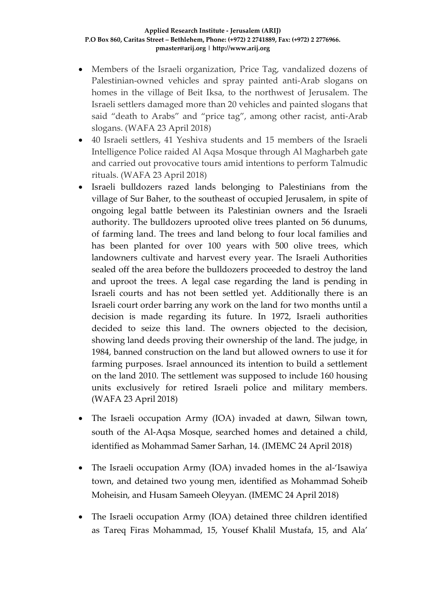#### **Applied Research Institute - Jerusalem (ARIJ) P.O Box 860, Caritas Street – Bethlehem, Phone: (+972) 2 2741889, Fax: (+972) 2 2776966. pmaster@arij.org | http://www.arij.org**

- Members of the Israeli organization, Price Tag, vandalized dozens of Palestinian-owned vehicles and spray painted anti-Arab slogans on homes in the village of Beit Iksa, to the northwest of Jerusalem. The Israeli settlers damaged more than 20 vehicles and painted slogans that said "death to Arabs" and "price tag", among other racist, anti-Arab slogans. (WAFA 23 April 2018)
- 40 Israeli settlers, 41 Yeshiva students and 15 members of the Israeli Intelligence Police raided Al Aqsa Mosque through Al Magharbeh gate and carried out provocative tours amid intentions to perform Talmudic rituals. (WAFA 23 April 2018)
- Israeli bulldozers razed lands belonging to Palestinians from the village of Sur Baher, to the southeast of occupied Jerusalem, in spite of ongoing legal battle between its Palestinian owners and the Israeli authority. The bulldozers uprooted olive trees planted on 56 dunums, of farming land. The trees and land belong to four local families and has been planted for over 100 years with 500 olive trees, which landowners cultivate and harvest every year. The Israeli Authorities sealed off the area before the bulldozers proceeded to destroy the land and uproot the trees. A legal case regarding the land is pending in Israeli courts and has not been settled yet. Additionally there is an Israeli court order barring any work on the land for two months until a decision is made regarding its future. In 1972, Israeli authorities decided to seize this land. The owners objected to the decision, showing land deeds proving their ownership of the land. The judge, in 1984, banned construction on the land but allowed owners to use it for farming purposes. Israel announced its intention to build a settlement on the land 2010. The settlement was supposed to include 160 housing units exclusively for retired Israeli police and military members. (WAFA 23 April 2018)
- The Israeli occupation Army (IOA) invaded at dawn, Silwan town, south of the Al-Aqsa Mosque, searched homes and detained a child, identified as Mohammad Samer Sarhan, 14. (IMEMC 24 April 2018)
- The Israeli occupation Army (IOA) invaded homes in the al-'Isawiya town, and detained two young men, identified as Mohammad Soheib Moheisin, and Husam Sameeh Oleyyan. (IMEMC 24 April 2018)
- The Israeli occupation Army (IOA) detained three children identified as Tareq Firas Mohammad, 15, Yousef Khalil Mustafa, 15, and Ala'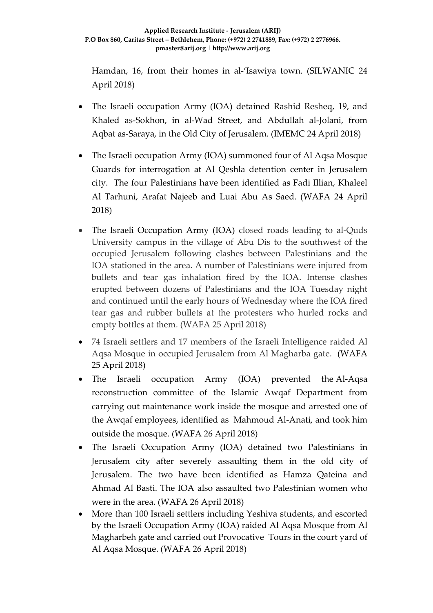Hamdan, 16, from their homes in al-'Isawiya town. (SILWANIC 24 April 2018)

- The Israeli occupation Army (IOA) detained Rashid Resheq, 19, and Khaled as-Sokhon, in al-Wad Street, and Abdullah al-Jolani, from Aqbat as-Saraya, in the Old City of Jerusalem. (IMEMC 24 April 2018)
- The Israeli occupation Army (IOA) summoned four of Al Aqsa Mosque Guards for interrogation at Al Qeshla detention center in Jerusalem city. The four Palestinians have been identified as Fadi Illian, Khaleel Al Tarhuni, Arafat Najeeb and Luai Abu As Saed. (WAFA 24 April 2018)
- The Israeli Occupation Army (IOA) closed roads leading to al-Quds University campus in the village of Abu Dis to the southwest of the occupied Jerusalem following clashes between Palestinians and the IOA stationed in the area. A number of Palestinians were injured from bullets and tear gas inhalation fired by the IOA. Intense clashes erupted between dozens of Palestinians and the IOA Tuesday night and continued until the early hours of Wednesday where the IOA fired tear gas and rubber bullets at the protesters who hurled rocks and empty bottles at them. (WAFA 25 April 2018)
- 74 Israeli settlers and 17 members of the Israeli Intelligence raided Al Aqsa Mosque in occupied Jerusalem from Al Magharba gate. (WAFA 25 April 2018)
- The Israeli occupation Army (IOA) prevented the Al-Aqsa reconstruction committee of the Islamic Awqaf Department from carrying out maintenance work inside the mosque and arrested one of the Awqaf employees, identified as Mahmoud Al-Anati, and took him outside the mosque. (WAFA 26 April 2018)
- The Israeli Occupation Army (IOA) detained two Palestinians in Jerusalem city after severely assaulting them in the old city of Jerusalem. The two have been identified as Hamza Qateina and Ahmad Al Basti. The IOA also assaulted two Palestinian women who were in the area. (WAFA 26 April 2018)
- More than 100 Israeli settlers including Yeshiva students, and escorted by the Israeli Occupation Army (IOA) raided Al Aqsa Mosque from Al Magharbeh gate and carried out Provocative Tours in the court yard of Al Aqsa Mosque. (WAFA 26 April 2018)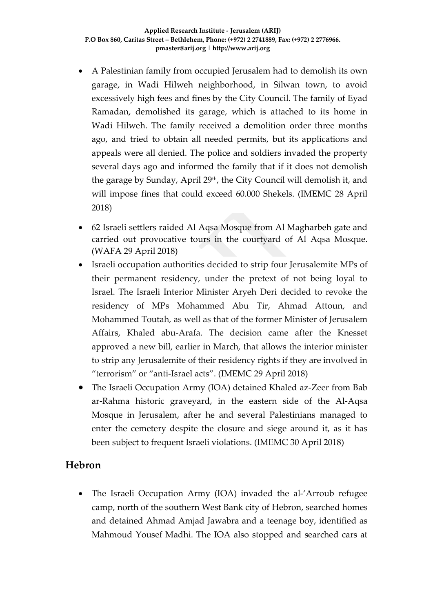- A Palestinian family from occupied Jerusalem had to demolish its own garage, in Wadi Hilweh neighborhood, in Silwan town, to avoid excessively high fees and fines by the City Council. The family of Eyad Ramadan, demolished its garage, which is attached to its home in Wadi Hilweh. The family received a demolition order three months ago, and tried to obtain all needed permits, but its applications and appeals were all denied. The police and soldiers invaded the property several days ago and informed the family that if it does not demolish the garage by Sunday, April 29<sup>th</sup>, the City Council will demolish it, and will impose fines that could exceed 60.000 Shekels. (IMEMC 28 April 2018)
- 62 Israeli settlers raided Al Aqsa Mosque from Al Magharbeh gate and carried out provocative tours in the courtyard of Al Aqsa Mosque. (WAFA 29 April 2018)
- Israeli occupation authorities decided to strip four Jerusalemite MPs of their permanent residency, under the pretext of not being loyal to Israel. The Israeli Interior Minister Aryeh Deri decided to revoke the residency of MPs Mohammed Abu Tir, Ahmad Attoun, and Mohammed Toutah, as well as that of the former Minister of Jerusalem Affairs, Khaled abu-Arafa. The decision came after the Knesset approved a new bill, earlier in March, that allows the interior minister to strip any Jerusalemite of their residency rights if they are involved in "terrorism" or "anti-Israel acts". (IMEMC 29 April 2018)
- The Israeli Occupation Army (IOA) detained Khaled az-Zeer from Bab ar-Rahma historic graveyard, in the eastern side of the Al-Aqsa Mosque in Jerusalem, after he and several Palestinians managed to enter the cemetery despite the closure and siege around it, as it has been subject to frequent Israeli violations. (IMEMC 30 April 2018)

### **Hebron**

• The Israeli Occupation Army (IOA) invaded the al-'Arroub refugee camp, north of the southern West Bank city of Hebron, searched homes and detained Ahmad Amjad Jawabra and a teenage boy, identified as Mahmoud Yousef Madhi. The IOA also stopped and searched cars at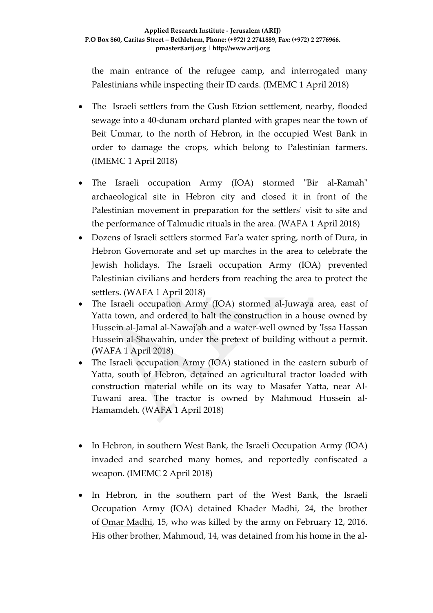the main entrance of the refugee camp, and interrogated many Palestinians while inspecting their ID cards. (IMEMC 1 April 2018)

- The Israeli settlers from the Gush Etzion settlement, nearby, flooded sewage into a 40-dunam orchard planted with grapes near the town of Beit Ummar, to the north of Hebron, in the occupied West Bank in order to damage the crops, which belong to Palestinian farmers. (IMEMC 1 April 2018)
- The Israeli occupation Army (IOA) stormed "Bir al-Ramah" archaeological site in Hebron city and closed it in front of the Palestinian movement in preparation for the settlers' visit to site and the performance of Talmudic rituals in the area. (WAFA 1 April 2018)
- Dozens of Israeli settlers stormed Far'a water spring, north of Dura, in Hebron Governorate and set up marches in the area to celebrate the Jewish holidays. The Israeli occupation Army (IOA) prevented Palestinian civilians and herders from reaching the area to protect the settlers. (WAFA 1 April 2018)
- The Israeli occupation Army (IOA) stormed al-Juwaya area, east of Yatta town, and ordered to halt the construction in a house owned by Hussein al-Jamal al-Nawaj'ah and a water-well owned by 'Issa Hassan Hussein al-Shawahin, under the pretext of building without a permit. (WAFA 1 April 2018)
- The Israeli occupation Army (IOA) stationed in the eastern suburb of Yatta, south of Hebron, detained an agricultural tractor loaded with construction material while on its way to Masafer Yatta, near Al-Tuwani area. The tractor is owned by Mahmoud Hussein al-Hamamdeh. (WAFA 1 April 2018)
- In Hebron, in southern West Bank, the Israeli Occupation Army (IOA) invaded and searched many homes, and reportedly confiscated a weapon. (IMEMC 2 April 2018)
- In Hebron, in the southern part of the West Bank, the Israeli Occupation Army (IOA) detained Khader Madhi, 24, the brother of [Omar Madhi,](http://imemc.org/article/74902/) 15, who was killed by the army on February 12, 2016. His other brother, Mahmoud, 14, was detained from his home in the al-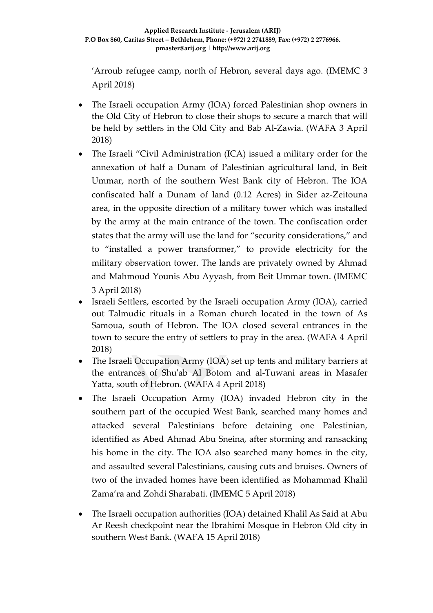'Arroub refugee camp, north of Hebron, several days ago. (IMEMC 3 April 2018)

- The Israeli occupation Army (IOA) forced Palestinian shop owners in the Old City of Hebron to close their shops to secure a march that will be held by settlers in the Old City and Bab Al-Zawia. (WAFA 3 April 2018)
- The Israeli "Civil Administration (ICA) issued a military order for the annexation of half a Dunam of Palestinian agricultural land, in Beit Ummar, north of the southern West Bank city of Hebron. The IOA confiscated half a Dunam of land (0.12 Acres) in Sider az-Zeitouna area, in the opposite direction of a military tower which was installed by the army at the main entrance of the town. The confiscation order states that the army will use the land for "security considerations," and to "installed a power transformer," to provide electricity for the military observation tower. The lands are privately owned by Ahmad and Mahmoud Younis Abu Ayyash, from Beit Ummar town. (IMEMC 3 April 2018)
- Israeli Settlers, escorted by the Israeli occupation Army (IOA), carried out Talmudic rituals in a Roman church located in the town of As Samoua, south of Hebron. The IOA closed several entrances in the town to secure the entry of settlers to pray in the area. (WAFA 4 April 2018)
- The Israeli Occupation Army (IOA) set up tents and military barriers at the entrances of Shu'ab Al Botom and al-Tuwani areas in Masafer Yatta, south of Hebron. (WAFA 4 April 2018)
- The Israeli Occupation Army (IOA) invaded Hebron city in the southern part of the occupied West Bank, searched many homes and attacked several Palestinians before detaining one Palestinian, identified as Abed Ahmad Abu Sneina, after storming and ransacking his home in the city. The IOA also searched many homes in the city, and assaulted several Palestinians, causing cuts and bruises. Owners of two of the invaded homes have been identified as Mohammad Khalil Zama'ra and Zohdi Sharabati. (IMEMC 5 April 2018)
- The Israeli occupation authorities (IOA) detained Khalil As Said at Abu Ar Reesh checkpoint near the Ibrahimi Mosque in Hebron Old city in southern West Bank. (WAFA 15 April 2018)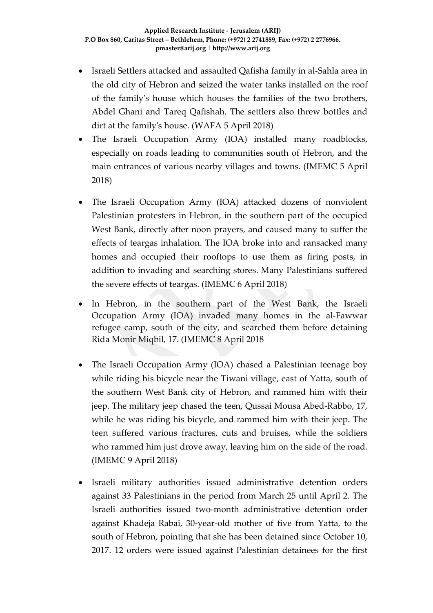- Israeli Settlers attacked and assaulted Qafisha family in al-Sahla area in the old city of Hebron and seized the water tanks installed on the roof of the family's house which houses the families of the two brothers, Abdel Ghani and Tareq Qafishah. The settlers also threw bottles and dirt at the family's house. (WAFA 5 April 2018)
- The Israeli Occupation Army (IOA) installed many roadblocks, especially on roads leading to communities south of Hebron, and the main entrances of various nearby villages and towns. (IMEMC 5 April 2018)
- The Israeli Occupation Army (IOA) attacked dozens of nonviolent Palestinian protesters in Hebron, in the southern part of the occupied West Bank, directly after noon prayers, and caused many to suffer the effects of teargas inhalation. The IOA broke into and ransacked many homes and occupied their rooftops to use them as firing posts, in addition to invading and searching stores. Many Palestinians suffered the severe effects of teargas. (IMEMC 6 April 2018)
- In Hebron, in the southern part of the West Bank, the Israeli Occupation Army (IOA) invaded many homes in the al-Fawwar refugee camp, south of the city, and searched them before detaining Rida Monir Miqbil, 17. (IMEMC 8 April 2018
- The Israeli Occupation Army (IOA) chased a Palestinian teenage boy while riding his bicycle near the Tiwani village, east of Yatta, south of the southern West Bank city of Hebron, and rammed him with their jeep. The military jeep chased the teen, Qussai Mousa Abed-Rabbo, 17, while he was riding his bicycle, and rammed him with their jeep. The teen suffered various fractures, cuts and bruises, while the soldiers who rammed him just drove away, leaving him on the side of the road. (IMEMC 9 April 2018)
- Israeli military authorities issued administrative detention orders against 33 Palestinians in the period from March 25 until April 2. The Israeli authorities issued two-month administrative detention order against Khadeja Rabai, 30-year-old mother of five from Yatta, to the south of Hebron, pointing that she has been detained since October 10, 2017. 12 orders were issued against Palestinian detainees for the first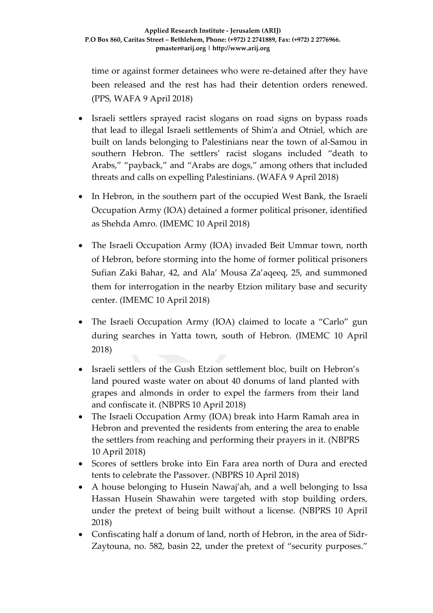time or against former detainees who were re-detained after they have been released and the rest has had their detention orders renewed. (PPS, WAFA 9 April 2018)

- Israeli settlers sprayed racist slogans on road signs on bypass roads that lead to illegal Israeli settlements of Shim'a and Otniel, which are built on lands belonging to Palestinians near the town of al-Samou in southern Hebron. The settlers' racist slogans included "death to Arabs," "payback," and "Arabs are dogs," among others that included threats and calls on expelling Palestinians. (WAFA 9 April 2018)
- In Hebron, in the southern part of the occupied West Bank, the Israeli Occupation Army (IOA) detained a former political prisoner, identified as Shehda Amro. (IMEMC 10 April 2018)
- The Israeli Occupation Army (IOA) invaded Beit Ummar town, north of Hebron, before storming into the home of former political prisoners Sufian Zaki Bahar, 42, and Ala' Mousa Za'aqeeq, 25, and summoned them for interrogation in the nearby Etzion military base and security center. (IMEMC 10 April 2018)
- The Israeli Occupation Army (IOA) claimed to locate a "Carlo" gun during searches in Yatta town, south of Hebron. (IMEMC 10 April 2018)
- Israeli settlers of the Gush Etzion settlement bloc, built on Hebron's land poured waste water on about 40 donums of land planted with grapes and almonds in order to expel the farmers from their land and confiscate it. (NBPRS 10 April 2018)
- The Israeli Occupation Army (IOA) break into Harm Ramah area in Hebron and prevented the residents from entering the area to enable the settlers from reaching and performing their prayers in it. (NBPRS 10 April 2018)
- Scores of settlers broke into Ein Fara area north of Dura and erected tents to celebrate the Passover. (NBPRS 10 April 2018)
- A house belonging to Husein Nawaj'ah, and a well belonging to Issa Hassan Husein Shawahin were targeted with stop building orders, under the pretext of being built without a license. (NBPRS 10 April 2018)
- Confiscating half a donum of land, north of Hebron, in the area of Sidr-Zaytouna, no. 582, basin 22, under the pretext of "security purposes."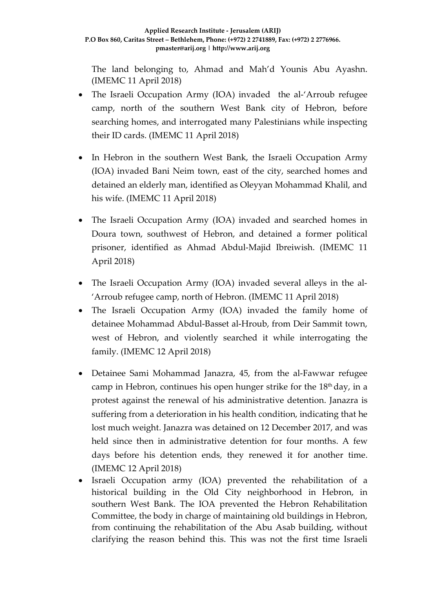The land belonging to, Ahmad and Mah'd Younis Abu Ayashn. (IMEMC 11 April 2018)

- The Israeli Occupation Army (IOA) invaded the al-'Arroub refugee camp, north of the southern West Bank city of Hebron, before searching homes, and interrogated many Palestinians while inspecting their ID cards. (IMEMC 11 April 2018)
- In Hebron in the southern West Bank, the Israeli Occupation Army (IOA) invaded Bani Neim town, east of the city, searched homes and detained an elderly man, identified as Oleyyan Mohammad Khalil, and his wife. (IMEMC 11 April 2018)
- The Israeli Occupation Army (IOA) invaded and searched homes in Doura town, southwest of Hebron, and detained a former political prisoner, identified as Ahmad Abdul-Majid Ibreiwish. (IMEMC 11 April 2018)
- The Israeli Occupation Army (IOA) invaded several alleys in the al- 'Arroub refugee camp, north of Hebron. (IMEMC 11 April 2018)
- The Israeli Occupation Army (IOA) invaded the family home of detainee Mohammad Abdul-Basset al-Hroub, from Deir Sammit town, west of Hebron, and violently searched it while interrogating the family. (IMEMC 12 April 2018)
- Detainee Sami Mohammad Janazra, 45, from the al-Fawwar refugee camp in Hebron, continues his open hunger strike for the  $18<sup>th</sup>$  day, in a protest against the renewal of his administrative detention. Janazra is suffering from a deterioration in his health condition, indicating that he lost much weight. Janazra was detained on 12 December 2017, and was held since then in administrative detention for four months. A few days before his detention ends, they renewed it for another time. (IMEMC 12 April 2018)
- Israeli Occupation army (IOA) prevented the rehabilitation of a historical building in the Old City neighborhood in Hebron, in southern West Bank. The IOA prevented the Hebron Rehabilitation Committee, the body in charge of maintaining old buildings in Hebron, from continuing the rehabilitation of the Abu Asab building, without clarifying the reason behind this. This was not the first time Israeli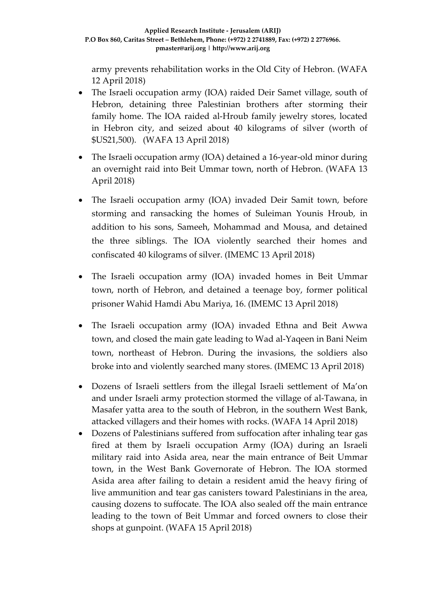army prevents rehabilitation works in the Old City of Hebron. (WAFA 12 April 2018)

- The Israeli occupation army (IOA) raided Deir Samet village, south of Hebron, detaining three Palestinian brothers after storming their family home. The IOA raided al-Hroub family jewelry stores, located in Hebron city, and seized about 40 kilograms of silver (worth of \$US21,500). (WAFA 13 April 2018)
- The Israeli occupation army (IOA) detained a 16-year-old minor during an overnight raid into Beit Ummar town, north of Hebron. (WAFA 13 April 2018)
- The Israeli occupation army (IOA) invaded Deir Samit town, before storming and ransacking the homes of Suleiman Younis Hroub, in addition to his sons, Sameeh, Mohammad and Mousa, and detained the three siblings. The IOA violently searched their homes and confiscated 40 kilograms of silver. (IMEMC 13 April 2018)
- The Israeli occupation army (IOA) invaded homes in Beit Ummar town, north of Hebron, and detained a teenage boy, former political prisoner Wahid Hamdi Abu Mariya, 16. (IMEMC 13 April 2018)
- The Israeli occupation army (IOA) invaded Ethna and Beit Awwa town, and closed the main gate leading to Wad al-Yaqeen in Bani Neim town, northeast of Hebron. During the invasions, the soldiers also broke into and violently searched many stores. (IMEMC 13 April 2018)
- Dozens of Israeli settlers from the illegal Israeli settlement of Ma'on and under Israeli army protection stormed the village of al-Tawana, in Masafer yatta area to the south of Hebron, in the southern West Bank, attacked villagers and their homes with rocks. (WAFA 14 April 2018)
- Dozens of Palestinians suffered from suffocation after inhaling tear gas fired at them by Israeli occupation Army (IOA) during an Israeli military raid into Asida area, near the main entrance of Beit Ummar town, in the West Bank Governorate of Hebron. The IOA stormed Asida area after failing to detain a resident amid the heavy firing of live ammunition and tear gas canisters toward Palestinians in the area, causing dozens to suffocate. The IOA also sealed off the main entrance leading to the town of Beit Ummar and forced owners to close their shops at gunpoint. (WAFA 15 April 2018)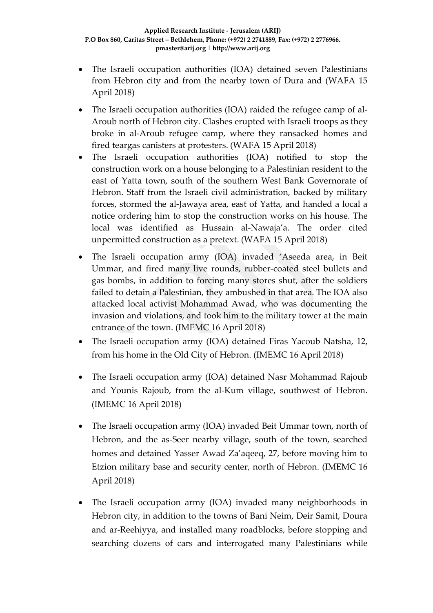- The Israeli occupation authorities (IOA) detained seven Palestinians from Hebron city and from the nearby town of Dura and (WAFA 15 April 2018)
- The Israeli occupation authorities (IOA) raided the refugee camp of al-Aroub north of Hebron city. Clashes erupted with Israeli troops as they broke in al-Aroub refugee camp, where they ransacked homes and fired teargas canisters at protesters. (WAFA 15 April 2018)
- The Israeli occupation authorities (IOA) notified to stop the construction work on a house belonging to a Palestinian resident to the east of Yatta town, south of the southern West Bank Governorate of Hebron. Staff from the Israeli civil administration, backed by military forces, stormed the al-Jawaya area, east of Yatta, and handed a local a notice ordering him to stop the construction works on his house. The local was identified as Hussain al-Nawaja'a. The order cited unpermitted construction as a pretext. (WAFA 15 April 2018)
- The Israeli occupation army (IOA) invaded 'Aseeda area, in Beit Ummar, and fired many live rounds, rubber-coated steel bullets and gas bombs, in addition to forcing many stores shut, after the soldiers failed to detain a Palestinian, they ambushed in that area. The IOA also attacked local activist Mohammad Awad, who was documenting the invasion and violations, and took him to the military tower at the main entrance of the town. (IMEMC 16 April 2018)
- The Israeli occupation army (IOA) detained Firas Yacoub Natsha, 12, from his home in the Old City of Hebron. (IMEMC 16 April 2018)
- The Israeli occupation army (IOA) detained Nasr Mohammad Rajoub and Younis Rajoub, from the al-Kum village, southwest of Hebron. (IMEMC 16 April 2018)
- The Israeli occupation army (IOA) invaded Beit Ummar town, north of Hebron, and the as-Seer nearby village, south of the town, searched homes and detained Yasser Awad Za'aqeeq, 27, before moving him to Etzion military base and security center, north of Hebron. (IMEMC 16 April 2018)
- The Israeli occupation army (IOA) invaded many neighborhoods in Hebron city, in addition to the towns of Bani Neim, Deir Samit, Doura and ar-Reehiyya, and installed many roadblocks, before stopping and searching dozens of cars and interrogated many Palestinians while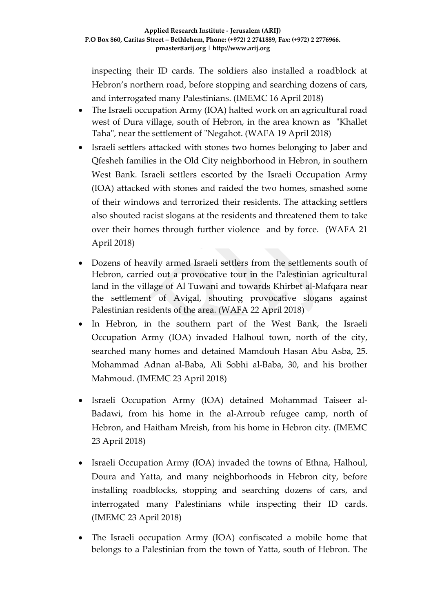inspecting their ID cards. The soldiers also installed a roadblock at Hebron's northern road, before stopping and searching dozens of cars, and interrogated many Palestinians. (IMEMC 16 April 2018)

- The Israeli occupation Army (IOA) halted work on an agricultural road west of Dura village, south of Hebron, in the area known as "Khallet Taha", near the settlement of "Negahot. (WAFA 19 April 2018)
- Israeli settlers attacked with stones two homes belonging to Jaber and Qfesheh families in the Old City neighborhood in Hebron, in southern West Bank. Israeli settlers escorted by the Israeli Occupation Army (IOA) attacked with stones and raided the two homes, smashed some of their windows and terrorized their residents. The attacking settlers also shouted racist slogans at the residents and threatened them to take over their homes through further violence and by force. (WAFA 21 April 2018)
- Dozens of heavily armed Israeli settlers from the settlements south of Hebron, carried out a provocative tour in the Palestinian agricultural land in the village of Al Tuwani and towards Khirbet al-Mafqara near the settlement of Avigal, shouting provocative slogans against Palestinian residents of the area. (WAFA 22 April 2018)
- In Hebron, in the southern part of the West Bank, the Israeli Occupation Army (IOA) invaded Halhoul town, north of the city, searched many homes and detained Mamdouh Hasan Abu Asba, 25. Mohammad Adnan al-Baba, Ali Sobhi al-Baba, 30, and his brother Mahmoud. (IMEMC 23 April 2018)
- Israeli Occupation Army (IOA) detained Mohammad Taiseer al-Badawi, from his home in the al-Arroub refugee camp, north of Hebron, and Haitham Mreish, from his home in Hebron city. (IMEMC 23 April 2018)
- Israeli Occupation Army (IOA) invaded the towns of Ethna, Halhoul, Doura and Yatta, and many neighborhoods in Hebron city, before installing roadblocks, stopping and searching dozens of cars, and interrogated many Palestinians while inspecting their ID cards. (IMEMC 23 April 2018)
- The Israeli occupation Army (IOA) confiscated a mobile home that belongs to a Palestinian from the town of Yatta, south of Hebron. The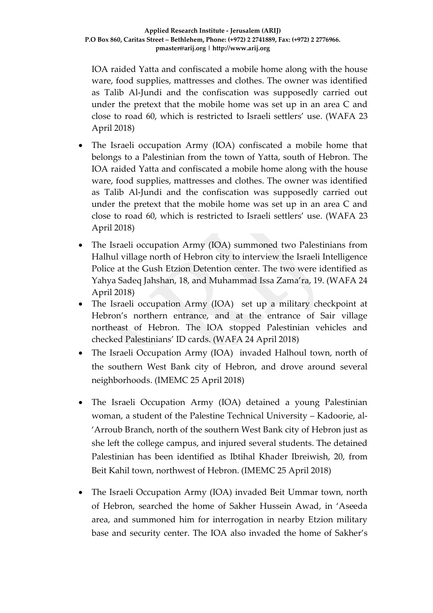IOA raided Yatta and confiscated a mobile home along with the house ware, food supplies, mattresses and clothes. The owner was identified as Talib Al-Jundi and the confiscation was supposedly carried out under the pretext that the mobile home was set up in an area C and close to road 60, which is restricted to Israeli settlers' use. (WAFA 23 April 2018)

- The Israeli occupation Army (IOA) confiscated a mobile home that belongs to a Palestinian from the town of Yatta, south of Hebron. The IOA raided Yatta and confiscated a mobile home along with the house ware, food supplies, mattresses and clothes. The owner was identified as Talib Al-Jundi and the confiscation was supposedly carried out under the pretext that the mobile home was set up in an area C and close to road 60, which is restricted to Israeli settlers' use. (WAFA 23 April 2018)
- The Israeli occupation Army (IOA) summoned two Palestinians from Halhul village north of Hebron city to interview the Israeli Intelligence Police at the Gush Etzion Detention center. The two were identified as Yahya Sadeq Jahshan, 18, and Muhammad Issa Zama'ra, 19. (WAFA 24 April 2018)
- The Israeli occupation Army (IOA) set up a military checkpoint at Hebron's northern entrance, and at the entrance of Sair village northeast of Hebron. The IOA stopped Palestinian vehicles and checked Palestinians' ID cards. (WAFA 24 April 2018)
- The Israeli Occupation Army (IOA) invaded Halhoul town, north of the southern West Bank city of Hebron, and drove around several neighborhoods. (IMEMC 25 April 2018)
- The Israeli Occupation Army (IOA) detained a young Palestinian woman, a student of the Palestine Technical University – Kadoorie, al- 'Arroub Branch, north of the southern West Bank city of Hebron just as she left the college campus, and injured several students. The detained Palestinian has been identified as Ibtihal Khader Ibreiwish, 20, from Beit Kahil town, northwest of Hebron. (IMEMC 25 April 2018)
- The Israeli Occupation Army (IOA) invaded Beit Ummar town, north of Hebron, searched the home of Sakher Hussein Awad, in 'Aseeda area, and summoned him for interrogation in nearby Etzion military base and security center. The IOA also invaded the home of Sakher's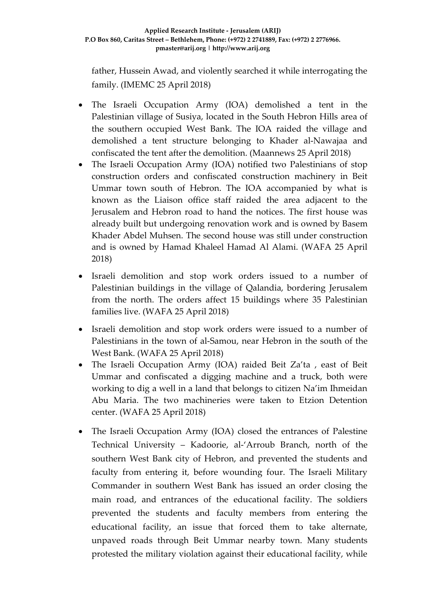father, Hussein Awad, and violently searched it while interrogating the family. (IMEMC 25 April 2018)

- The Israeli Occupation Army (IOA) demolished a tent in the Palestinian village of Susiya, located in the South Hebron Hills area of the southern occupied West Bank. The IOA raided the village and demolished a tent structure belonging to Khader al-Nawajaa and confiscated the tent after the demolition. (Maannews 25 April 2018)
- The Israeli Occupation Army (IOA) notified two Palestinians of stop construction orders and confiscated construction machinery in Beit Ummar town south of Hebron. The IOA accompanied by what is known as the Liaison office staff raided the area adjacent to the Jerusalem and Hebron road to hand the notices. The first house was already built but undergoing renovation work and is owned by Basem Khader Abdel Muhsen. The second house was still under construction and is owned by Hamad Khaleel Hamad Al Alami. (WAFA 25 April 2018)
- Israeli demolition and stop work orders issued to a number of Palestinian buildings in the village of Qalandia, bordering Jerusalem from the north. The orders affect 15 buildings where 35 Palestinian families live. (WAFA 25 April 2018)
- Israeli demolition and stop work orders were issued to a number of Palestinians in the town of al-Samou, near Hebron in the south of the West Bank. (WAFA 25 April 2018)
- The Israeli Occupation Army (IOA) raided Beit Za'ta , east of Beit Ummar and confiscated a digging machine and a truck, both were working to dig a well in a land that belongs to citizen Na'im Ihmeidan Abu Maria. The two machineries were taken to Etzion Detention center. (WAFA 25 April 2018)
- The Israeli Occupation Army (IOA) closed the entrances of Palestine Technical University – Kadoorie, al-'Arroub Branch, north of the southern West Bank city of Hebron, and prevented the students and faculty from entering it, before wounding four. The Israeli Military Commander in southern West Bank has issued an order closing the main road, and entrances of the educational facility. The soldiers prevented the students and faculty members from entering the educational facility, an issue that forced them to take alternate, unpaved roads through Beit Ummar nearby town. Many students protested the military violation against their educational facility, while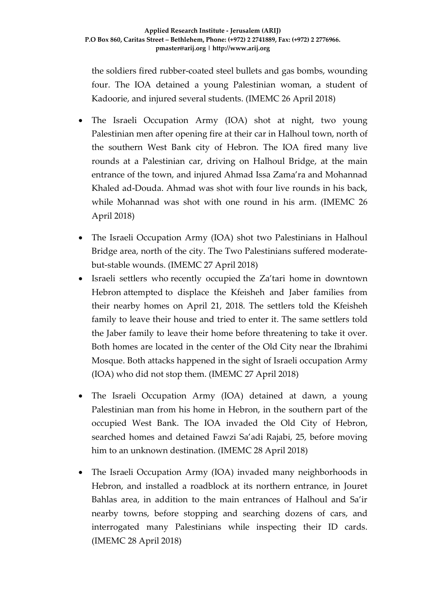the soldiers fired rubber-coated steel bullets and gas bombs, wounding four. The IOA detained a young Palestinian woman, a student of Kadoorie, and injured several students. (IMEMC 26 April 2018)

- The Israeli Occupation Army (IOA) shot at night, two young Palestinian men after opening fire at their car in Halhoul town, north of the southern West Bank city of Hebron. The IOA fired many live rounds at a Palestinian car, driving on Halhoul Bridge, at the main entrance of the town, and injured Ahmad Issa Zama'ra and Mohannad Khaled ad-Douda. Ahmad was shot with four live rounds in his back, while Mohannad was shot with one round in his arm. (IMEMC 26 April 2018)
- The Israeli Occupation Army (IOA) shot two Palestinians in Halhoul Bridge area, north of the city. The Two Palestinians suffered moderatebut-stable wounds. (IMEMC 27 April 2018)
- Israeli settlers who recently occupied the Za'tari home in downtown Hebron attempted to displace the Kfeisheh and Jaber families from their nearby homes on April 21, 2018. The settlers told the Kfeisheh family to leave their house and tried to enter it. The same settlers told the Jaber family to leave their home before threatening to take it over. Both homes are located in the center of the Old City near the Ibrahimi Mosque. Both attacks happened in the sight of Israeli occupation Army (IOA) who did not stop them. (IMEMC 27 April 2018)
- The Israeli Occupation Army (IOA) detained at dawn, a young Palestinian man from his home in Hebron, in the southern part of the occupied West Bank. The IOA invaded the Old City of Hebron, searched homes and detained Fawzi Sa'adi Rajabi, 25, before moving him to an unknown destination. (IMEMC 28 April 2018)
- The Israeli Occupation Army (IOA) invaded many neighborhoods in Hebron, and installed a roadblock at its northern entrance, in Jouret Bahlas area, in addition to the main entrances of Halhoul and Sa'ir nearby towns, before stopping and searching dozens of cars, and interrogated many Palestinians while inspecting their ID cards. (IMEMC 28 April 2018)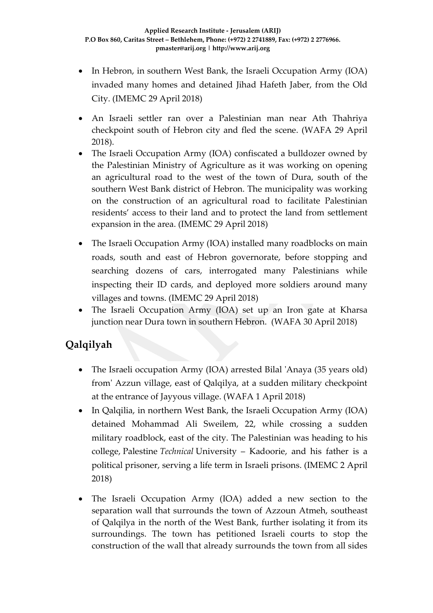- In Hebron, in southern West Bank, the Israeli Occupation Army (IOA) invaded many homes and detained Jihad Hafeth Jaber, from the Old City. (IMEMC 29 April 2018)
- An Israeli settler ran over a Palestinian man near Ath Thahriya checkpoint south of Hebron city and fled the scene. (WAFA 29 April 2018).
- The Israeli Occupation Army (IOA) confiscated a bulldozer owned by the Palestinian Ministry of Agriculture as it was working on opening an agricultural road to the west of the town of Dura, south of the southern West Bank district of Hebron. The municipality was working on the construction of an agricultural road to facilitate Palestinian residents' access to their land and to protect the land from settlement expansion in the area. (IMEMC 29 April 2018)
- The Israeli Occupation Army (IOA) installed many roadblocks on main roads, south and east of Hebron governorate, before stopping and searching dozens of cars, interrogated many Palestinians while inspecting their ID cards, and deployed more soldiers around many villages and towns. (IMEMC 29 April 2018)
- The Israeli Occupation Army (IOA) set up an Iron gate at Kharsa junction near Dura town in southern Hebron. (WAFA 30 April 2018)

# **Qalqilyah**

- The Israeli occupation Army (IOA) arrested Bilal 'Anaya (35 years old) from' Azzun village, east of Qalqilya, at a sudden military checkpoint at the entrance of Jayyous village. (WAFA 1 April 2018)
- In Qalqilia, in northern West Bank, the Israeli Occupation Army (IOA) detained Mohammad Ali Sweilem, 22, while crossing a sudden military roadblock, east of the city. The Palestinian was heading to his college, Palestine *Technical* University – Kadoorie, and his father is a political prisoner, serving a life term in Israeli prisons. (IMEMC 2 April 2018)
- The Israeli Occupation Army (IOA) added a new section to the separation wall that surrounds the town of Azzoun Atmeh, southeast of Qalqilya in the north of the West Bank, further isolating it from its surroundings. The town has petitioned Israeli courts to stop the construction of the wall that already surrounds the town from all sides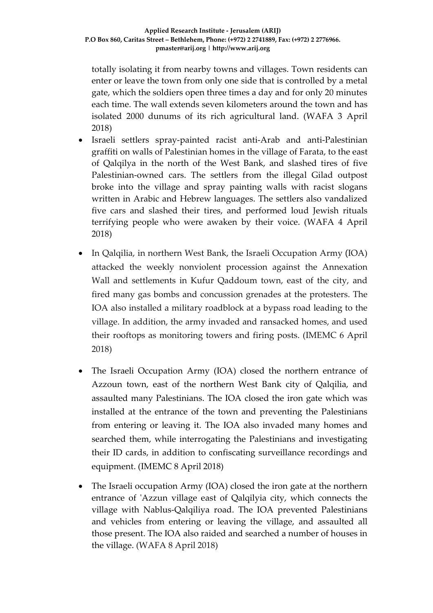totally isolating it from nearby towns and villages. Town residents can enter or leave the town from only one side that is controlled by a metal gate, which the soldiers open three times a day and for only 20 minutes each time. The wall extends seven kilometers around the town and has isolated 2000 dunums of its rich agricultural land. (WAFA 3 April 2018)

- Israeli settlers spray-painted racist anti-Arab and anti-Palestinian graffiti on walls of Palestinian homes in the village of Farata, to the east of Qalqilya in the north of the West Bank, and slashed tires of five Palestinian-owned cars. The settlers from the illegal Gilad outpost broke into the village and spray painting walls with racist slogans written in Arabic and Hebrew languages. The settlers also vandalized five cars and slashed their tires, and performed loud Jewish rituals terrifying people who were awaken by their voice. (WAFA 4 April 2018)
- In Qalqilia, in northern West Bank, the Israeli Occupation Army (IOA) attacked the weekly nonviolent procession against the Annexation Wall and settlements in Kufur Qaddoum town, east of the city, and fired many gas bombs and concussion grenades at the protesters. The IOA also installed a military roadblock at a bypass road leading to the village. In addition, the army invaded and ransacked homes, and used their rooftops as monitoring towers and firing posts. (IMEMC 6 April 2018)
- The Israeli Occupation Army (IOA) closed the northern entrance of Azzoun town, east of the northern West Bank city of Qalqilia, and assaulted many Palestinians. The IOA closed the iron gate which was installed at the entrance of the town and preventing the Palestinians from entering or leaving it. The IOA also invaded many homes and searched them, while interrogating the Palestinians and investigating their ID cards, in addition to confiscating surveillance recordings and equipment. (IMEMC 8 April 2018)
- The Israeli occupation Army (IOA) closed the iron gate at the northern entrance of 'Azzun village east of Qalqilyia city, which connects the village with Nablus-Qalqiliya road. The IOA prevented Palestinians and vehicles from entering or leaving the village, and assaulted all those present. The IOA also raided and searched a number of houses in the village. (WAFA 8 April 2018)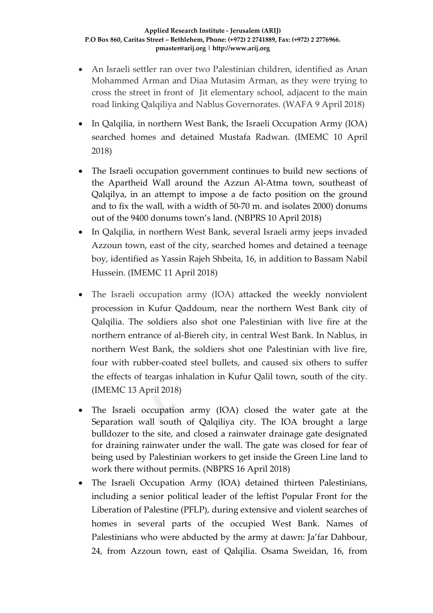- An Israeli settler ran over two Palestinian children, identified as Anan Mohammed Arman and Diaa Mutasim Arman, as they were trying to cross the street in front of Jit elementary school, adjacent to the main road linking Qalqiliya and Nablus Governorates. (WAFA 9 April 2018)
- In Qalqilia, in northern West Bank, the Israeli Occupation Army (IOA) searched homes and detained Mustafa Radwan. (IMEMC 10 April 2018)
- The Israeli occupation government continues to build new sections of the Apartheid Wall around the Azzun Al-Atma town, southeast of Qalqilya, in an attempt to impose a de facto position on the ground and to fix the wall, with a width of 50-70 m. and isolates 2000) donums out of the 9400 donums town's land. (NBPRS 10 April 2018)
- In Qalqilia, in northern West Bank, several Israeli army jeeps invaded Azzoun town, east of the city, searched homes and detained a teenage boy, identified as Yassin Rajeh Shbeita, 16, in addition to Bassam Nabil Hussein. (IMEMC 11 April 2018)
- The Israeli occupation army (IOA) attacked the weekly nonviolent procession in Kufur Qaddoum, near the northern West Bank city of Qalqilia. The soldiers also shot one Palestinian with live fire at the northern entrance of al-Biereh city, in central West Bank. In Nablus, in northern West Bank, the soldiers shot one Palestinian with live fire, four with rubber-coated steel bullets, and caused six others to suffer the effects of teargas inhalation in Kufur Qalil town, south of the city. (IMEMC 13 April 2018)
- The Israeli occupation army (IOA) closed the water gate at the Separation wall south of Qalqiliya city. The IOA brought a large bulldozer to the site, and closed a rainwater drainage gate designated for draining rainwater under the wall. The gate was closed for fear of being used by Palestinian workers to get inside the Green Line land to work there without permits. (NBPRS 16 April 2018)
- The Israeli Occupation Army (IOA) detained thirteen Palestinians, including a senior political leader of the leftist Popular Front for the Liberation of Palestine (PFLP), during extensive and violent searches of homes in several parts of the occupied West Bank. Names of Palestinians who were abducted by the army at dawn: Ja'far Dahbour, 24, from Azzoun town, east of Qalqilia. Osama Sweidan, 16, from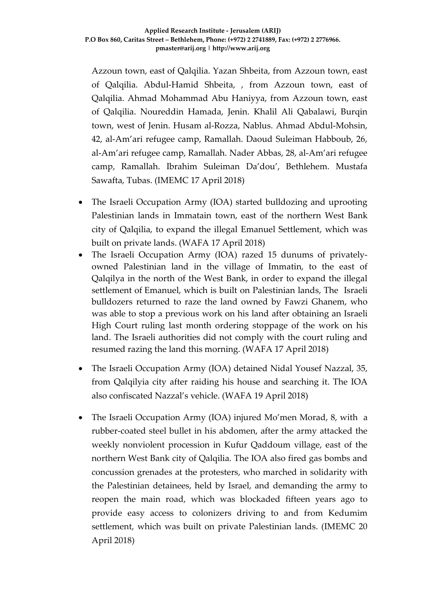Azzoun town, east of Qalqilia. Yazan Shbeita, from Azzoun town, east of Qalqilia. Abdul-Hamid Shbeita, , from Azzoun town, east of Qalqilia. Ahmad Mohammad Abu Haniyya, from Azzoun town, east of Qalqilia. Noureddin Hamada, Jenin. Khalil Ali Qabalawi, Burqin town, west of Jenin. Husam al-Rozza, Nablus. Ahmad Abdul-Mohsin, 42, al-Am'ari refugee camp, Ramallah. Daoud Suleiman Habboub, 26, al-Am'ari refugee camp, Ramallah. Nader Abbas, 28, al-Am'ari refugee camp, Ramallah. Ibrahim Suleiman Da'dou', Bethlehem. Mustafa Sawafta, Tubas. (IMEMC 17 April 2018)

- The Israeli Occupation Army (IOA) started bulldozing and uprooting Palestinian lands in Immatain town, east of the northern West Bank city of Qalqilia, to expand the illegal Emanuel Settlement, which was built on private lands. (WAFA 17 April 2018)
- The Israeli Occupation Army (IOA) razed 15 dunums of privatelyowned Palestinian land in the village of Immatin, to the east of Qalqilya in the north of the West Bank, in order to expand the illegal settlement of Emanuel, which is built on Palestinian lands, The Israeli bulldozers returned to raze the land owned by Fawzi Ghanem, who was able to stop a previous work on his land after obtaining an Israeli High Court ruling last month ordering stoppage of the work on his land. The Israeli authorities did not comply with the court ruling and resumed razing the land this morning. (WAFA 17 April 2018)
- The Israeli Occupation Army (IOA) detained Nidal Yousef Nazzal, 35, from Qalqilyia city after raiding his house and searching it. The IOA also confiscated Nazzal's vehicle. (WAFA 19 April 2018)
- The Israeli Occupation Army (IOA) injured Mo'men Morad, 8, with a rubber-coated steel bullet in his abdomen, after the army attacked the weekly nonviolent procession in Kufur Qaddoum village, east of the northern West Bank city of Qalqilia. The IOA also fired gas bombs and concussion grenades at the protesters, who marched in solidarity with the Palestinian detainees, held by Israel, and demanding the army to reopen the main road, which was blockaded fifteen years ago to provide easy access to colonizers driving to and from Kedumim settlement, which was built on private Palestinian lands. (IMEMC 20 April 2018)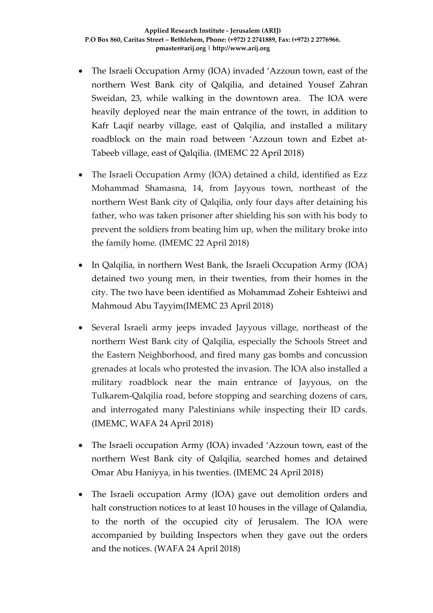- The Israeli Occupation Army (IOA) invaded 'Azzoun town, east of the northern West Bank city of Qalqilia, and detained Yousef Zahran Sweidan, 23, while walking in the downtown area. The IOA were heavily deployed near the main entrance of the town, in addition to Kafr Laqif nearby village, east of Qalqilia, and installed a military roadblock on the main road between 'Azzoun town and Ezbet at-Tabeeb village, east of Qalqilia. (IMEMC 22 April 2018)
- The Israeli Occupation Army (IOA) detained a child, identified as Ezz Mohammad Shamasna, 14, from Jayyous town, northeast of the northern West Bank city of Qalqilia, only four days after detaining his father, who was taken prisoner after shielding his son with his body to prevent the soldiers from beating him up, when the military broke into the family home. (IMEMC 22 April 2018)
- In Qalqilia, in northern West Bank, the Israeli Occupation Army (IOA) detained two young men, in their twenties, from their homes in the city. The two have been identified as Mohammad Zoheir Eshteiwi and Mahmoud Abu Tayyim(IMEMC 23 April 2018)
- Several Israeli army jeeps invaded Jayyous village, northeast of the northern West Bank city of Qalqilia, especially the Schools Street and the Eastern Neighborhood, and fired many gas bombs and concussion grenades at locals who protested the invasion. The IOA also installed a military roadblock near the main entrance of Jayyous, on the Tulkarem-Qalqilia road, before stopping and searching dozens of cars, and interrogated many Palestinians while inspecting their ID cards. (IMEMC, WAFA 24 April 2018)
- The Israeli occupation Army (IOA) invaded 'Azzoun town, east of the northern West Bank city of Qalqilia, searched homes and detained Omar Abu Haniyya, in his twenties. (IMEMC 24 April 2018)
- The Israeli occupation Army (IOA) gave out demolition orders and halt construction notices to at least 10 houses in the village of Qalandia, to the north of the occupied city of Jerusalem. The IOA were accompanied by building Inspectors when they gave out the orders and the notices. (WAFA 24 April 2018)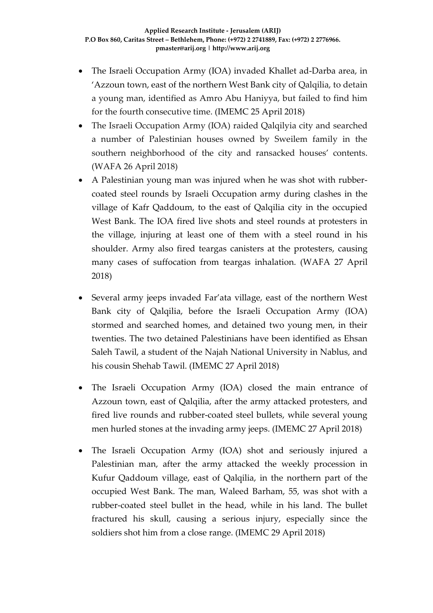- The Israeli Occupation Army (IOA) invaded Khallet ad-Darba area, in 'Azzoun town, east of the northern West Bank city of Qalqilia, to detain a young man, identified as Amro Abu Haniyya, but failed to find him for the fourth consecutive time. (IMEMC 25 April 2018)
- The Israeli Occupation Army (IOA) raided Qalqilyia city and searched a number of Palestinian houses owned by Sweilem family in the southern neighborhood of the city and ransacked houses' contents. (WAFA 26 April 2018)
- A Palestinian young man was injured when he was shot with rubbercoated steel rounds by Israeli Occupation army during clashes in the village of Kafr Qaddoum, to the east of Qalqilia city in the occupied West Bank. The IOA fired live shots and steel rounds at protesters in the village, injuring at least one of them with a steel round in his shoulder. Army also fired teargas canisters at the protesters, causing many cases of suffocation from teargas inhalation. (WAFA 27 April 2018)
- Several army jeeps invaded Far'ata village, east of the northern West Bank city of Qalqilia, before the Israeli Occupation Army (IOA) stormed and searched homes, and detained two young men, in their twenties. The two detained Palestinians have been identified as Ehsan Saleh Tawil, a student of the Najah National University in Nablus, and his cousin Shehab Tawil. (IMEMC 27 April 2018)
- The Israeli Occupation Army (IOA) closed the main entrance of Azzoun town, east of Qalqilia, after the army attacked protesters, and fired live rounds and rubber-coated steel bullets, while several young men hurled stones at the invading army jeeps. (IMEMC 27 April 2018)
- The Israeli Occupation Army (IOA) shot and seriously injured a Palestinian man, after the army attacked the weekly procession in Kufur Qaddoum village, east of Qalqilia, in the northern part of the occupied West Bank. The man, Waleed Barham, 55, was shot with a rubber-coated steel bullet in the head, while in his land. The bullet fractured his skull, causing a serious injury, especially since the soldiers shot him from a close range. (IMEMC 29 April 2018)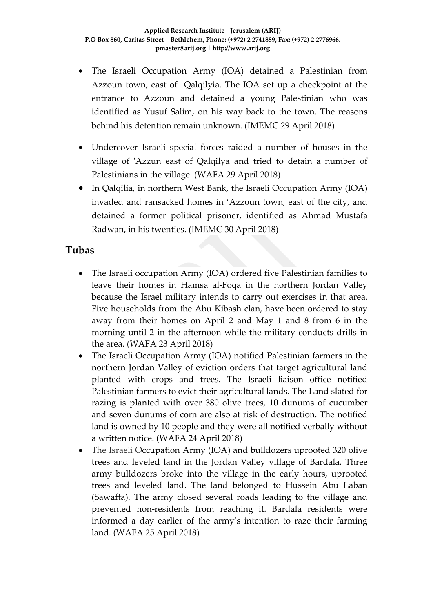- The Israeli Occupation Army (IOA) detained a Palestinian from Azzoun town, east of Qalqilyia. The IOA set up a checkpoint at the entrance to Azzoun and detained a young Palestinian who was identified as Yusuf Salim, on his way back to the town. The reasons behind his detention remain unknown. (IMEMC 29 April 2018)
- Undercover Israeli special forces raided a number of houses in the village of 'Azzun east of Qalqilya and tried to detain a number of Palestinians in the village. (WAFA 29 April 2018)
- In Qalqilia, in northern West Bank, the Israeli Occupation Army (IOA) invaded and ransacked homes in 'Azzoun town, east of the city, and detained a former political prisoner, identified as Ahmad Mustafa Radwan, in his twenties. (IMEMC 30 April 2018)

### **Tubas**

- The Israeli occupation Army (IOA) ordered five Palestinian families to leave their homes in Hamsa al-Foqa in the northern Jordan Valley because the Israel military intends to carry out exercises in that area. Five households from the Abu Kibash clan, have been ordered to stay away from their homes on April 2 and May 1 and 8 from 6 in the morning until 2 in the afternoon while the military conducts drills in the area. (WAFA 23 April 2018)
- The Israeli Occupation Army (IOA) notified Palestinian farmers in the northern Jordan Valley of eviction orders that target agricultural land planted with crops and trees. The Israeli liaison office notified Palestinian farmers to evict their agricultural lands. The Land slated for razing is planted with over 380 olive trees, 10 dunums of cucumber and seven dunums of corn are also at risk of destruction. The notified land is owned by 10 people and they were all notified verbally without a written notice. (WAFA 24 April 2018)
- The Israeli Occupation Army (IOA) and bulldozers uprooted 320 olive trees and leveled land in the Jordan Valley village of Bardala. Three army bulldozers broke into the village in the early hours, uprooted trees and leveled land. The land belonged to Hussein Abu Laban (Sawafta). The army closed several roads leading to the village and prevented non-residents from reaching it. Bardala residents were informed a day earlier of the army's intention to raze their farming land. (WAFA 25 April 2018)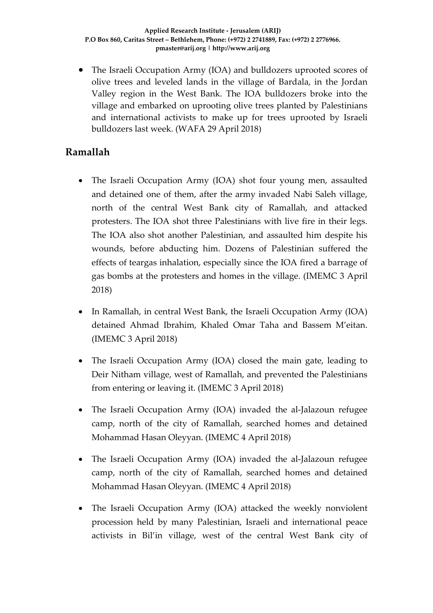• The Israeli Occupation Army (IOA) and bulldozers uprooted scores of olive trees and leveled lands in the village of Bardala, in the Jordan Valley region in the West Bank. The IOA bulldozers broke into the village and embarked on uprooting olive trees planted by Palestinians and international activists to make up for trees uprooted by Israeli bulldozers last week. (WAFA 29 April 2018)

### **Ramallah**

- The Israeli Occupation Army (IOA) shot four young men, assaulted and detained one of them, after the army invaded Nabi Saleh village, north of the central West Bank city of Ramallah, and attacked protesters. The IOA shot three Palestinians with live fire in their legs. The IOA also shot another Palestinian, and assaulted him despite his wounds, before abducting him. Dozens of Palestinian suffered the effects of teargas inhalation, especially since the IOA fired a barrage of gas bombs at the protesters and homes in the village. (IMEMC 3 April 2018)
- In Ramallah, in central West Bank, the Israeli Occupation Army (IOA) detained Ahmad Ibrahim, Khaled Omar Taha and Bassem M'eitan. (IMEMC 3 April 2018)
- The Israeli Occupation Army (IOA) closed the main gate, leading to Deir Nitham village, west of Ramallah, and prevented the Palestinians from entering or leaving it. (IMEMC 3 April 2018)
- The Israeli Occupation Army (IOA) invaded the al-Jalazoun refugee camp, north of the city of Ramallah, searched homes and detained Mohammad Hasan Oleyyan. (IMEMC 4 April 2018)
- The Israeli Occupation Army (IOA) invaded the al-Jalazoun refugee camp, north of the city of Ramallah, searched homes and detained Mohammad Hasan Oleyyan. (IMEMC 4 April 2018)
- The Israeli Occupation Army (IOA) attacked the weekly nonviolent procession held by many Palestinian, Israeli and international peace activists in Bil'in village, west of the central West Bank city of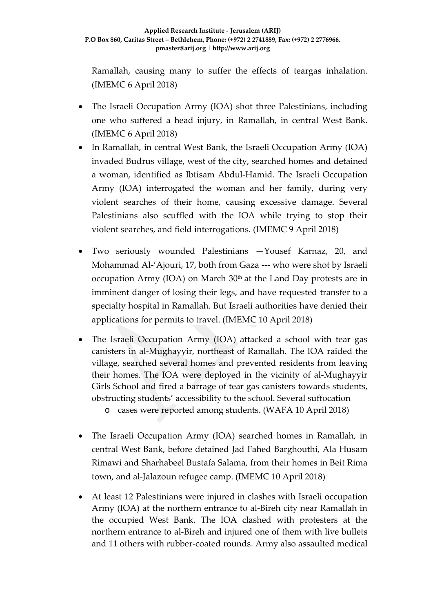Ramallah, causing many to suffer the effects of teargas inhalation. (IMEMC 6 April 2018)

- The Israeli Occupation Army (IOA) shot three Palestinians, including one who suffered a head injury, in Ramallah, in central West Bank. (IMEMC 6 April 2018)
- In Ramallah, in central West Bank, the Israeli Occupation Army (IOA) invaded Budrus village, west of the city, searched homes and detained a woman, identified as Ibtisam Abdul-Hamid. The Israeli Occupation Army (IOA) interrogated the woman and her family, during very violent searches of their home, causing excessive damage. Several Palestinians also scuffled with the IOA while trying to stop their violent searches, and field interrogations. (IMEMC 9 April 2018)
- Two seriously wounded Palestinians —Yousef Karnaz, 20, and Mohammad Al-'Ajouri, 17, both from Gaza --- who were shot by Israeli occupation Army (IOA) on March  $30<sup>th</sup>$  at the Land Day protests are in imminent danger of losing their legs, and have requested transfer to a specialty hospital in Ramallah. But Israeli authorities have denied their applications for permits to travel. (IMEMC 10 April 2018)
- The Israeli Occupation Army (IOA) attacked a school with tear gas canisters in al-Mughayyir, northeast of Ramallah. The IOA raided the village, searched several homes and prevented residents from leaving their homes. The IOA were deployed in the vicinity of al-Mughayyir Girls School and fired a barrage of tear gas canisters towards students, obstructing students' accessibility to the school. Several suffocation

o cases were reported among students. (WAFA 10 April 2018)

- The Israeli Occupation Army (IOA) searched homes in Ramallah, in central West Bank, before detained Jad Fahed Barghouthi, Ala Husam Rimawi and Sharhabeel Bustafa Salama, from their homes in Beit Rima town, and al-Jalazoun refugee camp. (IMEMC 10 April 2018)
- At least 12 Palestinians were injured in clashes with Israeli occupation Army (IOA) at the northern entrance to al-Bireh city near Ramallah in the occupied West Bank. The IOA clashed with protesters at the northern entrance to al-Bireh and injured one of them with live bullets and 11 others with rubber-coated rounds. Army also assaulted medical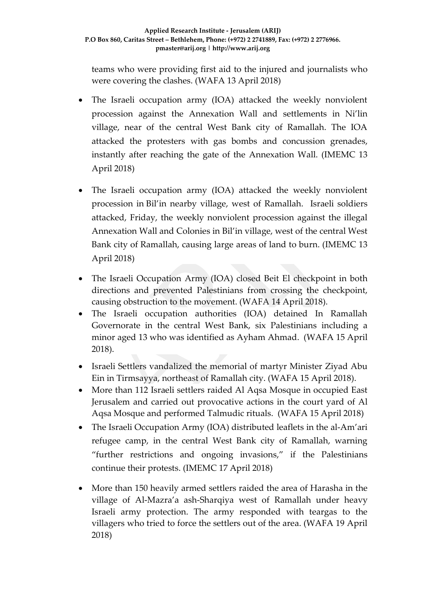teams who were providing first aid to the injured and journalists who were covering the clashes. (WAFA 13 April 2018)

- The Israeli occupation army (IOA) attacked the weekly nonviolent procession against the Annexation Wall and settlements in Ni'lin village, near of the central West Bank city of Ramallah. The IOA attacked the protesters with gas bombs and concussion grenades, instantly after reaching the gate of the Annexation Wall. (IMEMC 13 April 2018)
- The Israeli occupation army (IOA) attacked the weekly nonviolent procession in Bil'in nearby village, west of Ramallah. Israeli soldiers attacked, Friday, the weekly nonviolent procession against the illegal Annexation Wall and Colonies in Bil'in village, west of the central West Bank city of Ramallah, causing large areas of land to burn. (IMEMC 13 April 2018)
- The Israeli Occupation Army (IOA) closed Beit El checkpoint in both directions and prevented Palestinians from crossing the checkpoint, causing obstruction to the movement. (WAFA 14 April 2018).
- The Israeli occupation authorities (IOA) detained In Ramallah Governorate in the central West Bank, six Palestinians including a minor aged 13 who was identified as Ayham Ahmad. (WAFA 15 April 2018).
- Israeli Settlers vandalized the memorial of martyr Minister Ziyad Abu Ein in Tirmsayya, northeast of Ramallah city. (WAFA 15 April 2018).
- More than 112 Israeli settlers raided Al Aqsa Mosque in occupied East Jerusalem and carried out provocative actions in the court yard of Al Aqsa Mosque and performed Talmudic rituals. (WAFA 15 April 2018)
- The Israeli Occupation Army (IOA) distributed leaflets in the al-Am'ari refugee camp, in the central West Bank city of Ramallah, warning "further restrictions and ongoing invasions," if the Palestinians continue their protests. (IMEMC 17 April 2018)
- More than 150 heavily armed settlers raided the area of Harasha in the village of Al-Mazra'a ash-Sharqiya west of Ramallah under heavy Israeli army protection. The army responded with teargas to the villagers who tried to force the settlers out of the area. (WAFA 19 April 2018)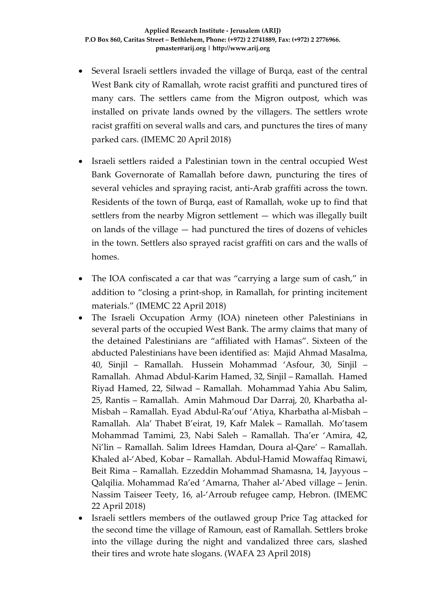- Several Israeli settlers invaded the village of Burqa, east of the central West Bank city of Ramallah, wrote racist graffiti and punctured tires of many cars. The settlers came from the Migron outpost, which was installed on private lands owned by the villagers. The settlers wrote racist graffiti on several walls and cars, and punctures the tires of many parked cars. (IMEMC 20 April 2018)
- Israeli settlers raided a Palestinian town in the central occupied West Bank Governorate of Ramallah before dawn, puncturing the tires of several vehicles and spraying racist, anti-Arab graffiti across the town. Residents of the town of Burqa, east of Ramallah, woke up to find that settlers from the nearby Migron settlement — which was illegally built on lands of the village — had punctured the tires of dozens of vehicles in the town. Settlers also sprayed racist graffiti on cars and the walls of homes.
- The IOA confiscated a car that was "carrying a large sum of cash," in addition to "closing a print-shop, in Ramallah, for printing incitement materials." (IMEMC 22 April 2018)
- The Israeli Occupation Army (IOA) nineteen other Palestinians in several parts of the occupied West Bank. The army claims that many of the detained Palestinians are "affiliated with Hamas". Sixteen of the abducted Palestinians have been identified as: Majid Ahmad Masalma, 40, Sinjil – Ramallah. Hussein Mohammad 'Asfour, 30, Sinjil – Ramallah. Ahmad Abdul-Karim Hamed, 32, Sinjil – Ramallah. Hamed Riyad Hamed, 22, Silwad – Ramallah. Mohammad Yahia Abu Salim, 25, Rantis – Ramallah. Amin Mahmoud Dar Darraj, 20, Kharbatha al-Misbah – Ramallah. Eyad Abdul-Ra'ouf 'Atiya, Kharbatha al-Misbah – Ramallah. Ala' Thabet B'eirat, 19, Kafr Malek – Ramallah. Mo'tasem Mohammad Tamimi, 23, Nabi Saleh – Ramallah. Tha'er 'Amira, 42, Ni'lin – Ramallah. Salim Idrees Hamdan, Doura al-Qare' – Ramallah. Khaled al-'Abed, Kobar – Ramallah. Abdul-Hamid Mowaffaq Rimawi, Beit Rima – Ramallah. Ezzeddin Mohammad Shamasna, 14, Jayyous – Qalqilia. Mohammad Ra'ed 'Amarna, Thaher al-'Abed village – Jenin. Nassim Taiseer Teety, 16, al-'Arroub refugee camp, Hebron. (IMEMC 22 April 2018)
- Israeli settlers members of the outlawed group Price Tag attacked for the second time the village of Ramoun, east of Ramallah. Settlers broke into the village during the night and vandalized three cars, slashed their tires and wrote hate slogans. (WAFA 23 April 2018)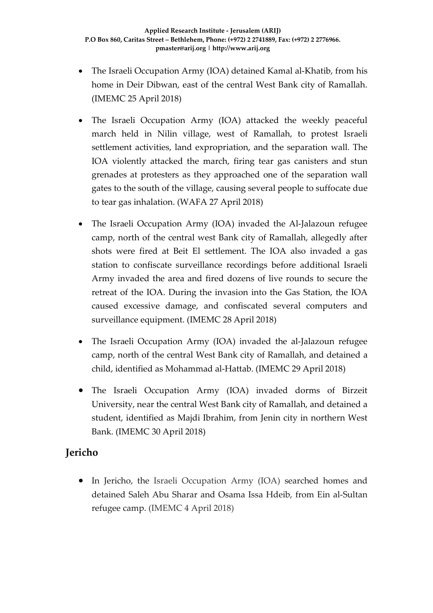- The Israeli Occupation Army (IOA) detained Kamal al-Khatib, from his home in Deir Dibwan, east of the central West Bank city of Ramallah. (IMEMC 25 April 2018)
- The Israeli Occupation Army (IOA) attacked the weekly peaceful march held in Nilin village, west of Ramallah, to protest Israeli settlement activities, land expropriation, and the separation wall. The IOA violently attacked the march, firing tear gas canisters and stun grenades at protesters as they approached one of the separation wall gates to the south of the village, causing several people to suffocate due to tear gas inhalation. (WAFA 27 April 2018)
- The Israeli Occupation Army (IOA) invaded the Al-Jalazoun refugee camp, north of the central west Bank city of Ramallah, allegedly after shots were fired at Beit El settlement. The IOA also invaded a gas station to confiscate surveillance recordings before additional Israeli Army invaded the area and fired dozens of live rounds to secure the retreat of the IOA. During the invasion into the Gas Station, the IOA caused excessive damage, and confiscated several computers and surveillance equipment. (IMEMC 28 April 2018)
- The Israeli Occupation Army (IOA) invaded the al-Jalazoun refugee camp, north of the central West Bank city of Ramallah, and detained a child, identified as Mohammad al-Hattab. (IMEMC 29 April 2018)
- The Israeli Occupation Army (IOA) invaded dorms of Birzeit University, near the central West Bank city of Ramallah, and detained a student, identified as Majdi Ibrahim, from Jenin city in northern West Bank. (IMEMC 30 April 2018)

# **Jericho**

• In Jericho, the Israeli Occupation Army (IOA) searched homes and detained Saleh Abu Sharar and Osama Issa Hdeib, from Ein al-Sultan refugee camp. (IMEMC 4 April 2018)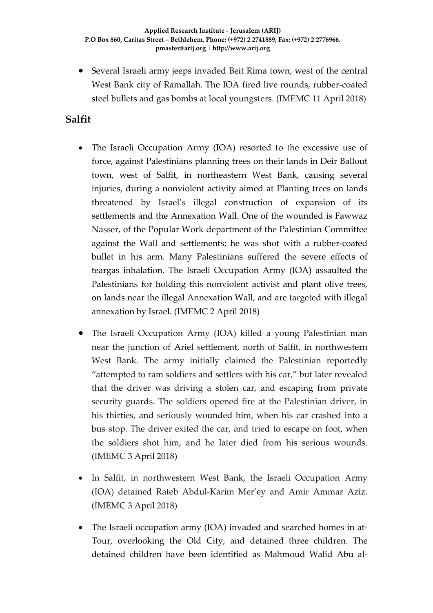• Several Israeli army jeeps invaded Beit Rima town, west of the central West Bank city of Ramallah. The IOA fired live rounds, rubber-coated steel bullets and gas bombs at local youngsters. (IMEMC 11 April 2018)

## **Salfit**

- The Israeli Occupation Army (IOA) resorted to the excessive use of force, against Palestinians planning trees on their lands in Deir Ballout town, west of Salfit, in northeastern West Bank, causing several injuries, during a nonviolent activity aimed at Planting trees on lands threatened by Israel's illegal construction of expansion of its settlements and the Annexation Wall. One of the wounded is Fawwaz Nasser, of the Popular Work department of the Palestinian Committee against the Wall and settlements; he was shot with a rubber-coated bullet in his arm. Many Palestinians suffered the severe effects of teargas inhalation. The Israeli Occupation Army (IOA) assaulted the Palestinians for holding this nonviolent activist and plant olive trees, on lands near the illegal Annexation Wall, and are targeted with illegal annexation by Israel. (IMEMC 2 April 2018)
- The Israeli Occupation Army (IOA) killed a young Palestinian man near the junction of Ariel settlement, north of Salfit, in northwestern West Bank. The army initially claimed the Palestinian reportedly "attempted to ram soldiers and settlers with his car," but later revealed that the driver was driving a stolen car, and escaping from private security guards. The soldiers opened fire at the Palestinian driver, in his thirties, and seriously wounded him, when his car crashed into a bus stop. The driver exited the car, and tried to escape on foot, when the soldiers shot him, and he later died from his serious wounds. (IMEMC 3 April 2018)
- In Salfit, in northwestern West Bank, the Israeli Occupation Army (IOA) detained Rateb Abdul-Karim Mer'ey and Amir Ammar Aziz. (IMEMC 3 April 2018)
- The Israeli occupation army (IOA) invaded and searched homes in at-Tour, overlooking the Old City, and detained three children. The detained children have been identified as Mahmoud Walid Abu al-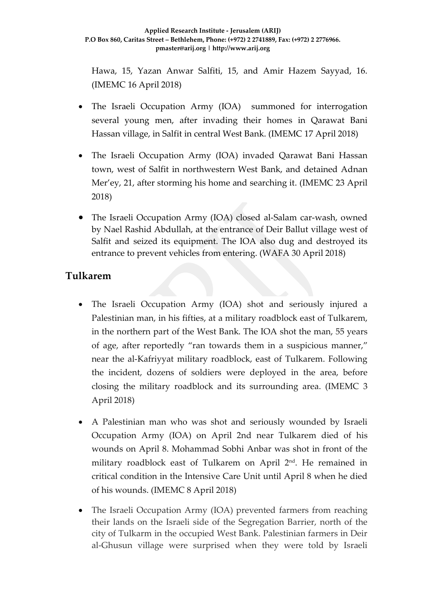Hawa, 15, Yazan Anwar Salfiti, 15, and Amir Hazem Sayyad, 16. (IMEMC 16 April 2018)

- The Israeli Occupation Army (IOA) summoned for interrogation several young men, after invading their homes in Qarawat Bani Hassan village, in Salfit in central West Bank. (IMEMC 17 April 2018)
- The Israeli Occupation Army (IOA) invaded Qarawat Bani Hassan town, west of Salfit in northwestern West Bank, and detained Adnan Mer'ey, 21, after storming his home and searching it. (IMEMC 23 April 2018)
- The Israeli Occupation Army (IOA) closed al-Salam car-wash, owned by Nael Rashid Abdullah, at the entrance of Deir Ballut village west of Salfit and seized its equipment. The IOA also dug and destroyed its entrance to prevent vehicles from entering. (WAFA 30 April 2018)

### **Tulkarem**

- The Israeli Occupation Army (IOA) shot and seriously injured a Palestinian man, in his fifties, at a military roadblock east of Tulkarem, in the northern part of the West Bank. The IOA shot the man, 55 years of age, after reportedly "ran towards them in a suspicious manner," near the al-Kafriyyat military roadblock, east of Tulkarem. Following the incident, dozens of soldiers were deployed in the area, before closing the military roadblock and its surrounding area. (IMEMC 3 April 2018)
- A Palestinian man who was shot and seriously wounded by Israeli Occupation Army (IOA) on April 2nd near Tulkarem died of his wounds on April 8. Mohammad Sobhi Anbar was shot in front of the military roadblock east of Tulkarem on April 2nd. He remained in critical condition in the Intensive Care Unit until April 8 when he died of his wounds. (IMEMC 8 April 2018)
- The Israeli Occupation Army (IOA) prevented farmers from reaching their lands on the Israeli side of the Segregation Barrier, north of the city of Tulkarm in the occupied West Bank. Palestinian farmers in Deir al-Ghusun village were surprised when they were told by Israeli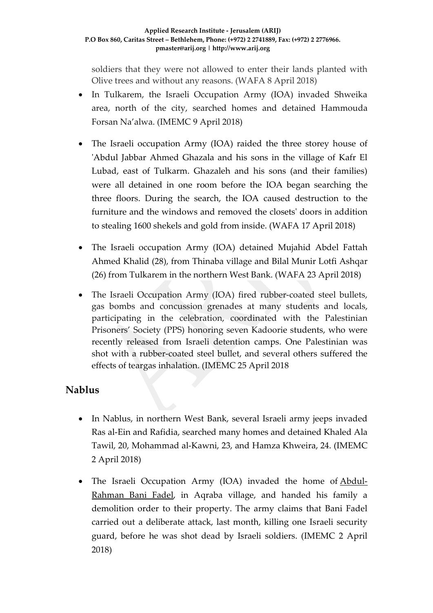#### **Applied Research Institute - Jerusalem (ARIJ) P.O Box 860, Caritas Street – Bethlehem, Phone: (+972) 2 2741889, Fax: (+972) 2 2776966. pmaster@arij.org | http://www.arij.org**

soldiers that they were not allowed to enter their lands planted with Olive trees and without any reasons. (WAFA 8 April 2018)

- In Tulkarem, the Israeli Occupation Army (IOA) invaded Shweika area, north of the city, searched homes and detained Hammouda Forsan Na'alwa. (IMEMC 9 April 2018)
- The Israeli occupation Army (IOA) raided the three storey house of 'Abdul Jabbar Ahmed Ghazala and his sons in the village of Kafr El Lubad, east of Tulkarm. Ghazaleh and his sons (and their families) were all detained in one room before the IOA began searching the three floors. During the search, the IOA caused destruction to the furniture and the windows and removed the closets' doors in addition to stealing 1600 shekels and gold from inside. (WAFA 17 April 2018)
- The Israeli occupation Army (IOA) detained Mujahid Abdel Fattah Ahmed Khalid (28), from Thinaba village and Bilal Munir Lotfi Ashqar (26) from Tulkarem in the northern West Bank. (WAFA 23 April 2018)
- The Israeli Occupation Army (IOA) fired rubber-coated steel bullets, gas bombs and concussion grenades at many students and locals, participating in the celebration, coordinated with the Palestinian Prisoners' Society (PPS) honoring seven Kadoorie students, who were recently released from Israeli detention camps. One Palestinian was shot with a rubber-coated steel bullet, and several others suffered the effects of teargas inhalation. (IMEMC 25 April 2018

# **Nablus**

- In Nablus, in northern West Bank, several Israeli army jeeps invaded Ras al-Ein and Rafidia, searched many homes and detained Khaled Ala Tawil, 20, Mohammad al-Kawni, 23, and Hamza Khweira, 24. (IMEMC 2 April 2018)
- The Israeli Occupation Army (IOA) invaded the home of [Abdul-](https://israelpalestinetimeline.org/abdul-rahman-bani-fadel/)[Rahman Bani Fadel,](https://israelpalestinetimeline.org/abdul-rahman-bani-fadel/) in Aqraba village, and handed his family a demolition order to their property. The army claims that Bani Fadel carried out a deliberate attack, last month, killing one Israeli security guard, before he was shot dead by Israeli soldiers. (IMEMC 2 April 2018)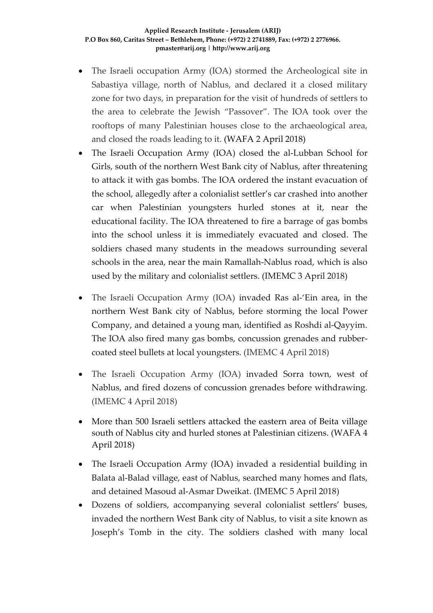- The Israeli occupation Army (IOA) stormed the Archeological site in Sabastiya village, north of Nablus, and declared it a closed military zone for two days, in preparation for the visit of hundreds of settlers to the area to celebrate the Jewish "Passover". The IOA took over the rooftops of many Palestinian houses close to the archaeological area, and closed the roads leading to it. (WAFA 2 April 2018)
- The Israeli Occupation Army (IOA) closed the al-Lubban School for Girls, south of the northern West Bank city of Nablus, after threatening to attack it with gas bombs. The IOA ordered the instant evacuation of the school, allegedly after a colonialist settler's car crashed into another car when Palestinian youngsters hurled stones at it, near the educational facility. The IOA threatened to fire a barrage of gas bombs into the school unless it is immediately evacuated and closed. The soldiers chased many students in the meadows surrounding several schools in the area, near the main Ramallah-Nablus road, which is also used by the military and colonialist settlers. (IMEMC 3 April 2018)
- The Israeli Occupation Army (IOA) invaded Ras al-'Ein area, in the northern West Bank city of Nablus, before storming the local Power Company, and detained a young man, identified as Roshdi al-Qayyim. The IOA also fired many gas bombs, concussion grenades and rubbercoated steel bullets at local youngsters. (IMEMC 4 April 2018)
- The Israeli Occupation Army (IOA) invaded Sorra town, west of Nablus, and fired dozens of concussion grenades before withdrawing. (IMEMC 4 April 2018)
- More than 500 Israeli settlers attacked the eastern area of Beita village south of Nablus city and hurled stones at Palestinian citizens. (WAFA 4 April 2018)
- The Israeli Occupation Army (IOA) invaded a residential building in Balata al-Balad village, east of Nablus, searched many homes and flats, and detained Masoud al-Asmar Dweikat. (IMEMC 5 April 2018)
- Dozens of soldiers, accompanying several colonialist settlers' buses, invaded the northern West Bank city of Nablus, to visit a site known as Joseph's Tomb in the city. The soldiers clashed with many local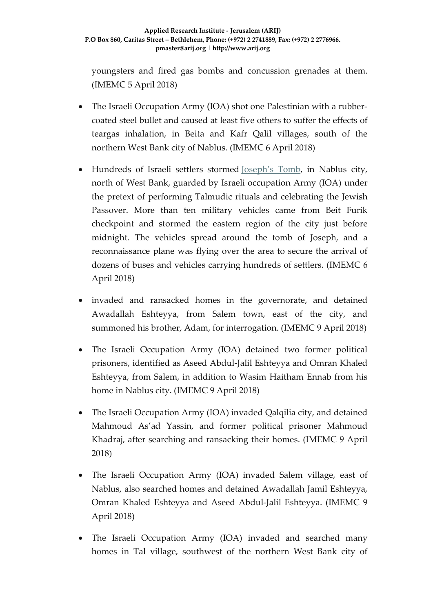youngsters and fired gas bombs and concussion grenades at them. (IMEMC 5 April 2018)

- The Israeli Occupation Army (IOA) shot one Palestinian with a rubbercoated steel bullet and caused at least five others to suffer the effects of teargas inhalation, in Beita and Kafr Qalil villages, south of the northern West Bank city of Nablus. (IMEMC 6 April 2018)
- Hundreds of Israeli settlers stormed [Joseph's Tomb,](http://imemc.org/?s=joseph%27s+tomb) in Nablus city, north of West Bank, guarded by Israeli occupation Army (IOA) under the pretext of performing Talmudic rituals and celebrating the Jewish Passover. More than ten military vehicles came from Beit Furik checkpoint and stormed the eastern region of the city just before midnight. The vehicles spread around the tomb of Joseph, and a reconnaissance plane was flying over the area to secure the arrival of dozens of buses and vehicles carrying hundreds of settlers. (IMEMC 6 April 2018)
- invaded and ransacked homes in the governorate, and detained Awadallah Eshteyya, from Salem town, east of the city, and summoned his brother, Adam, for interrogation. (IMEMC 9 April 2018)
- The Israeli Occupation Army (IOA) detained two former political prisoners, identified as Aseed Abdul-Jalil Eshteyya and Omran Khaled Eshteyya, from Salem, in addition to Wasim Haitham Ennab from his home in Nablus city. (IMEMC 9 April 2018)
- The Israeli Occupation Army (IOA) invaded Qalqilia city, and detained Mahmoud As'ad Yassin, and former political prisoner Mahmoud Khadraj, after searching and ransacking their homes. (IMEMC 9 April 2018)
- The Israeli Occupation Army (IOA) invaded Salem village, east of Nablus, also searched homes and detained Awadallah Jamil Eshteyya, Omran Khaled Eshteyya and Aseed Abdul-Jalil Eshteyya. (IMEMC 9 April 2018)
- The Israeli Occupation Army (IOA) invaded and searched many homes in Tal village, southwest of the northern West Bank city of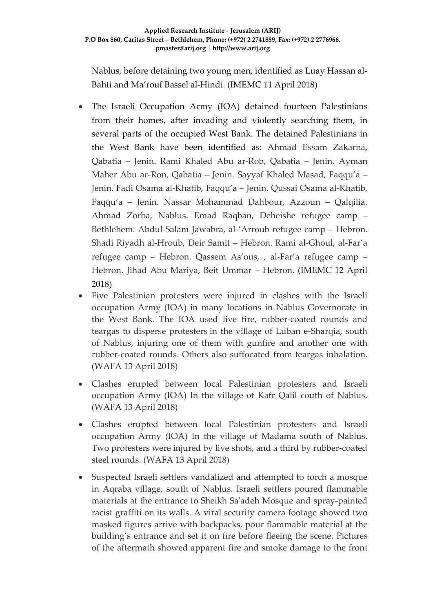Nablus, before detaining two young men, identified as Luay Hassan al-Bahti and Ma'rouf Bassel al-Hindi. (IMEMC 11 April 2018)

- The Israeli Occupation Army (IOA) detained fourteen Palestinians from their homes, after invading and violently searching them, in several parts of the occupied West Bank. The detained Palestinians in the West Bank have been identified as: Ahmad Essam Zakarna, Qabatia – Jenin. Rami Khaled Abu ar-Rob, Qabatia – Jenin. Ayman Maher Abu ar-Ron, Qabatia – Jenin. Sayyaf Khaled Masad, Faqqu'a – Jenin. Fadi Osama al-Khatib, Faqqu'a – Jenin. Qussai Osama al-Khatib, Faqqu'a – Jenin. Nassar Mohammad Dahbour, Azzoun – Qalqilia. Ahmad Zorba, Nablus. Emad Raqban, Deheishe refugee camp – Bethlehem. Abdul-Salam Jawabra, al-'Arroub refugee camp – Hebron. Shadi Riyadh al-Hroub, Deir Samit – Hebron. Rami al-Ghoul, al-Far'a refugee camp – Hebron. Qassem As'ous, , al-Far'a refugee camp – Hebron. Jihad Abu Mariya, Beit Ummar – Hebron. (IMEMC 12 April 2018)
- Five Palestinian protesters were injured in clashes with the Israeli occupation Army (IOA) in many locations in Nablus Governorate in the West Bank. The IOA used live fire, rubber-coated rounds and teargas to disperse protesters in the village of Luban e-Sharqia, south of Nablus, injuring one of them with gunfire and another one with rubber-coated rounds. Others also suffocated from teargas inhalation. (WAFA 13 April 2018)
- Clashes erupted between local Palestinian protesters and Israeli occupation Army (IOA) In the village of Kafr Qalil couth of Nablus. (WAFA 13 April 2018)
- Clashes erupted between local Palestinian protesters and Israeli occupation Army (IOA) In the village of Madama south of Nablus. Two protesters were injured by live shots, and a third by rubber-coated steel rounds. (WAFA 13 April 2018)
- Suspected Israeli settlers vandalized and attempted to torch a mosque in Aqraba village, south of Nablus. Israeli settlers poured flammable materials at the entrance to Sheikh Sa'adeh Mosque and spray-painted racist graffiti on its walls. A viral security camera footage showed two masked figures arrive with backpacks, pour flammable material at the building's entrance and set it on fire before fleeing the scene. Pictures of the aftermath showed apparent fire and smoke damage to the front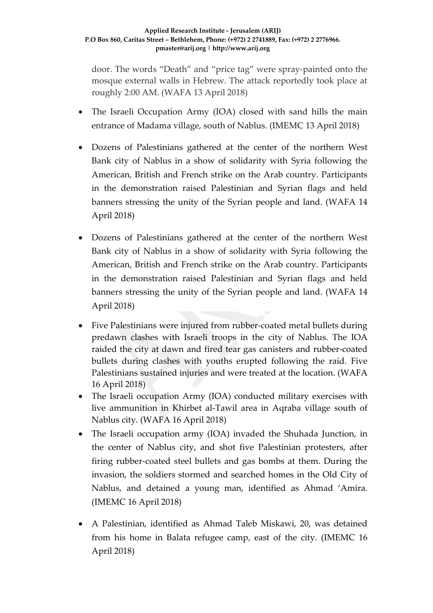door. The words "Death" and "price tag" were spray-painted onto the mosque external walls in Hebrew. The attack reportedly took place at roughly 2:00 AM. (WAFA 13 April 2018)

- The Israeli Occupation Army (IOA) closed with sand hills the main entrance of Madama village, south of Nablus. (IMEMC 13 April 2018)
- Dozens of Palestinians gathered at the center of the northern West Bank city of Nablus in a show of solidarity with Syria following the American, British and French strike on the Arab country. Participants in the demonstration raised Palestinian and Syrian flags and held banners stressing the unity of the Syrian people and land. (WAFA 14 April 2018)
- Dozens of Palestinians gathered at the center of the northern West Bank city of Nablus in a show of solidarity with Syria following the American, British and French strike on the Arab country. Participants in the demonstration raised Palestinian and Syrian flags and held banners stressing the unity of the Syrian people and land. (WAFA 14 April 2018)
- Five Palestinians were injured from rubber-coated metal bullets during predawn clashes with Israeli troops in the city of Nablus. The IOA raided the city at dawn and fired tear gas canisters and rubber-coated bullets during clashes with youths erupted following the raid. Five Palestinians sustained injuries and were treated at the location. (WAFA 16 April 2018)
- The Israeli occupation Army (IOA) conducted military exercises with live ammunition in Khirbet al-Tawil area in Aqraba village south of Nablus city. (WAFA 16 April 2018)
- The Israeli occupation army (IOA) invaded the Shuhada Junction, in the center of Nablus city, and shot five Palestinian protesters, after firing rubber-coated steel bullets and gas bombs at them. During the invasion, the soldiers stormed and searched homes in the Old City of Nablus, and detained a young man, identified as Ahmad 'Amira. (IMEMC 16 April 2018)
- A Palestinian, identified as Ahmad Taleb Miskawi, 20, was detained from his home in Balata refugee camp, east of the city. (IMEMC 16 April 2018)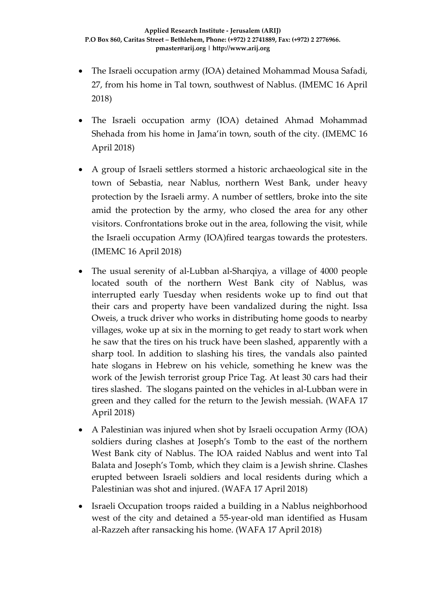- The Israeli occupation army (IOA) detained Mohammad Mousa Safadi, 27, from his home in Tal town, southwest of Nablus. (IMEMC 16 April 2018)
- The Israeli occupation army (IOA) detained Ahmad Mohammad Shehada from his home in Jama'in town, south of the city. (IMEMC 16 April 2018)
- A group of Israeli settlers stormed a historic archaeological site in the town of Sebastia, near Nablus, northern West Bank, under heavy protection by the Israeli army. A number of settlers, broke into the site amid the protection by the army, who closed the area for any other visitors. Confrontations broke out in the area, following the visit, while the Israeli occupation Army (IOA)fired teargas towards the protesters. (IMEMC 16 April 2018)
- The usual serenity of al-Lubban al-Sharqiya, a village of 4000 people located south of the northern West Bank city of Nablus, was interrupted early Tuesday when residents woke up to find out that their cars and property have been vandalized during the night. Issa Oweis, a truck driver who works in distributing home goods to nearby villages, woke up at six in the morning to get ready to start work when he saw that the tires on his truck have been slashed, apparently with a sharp tool. In addition to slashing his tires, the vandals also painted hate slogans in Hebrew on his vehicle, something he knew was the work of the Jewish terrorist group Price Tag. At least 30 cars had their tires slashed. The slogans painted on the vehicles in al-Lubban were in green and they called for the return to the Jewish messiah. (WAFA 17 April 2018)
- A Palestinian was injured when shot by Israeli occupation Army (IOA) soldiers during clashes at Joseph's Tomb to the east of the northern West Bank city of Nablus. The IOA raided Nablus and went into Tal Balata and Joseph's Tomb, which they claim is a Jewish shrine. Clashes erupted between Israeli soldiers and local residents during which a Palestinian was shot and injured. (WAFA 17 April 2018)
- Israeli Occupation troops raided a building in a Nablus neighborhood west of the city and detained a 55-year-old man identified as Husam al-Razzeh after ransacking his home. (WAFA 17 April 2018)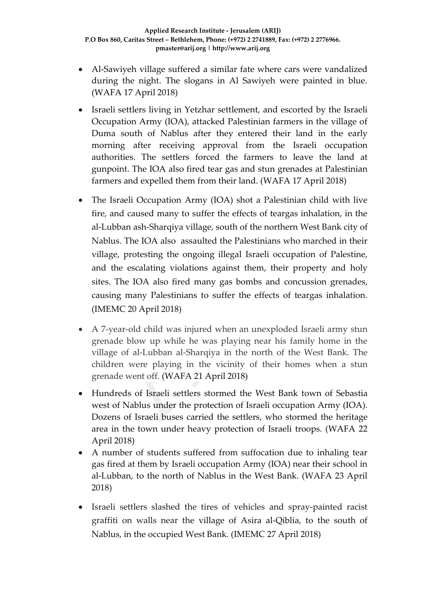- Al-Sawiyeh village suffered a similar fate where cars were vandalized during the night. The slogans in Al Sawiyeh were painted in blue. (WAFA 17 April 2018)
- Israeli settlers living in Yetzhar settlement, and escorted by the Israeli Occupation Army (IOA), attacked Palestinian farmers in the village of Duma south of Nablus after they entered their land in the early morning after receiving approval from the Israeli occupation authorities. The settlers forced the farmers to leave the land at gunpoint. The IOA also fired tear gas and stun grenades at Palestinian farmers and expelled them from their land. (WAFA 17 April 2018)
- The Israeli Occupation Army (IOA) shot a Palestinian child with live fire, and caused many to suffer the effects of teargas inhalation, in the al-Lubban ash-Sharqiya village, south of the northern West Bank city of Nablus. The IOA also assaulted the Palestinians who marched in their village, protesting the ongoing illegal Israeli occupation of Palestine, and the escalating violations against them, their property and holy sites. The IOA also fired many gas bombs and concussion grenades, causing many Palestinians to suffer the effects of teargas inhalation. (IMEMC 20 April 2018)
- A 7-year-old child was injured when an unexploded Israeli army stun grenade blow up while he was playing near his family home in the village of al-Lubban al-Sharqiya in the north of the West Bank. The children were playing in the vicinity of their homes when a stun grenade went off. (WAFA 21 April 2018)
- Hundreds of Israeli settlers stormed the West Bank town of Sebastia west of Nablus under the protection of Israeli occupation Army (IOA). Dozens of Israeli buses carried the settlers, who stormed the heritage area in the town under heavy protection of Israeli troops. (WAFA 22 April 2018)
- A number of students suffered from suffocation due to inhaling tear gas fired at them by Israeli occupation Army (IOA) near their school in al-Lubban, to the north of Nablus in the West Bank. (WAFA 23 April 2018)
- Israeli settlers slashed the tires of vehicles and spray-painted racist graffiti on walls near the village of Asira al-Qiblia, to the south of Nablus, in the occupied West Bank. (IMEMC 27 April 2018)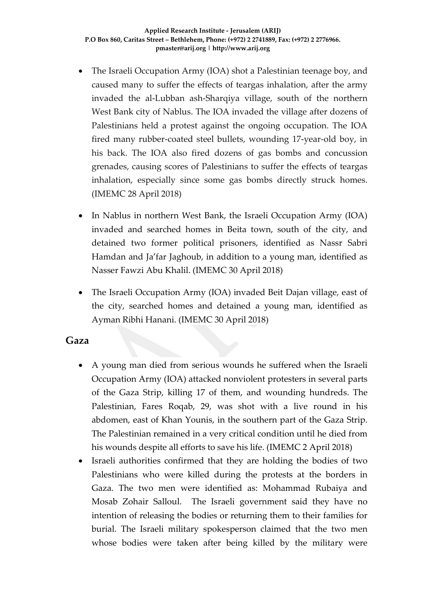- The Israeli Occupation Army (IOA) shot a Palestinian teenage boy, and caused many to suffer the effects of teargas inhalation, after the army invaded the al-Lubban ash-Sharqiya village, south of the northern West Bank city of Nablus. The IOA invaded the village after dozens of Palestinians held a protest against the ongoing occupation. The IOA fired many rubber-coated steel bullets, wounding 17-year-old boy, in his back. The IOA also fired dozens of gas bombs and concussion grenades, causing scores of Palestinians to suffer the effects of teargas inhalation, especially since some gas bombs directly struck homes. (IMEMC 28 April 2018)
- In Nablus in northern West Bank, the Israeli Occupation Army (IOA) invaded and searched homes in Beita town, south of the city, and detained two former political prisoners, identified as Nassr Sabri Hamdan and Ja'far Jaghoub, in addition to a young man, identified as Nasser Fawzi Abu Khalil. (IMEMC 30 April 2018)
- The Israeli Occupation Army (IOA) invaded Beit Dajan village, east of the city, searched homes and detained a young man, identified as Ayman Ribhi Hanani. (IMEMC 30 April 2018)

### **Gaza**

- A young man died from serious wounds he suffered when the Israeli Occupation Army (IOA) attacked nonviolent protesters in several parts of the Gaza Strip, killing 17 of them, and wounding hundreds. The Palestinian, Fares Roqab, 29, was shot with a live round in his abdomen, east of Khan Younis, in the southern part of the Gaza Strip. The Palestinian remained in a very critical condition until he died from his wounds despite all efforts to save his life. (IMEMC 2 April 2018)
- Israeli authorities confirmed that they are holding the bodies of two Palestinians who were killed during the protests at the borders in Gaza. The two men were identified as: Mohammad Rubaiya and Mosab Zohair Salloul. The Israeli government said they have no intention of releasing the bodies or returning them to their families for burial. The Israeli military spokesperson claimed that the two men whose bodies were taken after being killed by the military were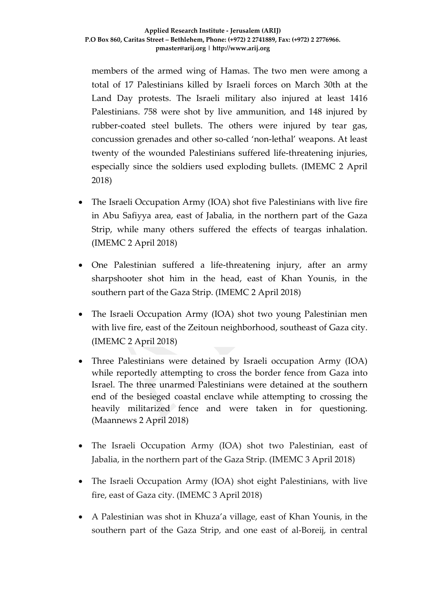members of the armed wing of Hamas. The two men were among a total of 17 Palestinians killed by Israeli forces on March 30th at the Land Day protests. The Israeli military also injured at least 1416 Palestinians. 758 were shot by live ammunition, and 148 injured by rubber-coated steel bullets. The others were injured by tear gas, concussion grenades and other so-called 'non-lethal' weapons. At least twenty of the wounded Palestinians suffered life-threatening injuries, especially since the soldiers used exploding bullets. (IMEMC 2 April 2018)

- The Israeli Occupation Army (IOA) shot five Palestinians with live fire in Abu Safiyya area, east of Jabalia, in the northern part of the Gaza Strip, while many others suffered the effects of teargas inhalation. (IMEMC 2 April 2018)
- One Palestinian suffered a life-threatening injury, after an army sharpshooter shot him in the head, east of Khan Younis, in the southern part of the Gaza Strip. (IMEMC 2 April 2018)
- The Israeli Occupation Army (IOA) shot two young Palestinian men with live fire, east of the Zeitoun neighborhood, southeast of Gaza city. (IMEMC 2 April 2018)
- Three Palestinians were detained by Israeli occupation Army (IOA) while reportedly attempting to cross the border fence from Gaza into Israel. The three unarmed Palestinians were detained at the southern end of the besieged coastal enclave while attempting to crossing the heavily militarized fence and were taken in for questioning. (Maannews 2 April 2018)
- The Israeli Occupation Army (IOA) shot two Palestinian, east of Jabalia, in the northern part of the Gaza Strip. (IMEMC 3 April 2018)
- The Israeli Occupation Army (IOA) shot eight Palestinians, with live fire, east of Gaza city. (IMEMC 3 April 2018)
- A Palestinian was shot in Khuza'a village, east of Khan Younis, in the southern part of the Gaza Strip, and one east of al-Boreij, in central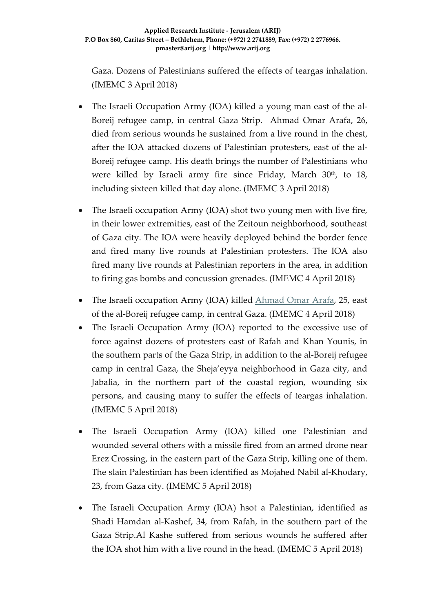Gaza. Dozens of Palestinians suffered the effects of teargas inhalation. (IMEMC 3 April 2018)

- The Israeli Occupation Army (IOA) killed a young man east of the al-Boreij refugee camp, in central Gaza Strip. Ahmad Omar Arafa, 26, died from serious wounds he sustained from a live round in the chest, after the IOA attacked dozens of Palestinian protesters, east of the al-Boreij refugee camp. His death brings the number of Palestinians who were killed by Israeli army fire since Friday, March  $30<sup>th</sup>$ , to  $18$ , including sixteen killed that day alone. (IMEMC 3 April 2018)
- The Israeli occupation Army (IOA) shot two young men with live fire, in their lower extremities, east of the Zeitoun neighborhood, southeast of Gaza city. The IOA were heavily deployed behind the border fence and fired many live rounds at Palestinian protesters. The IOA also fired many live rounds at Palestinian reporters in the area, in addition to firing gas bombs and concussion grenades. (IMEMC 4 April 2018)
- The Israeli occupation Army (IOA) killed [Ahmad Omar Arafa,](http://imemc.org/article/israeli-soldiers-kill-a-palestinian-man-in-gaza/) 25, east of the al-Boreij refugee camp, in central Gaza. (IMEMC 4 April 2018)
- The Israeli Occupation Army (IOA) reported to the excessive use of force against dozens of protesters east of Rafah and Khan Younis, in the southern parts of the Gaza Strip, in addition to the al-Boreij refugee camp in central Gaza, the Sheja'eyya neighborhood in Gaza city, and Jabalia, in the northern part of the coastal region, wounding six persons, and causing many to suffer the effects of teargas inhalation. (IMEMC 5 April 2018)
- The Israeli Occupation Army (IOA) killed one Palestinian and wounded several others with a missile fired from an armed drone near Erez Crossing, in the eastern part of the Gaza Strip, killing one of them. The slain Palestinian has been identified as Mojahed Nabil al-Khodary, 23, from Gaza city. (IMEMC 5 April 2018)
- The Israeli Occupation Army (IOA) hsot a Palestinian, identified as Shadi Hamdan al-Kashef, 34, from Rafah, in the southern part of the Gaza Strip.Al Kashe suffered from serious wounds he suffered after the IOA shot him with a live round in the head. (IMEMC 5 April 2018)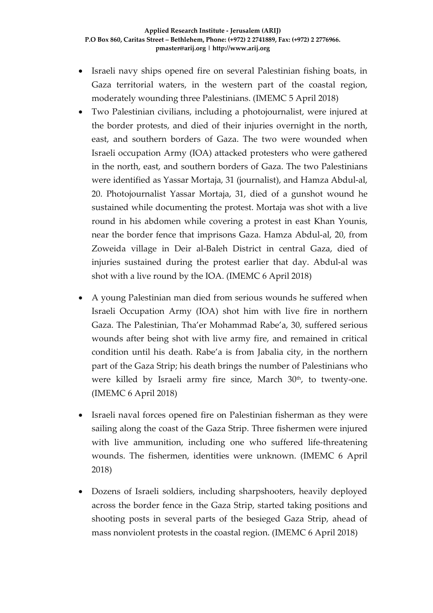- Israeli navy ships opened fire on several Palestinian fishing boats, in Gaza territorial waters, in the western part of the coastal region, moderately wounding three Palestinians. (IMEMC 5 April 2018)
- Two Palestinian civilians, including a photojournalist, were injured at the border protests, and died of their injuries overnight in the north, east, and southern borders of Gaza. The two were wounded when Israeli occupation Army (IOA) attacked protesters who were gathered in the north, east, and southern borders of Gaza. The two Palestinians were identified as Yassar Mortaja, 31 (journalist), and Hamza Abdul-al, 20. Photojournalist Yassar Mortaja, 31, died of a gunshot wound he sustained while documenting the protest. Mortaja was shot with a live round in his abdomen while covering a protest in east Khan Younis, near the border fence that imprisons Gaza. Hamza Abdul-al, 20, from Zoweida village in Deir al-Baleh District in central Gaza, died of injuries sustained during the protest earlier that day. Abdul-al was shot with a live round by the IOA. (IMEMC 6 April 2018)
- A young Palestinian man died from serious wounds he suffered when Israeli Occupation Army (IOA) shot him with live fire in northern Gaza. The Palestinian, Tha'er Mohammad Rabe'a, 30, suffered serious wounds after being shot with live army fire, and remained in critical condition until his death. Rabe'a is from Jabalia city, in the northern part of the Gaza Strip; his death brings the number of Palestinians who were killed by Israeli army fire since, March 30<sup>th</sup>, to twenty-one. (IMEMC 6 April 2018)
- Israeli naval forces opened fire on Palestinian fisherman as they were sailing along the coast of the Gaza Strip. Three fishermen were injured with live ammunition, including one who suffered life-threatening wounds. The fishermen, identities were unknown. (IMEMC 6 April 2018)
- Dozens of Israeli soldiers, including sharpshooters, heavily deployed across the border fence in the Gaza Strip, started taking positions and shooting posts in several parts of the besieged Gaza Strip, ahead of mass nonviolent protests in the coastal region. (IMEMC 6 April 2018)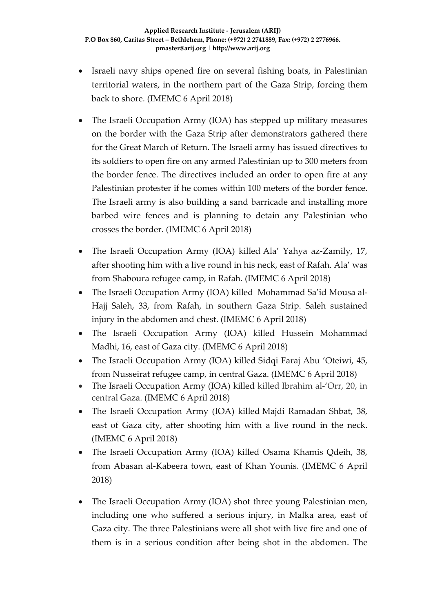- Israeli navy ships opened fire on several fishing boats, in Palestinian territorial waters, in the northern part of the Gaza Strip, forcing them back to shore. (IMEMC 6 April 2018)
- The Israeli Occupation Army (IOA) has stepped up military measures on the border with the Gaza Strip after demonstrators gathered there for the Great March of Return. The Israeli army has issued directives to its soldiers to open fire on any armed Palestinian up to 300 meters from the border fence. The directives included an order to open fire at any Palestinian protester if he comes within 100 meters of the border fence. The Israeli army is also building a sand barricade and installing more barbed wire fences and is planning to detain any Palestinian who crosses the border. (IMEMC 6 April 2018)
- The Israeli Occupation Army (IOA) killed Ala' Yahya az-Zamily, 17, after shooting him with a live round in his neck, east of Rafah. Ala' was from Shaboura refugee camp, in Rafah. (IMEMC 6 April 2018)
- The Israeli Occupation Army (IOA) killed Mohammad Sa'id Mousa al-Hajj Saleh, 33, from Rafah, in southern Gaza Strip. Saleh sustained injury in the abdomen and chest. (IMEMC 6 April 2018)
- The Israeli Occupation Army (IOA) killed Hussein Mohammad Madhi, 16, east of Gaza city. (IMEMC 6 April 2018)
- The Israeli Occupation Army (IOA) killed Sidqi Faraj Abu 'Oteiwi, 45, from Nusseirat refugee camp, in central Gaza. (IMEMC 6 April 2018)
- The Israeli Occupation Army (IOA) killed killed Ibrahim al-'Orr, 20, in central Gaza. (IMEMC 6 April 2018)
- The Israeli Occupation Army (IOA) killed Majdi Ramadan Shbat, 38, east of Gaza city, after shooting him with a live round in the neck. (IMEMC 6 April 2018)
- The Israeli Occupation Army (IOA) killed Osama Khamis Qdeih, 38, from Abasan al-Kabeera town, east of Khan Younis. (IMEMC 6 April 2018)
- The Israeli Occupation Army (IOA) shot three young Palestinian men, including one who suffered a serious injury, in Malka area, east of Gaza city. The three Palestinians were all shot with live fire and one of them is in a serious condition after being shot in the abdomen. The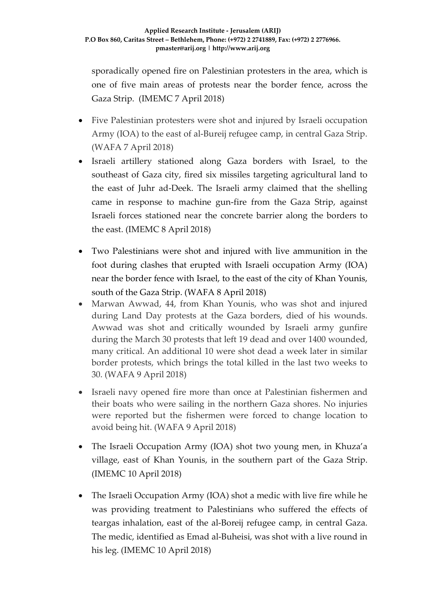sporadically opened fire on Palestinian protesters in the area, which is one of five main areas of protests near the border fence, across the Gaza Strip. (IMEMC 7 April 2018)

- Five Palestinian protesters were shot and injured by Israeli occupation Army (IOA) to the east of al-Bureij refugee camp, in central Gaza Strip. (WAFA 7 April 2018)
- Israeli artillery stationed along Gaza borders with Israel, to the southeast of Gaza city, fired six missiles targeting agricultural land to the east of Juhr ad-Deek. The Israeli army claimed that the shelling came in response to machine gun-fire from the Gaza Strip, against Israeli forces stationed near the concrete barrier along the borders to the east. (IMEMC 8 April 2018)
- Two Palestinians were shot and injured with live ammunition in the foot during clashes that erupted with Israeli occupation Army (IOA) near the border fence with Israel, to the east of the city of Khan Younis, south of the Gaza Strip. (WAFA 8 April 2018)
- Marwan Awwad, 44, from Khan Younis, who was shot and injured during Land Day protests at the Gaza borders, died of his wounds. Awwad was shot and critically wounded by Israeli army gunfire during the March 30 protests that left 19 dead and over 1400 wounded, many critical. An additional 10 were shot dead a week later in similar border protests, which brings the total killed in the last two weeks to 30. (WAFA 9 April 2018)
- Israeli navy opened fire more than once at Palestinian fishermen and their boats who were sailing in the northern Gaza shores. No injuries were reported but the fishermen were forced to change location to avoid being hit. (WAFA 9 April 2018)
- The Israeli Occupation Army (IOA) shot two young men, in Khuza'a village, east of Khan Younis, in the southern part of the Gaza Strip. (IMEMC 10 April 2018)
- The Israeli Occupation Army (IOA) shot a medic with live fire while he was providing treatment to Palestinians who suffered the effects of teargas inhalation, east of the al-Boreij refugee camp, in central Gaza. The medic, identified as Emad al-Buheisi, was shot with a live round in his leg. (IMEMC 10 April 2018)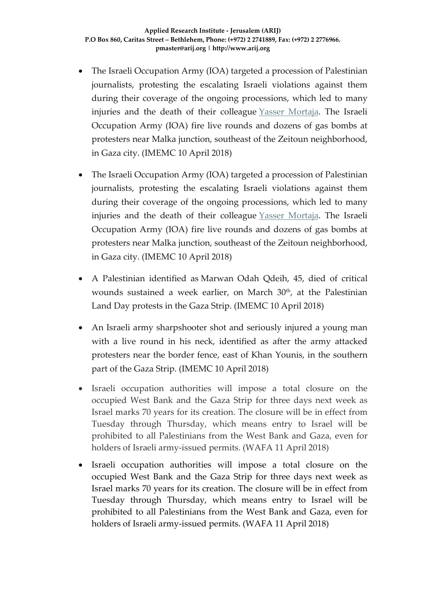- The Israeli Occupation Army (IOA) targeted a procession of Palestinian journalists, protesting the escalating Israeli violations against them during their coverage of the ongoing processions, which led to many injuries and the death of their colleague [Yasser Mortaja.](https://israelpalestinetimeline.org/yassar-mortaja/) The Israeli Occupation Army (IOA) fire live rounds and dozens of gas bombs at protesters near Malka junction, southeast of the Zeitoun neighborhood, in Gaza city. (IMEMC 10 April 2018)
- The Israeli Occupation Army (IOA) targeted a procession of Palestinian journalists, protesting the escalating Israeli violations against them during their coverage of the ongoing processions, which led to many injuries and the death of their colleague [Yasser Mortaja.](https://israelpalestinetimeline.org/yassar-mortaja/) The Israeli Occupation Army (IOA) fire live rounds and dozens of gas bombs at protesters near Malka junction, southeast of the Zeitoun neighborhood, in Gaza city. (IMEMC 10 April 2018)
- A Palestinian identified as Marwan Odah Qdeih, 45, died of critical wounds sustained a week earlier, on March  $30<sup>th</sup>$ , at the Palestinian Land Day protests in the Gaza Strip. (IMEMC 10 April 2018)
- An Israeli army sharpshooter shot and seriously injured a young man with a live round in his neck, identified as after the army attacked protesters near the border fence, east of Khan Younis, in the southern part of the Gaza Strip. (IMEMC 10 April 2018)
- Israeli occupation authorities will impose a total closure on the occupied West Bank and the Gaza Strip for three days next week as Israel marks 70 years for its creation. The closure will be in effect from Tuesday through Thursday, which means entry to Israel will be prohibited to all Palestinians from the West Bank and Gaza, even for holders of Israeli army-issued permits. (WAFA 11 April 2018)
- Israeli occupation authorities will impose a total closure on the occupied West Bank and the Gaza Strip for three days next week as Israel marks 70 years for its creation. The closure will be in effect from Tuesday through Thursday, which means entry to Israel will be prohibited to all Palestinians from the West Bank and Gaza, even for holders of Israeli army-issued permits. (WAFA 11 April 2018)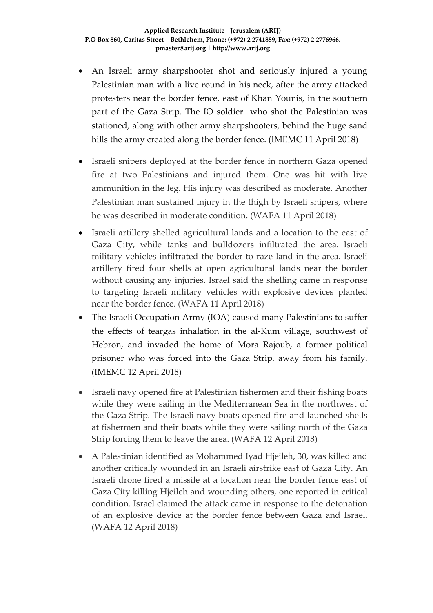- An Israeli army sharpshooter shot and seriously injured a young Palestinian man with a live round in his neck, after the army attacked protesters near the border fence, east of Khan Younis, in the southern part of the Gaza Strip. The IO soldier who shot the Palestinian was stationed, along with other army sharpshooters, behind the huge sand hills the army created along the border fence. (IMEMC 11 April 2018)
- Israeli snipers deployed at the border fence in northern Gaza opened fire at two Palestinians and injured them. One was hit with live ammunition in the leg. His injury was described as moderate. Another Palestinian man sustained injury in the thigh by Israeli snipers, where he was described in moderate condition. (WAFA 11 April 2018)
- Israeli artillery shelled agricultural lands and a location to the east of Gaza City, while tanks and bulldozers infiltrated the area. Israeli military vehicles infiltrated the border to raze land in the area. Israeli artillery fired four shells at open agricultural lands near the border without causing any injuries. Israel said the shelling came in response to targeting Israeli military vehicles with explosive devices planted near the border fence. (WAFA 11 April 2018)
- The Israeli Occupation Army (IOA) caused many Palestinians to suffer the effects of teargas inhalation in the al-Kum village, southwest of Hebron, and invaded the home of Mora Rajoub, a former political prisoner who was forced into the Gaza Strip, away from his family. (IMEMC 12 April 2018)
- Israeli navy opened fire at Palestinian fishermen and their fishing boats while they were sailing in the Mediterranean Sea in the northwest of the Gaza Strip. The Israeli navy boats opened fire and launched shells at fishermen and their boats while they were sailing north of the Gaza Strip forcing them to leave the area. (WAFA 12 April 2018)
- A Palestinian identified as Mohammed Iyad Hjeileh, 30, was killed and another critically wounded in an Israeli airstrike east of Gaza City. An Israeli drone fired a missile at a location near the border fence east of Gaza City killing Hjeileh and wounding others, one reported in critical condition. Israel claimed the attack came in response to the detonation of an explosive device at the border fence between Gaza and Israel. (WAFA 12 April 2018)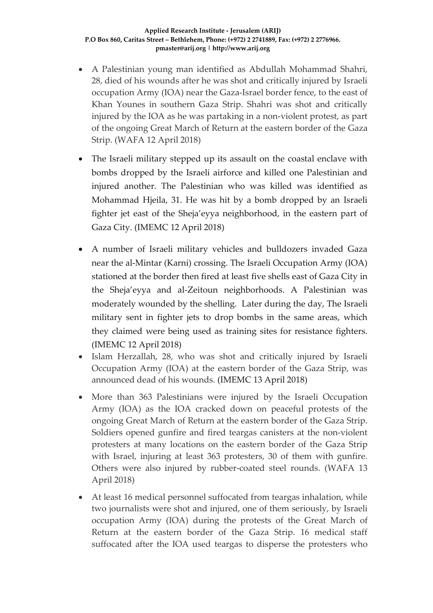#### **Applied Research Institute - Jerusalem (ARIJ) P.O Box 860, Caritas Street – Bethlehem, Phone: (+972) 2 2741889, Fax: (+972) 2 2776966. pmaster@arij.org | http://www.arij.org**

- A Palestinian young man identified as Abdullah Mohammad Shahri, 28, died of his wounds after he was shot and critically injured by Israeli occupation Army (IOA) near the Gaza-Israel border fence, to the east of Khan Younes in southern Gaza Strip. Shahri was shot and critically injured by the IOA as he was partaking in a non-violent protest, as part of the ongoing Great March of Return at the eastern border of the Gaza Strip. (WAFA 12 April 2018)
- The Israeli military stepped up its assault on the coastal enclave with bombs dropped by the Israeli airforce and killed one Palestinian and injured another. The Palestinian who was killed was identified as Mohammad Hjeila, 31. He was hit by a bomb dropped by an Israeli fighter jet east of the Sheja'eyya neighborhood, in the eastern part of Gaza City. (IMEMC 12 April 2018)
- A number of Israeli military vehicles and bulldozers invaded Gaza near the al-Mintar (Karni) crossing. The Israeli Occupation Army (IOA) stationed at the border then fired at least five shells east of Gaza City in the Sheja'eyya and al-Zeitoun neighborhoods. A Palestinian was moderately wounded by the shelling. Later during the day, The Israeli military sent in fighter jets to drop bombs in the same areas, which they claimed were being used as training sites for resistance fighters. (IMEMC 12 April 2018)
- Islam Herzallah, 28, who was shot and critically injured by Israeli Occupation Army (IOA) at the eastern border of the Gaza Strip, was announced dead of his wounds. (IMEMC 13 April 2018)
- More than 363 Palestinians were injured by the Israeli Occupation Army (IOA) as the IOA cracked down on peaceful protests of the ongoing Great March of Return at the eastern border of the Gaza Strip. Soldiers opened gunfire and fired teargas canisters at the non-violent protesters at many locations on the eastern border of the Gaza Strip with Israel, injuring at least 363 protesters, 30 of them with gunfire. Others were also injured by rubber-coated steel rounds. (WAFA 13 April 2018)
- At least 16 medical personnel suffocated from teargas inhalation, while two journalists were shot and injured, one of them seriously, by Israeli occupation Army (IOA) during the protests of the Great March of Return at the eastern border of the Gaza Strip. 16 medical staff suffocated after the IOA used teargas to disperse the protesters who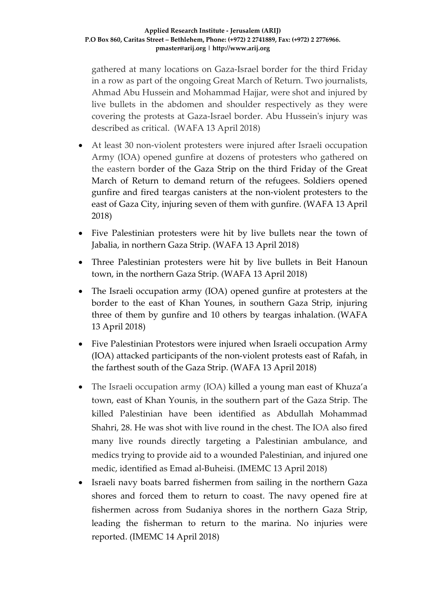gathered at many locations on Gaza-Israel border for the third Friday in a row as part of the ongoing Great March of Return. Two journalists, Ahmad Abu Hussein and Mohammad Hajjar, were shot and injured by live bullets in the abdomen and shoulder respectively as they were covering the protests at Gaza-Israel border. Abu Hussein's injury was described as critical. (WAFA 13 April 2018)

- At least 30 non-violent protesters were injured after Israeli occupation Army (IOA) opened gunfire at dozens of protesters who gathered on the eastern border of the Gaza Strip on the third Friday of the Great March of Return to demand return of the refugees. Soldiers opened gunfire and fired teargas canisters at the non-violent protesters to the east of Gaza City, injuring seven of them with gunfire. (WAFA 13 April 2018)
- Five Palestinian protesters were hit by live bullets near the town of Jabalia, in northern Gaza Strip. (WAFA 13 April 2018)
- Three Palestinian protesters were hit by live bullets in Beit Hanoun town, in the northern Gaza Strip. (WAFA 13 April 2018)
- The Israeli occupation army (IOA) opened gunfire at protesters at the border to the east of Khan Younes, in southern Gaza Strip, injuring three of them by gunfire and 10 others by teargas inhalation. (WAFA 13 April 2018)
- Five Palestinian Protestors were injured when Israeli occupation Army (IOA) attacked participants of the non-violent protests east of Rafah, in the farthest south of the Gaza Strip. (WAFA 13 April 2018)
- The Israeli occupation army (IOA) killed a young man east of Khuza'a town, east of Khan Younis, in the southern part of the Gaza Strip. The killed Palestinian have been identified as Abdullah Mohammad Shahri, 28. He was shot with live round in the chest. The IOA also fired many live rounds directly targeting a Palestinian ambulance, and medics trying to provide aid to a wounded Palestinian, and injured one medic, identified as Emad al-Buheisi. (IMEMC 13 April 2018)
- Israeli navy boats barred fishermen from sailing in the northern Gaza shores and forced them to return to coast. The navy opened fire at fishermen across from Sudaniya shores in the northern Gaza Strip, leading the fisherman to return to the marina. No injuries were reported. (IMEMC 14 April 2018)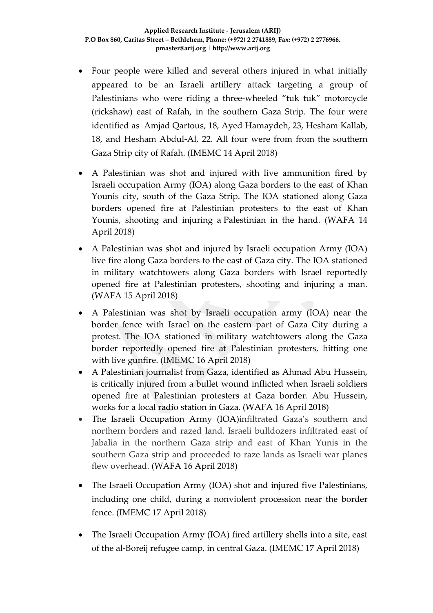- Four people were killed and several others injured in what initially appeared to be an Israeli artillery attack targeting a group of Palestinians who were riding a three-wheeled "tuk tuk" motorcycle (rickshaw) east of Rafah, in the southern Gaza Strip. The four were identified as Amjad Qartous, 18, Ayed Hamaydeh, 23, Hesham Kallab, 18, and Hesham Abdul-Al, 22. All four were from from the southern Gaza Strip city of Rafah. (IMEMC 14 April 2018)
- A Palestinian was shot and injured with live ammunition fired by Israeli occupation Army (IOA) along Gaza borders to the east of Khan Younis city, south of the Gaza Strip. The IOA stationed along Gaza borders opened fire at Palestinian protesters to the east of Khan Younis, shooting and injuring a Palestinian in the hand. (WAFA 14 April 2018)
- A Palestinian was shot and injured by Israeli occupation Army (IOA) live fire along Gaza borders to the east of Gaza city. The IOA stationed in military watchtowers along Gaza borders with Israel reportedly opened fire at Palestinian protesters, shooting and injuring a man. (WAFA 15 April 2018)
- A Palestinian was shot by Israeli occupation army (IOA) near the border fence with Israel on the eastern part of Gaza City during a protest. The IOA stationed in military watchtowers along the Gaza border reportedly opened fire at Palestinian protesters, hitting one with live gunfire. (IMEMC 16 April 2018)
- A Palestinian journalist from Gaza, identified as Ahmad Abu Hussein, is critically injured from a bullet wound inflicted when Israeli soldiers opened fire at Palestinian protesters at Gaza border. Abu Hussein, works for a local radio station in Gaza. (WAFA 16 April 2018)
- The Israeli Occupation Army (IOA)infiltrated Gaza's southern and northern borders and razed land. Israeli bulldozers infiltrated east of Jabalia in the northern Gaza strip and east of Khan Yunis in the southern Gaza strip and proceeded to raze lands as Israeli war planes flew overhead. (WAFA 16 April 2018)
- The Israeli Occupation Army (IOA) shot and injured five Palestinians, including one child, during a nonviolent procession near the border fence. (IMEMC 17 April 2018)
- The Israeli Occupation Army (IOA) fired artillery shells into a site, east of the al-Boreij refugee camp, in central Gaza. (IMEMC 17 April 2018)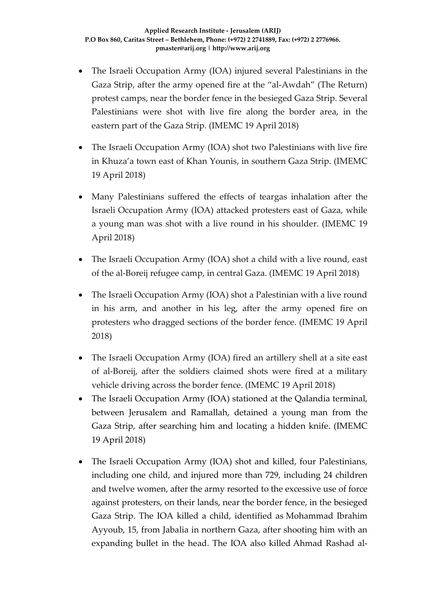- The Israeli Occupation Army (IOA) injured several Palestinians in the Gaza Strip, after the army opened fire at the "al-Awdah" (The Return) protest camps, near the border fence in the besieged Gaza Strip. Several Palestinians were shot with live fire along the border area, in the eastern part of the Gaza Strip. (IMEMC 19 April 2018)
- The Israeli Occupation Army (IOA) shot two Palestinians with live fire in Khuza'a town east of Khan Younis, in southern Gaza Strip. (IMEMC 19 April 2018)
- Many Palestinians suffered the effects of teargas inhalation after the Israeli Occupation Army (IOA) attacked protesters east of Gaza, while a young man was shot with a live round in his shoulder. (IMEMC 19 April 2018)
- The Israeli Occupation Army (IOA) shot a child with a live round, east of the al-Boreij refugee camp, in central Gaza. (IMEMC 19 April 2018)
- The Israeli Occupation Army (IOA) shot a Palestinian with a live round in his arm, and another in his leg, after the army opened fire on protesters who dragged sections of the border fence. (IMEMC 19 April 2018)
- The Israeli Occupation Army (IOA) fired an artillery shell at a site east of al-Boreij, after the soldiers claimed shots were fired at a military vehicle driving across the border fence. (IMEMC 19 April 2018)
- The Israeli Occupation Army (IOA) stationed at the Qalandia terminal, between Jerusalem and Ramallah, detained a young man from the Gaza Strip, after searching him and locating a hidden knife. (IMEMC 19 April 2018)
- The Israeli Occupation Army (IOA) shot and killed, four Palestinians, including one child, and injured more than 729, including 24 children and twelve women, after the army resorted to the excessive use of force against protesters, on their lands, near the border fence, in the besieged Gaza Strip. The IOA killed a child, identified as Mohammad Ibrahim Ayyoub, 15, from Jabalia in northern Gaza, after shooting him with an expanding bullet in the head. The IOA also killed Ahmad Rashad al-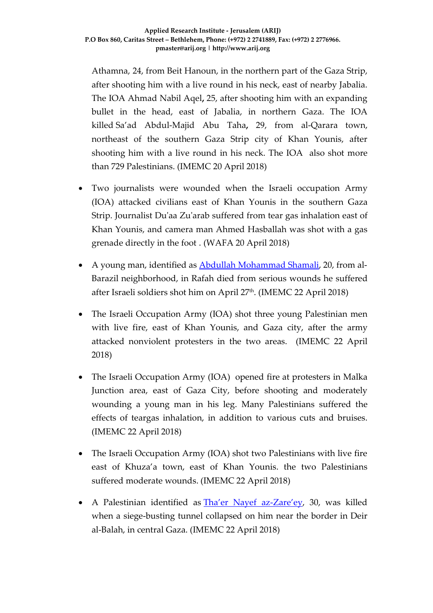Athamna, 24, from Beit Hanoun, in the northern part of the Gaza Strip, after shooting him with a live round in his neck, east of nearby Jabalia. The IOA Ahmad Nabil Aqel**,** 25, after shooting him with an expanding bullet in the head, east of Jabalia, in northern Gaza. The IOA killed Sa'ad Abdul-Majid Abu Taha**,** 29, from al-Qarara town, northeast of the southern Gaza Strip city of Khan Younis, after shooting him with a live round in his neck. The IOA also shot more than 729 Palestinians. (IMEMC 20 April 2018)

- Two journalists were wounded when the Israeli occupation Army (IOA) attacked civilians east of Khan Younis in the southern Gaza Strip. Journalist Du'aa Zu'arab suffered from tear gas inhalation east of Khan Younis, and camera man Ahmed Hasballah was shot with a gas grenade directly in the foot . (WAFA 20 April 2018)
- A young man, identified as **Abdullah Mohammad Shamali**, 20, from al-Barazil neighborhood, in Rafah died from serious wounds he suffered after Israeli soldiers shot him on April 27th. (IMEMC 22 April 2018)
- The Israeli Occupation Army (IOA) shot three young Palestinian men with live fire, east of Khan Younis, and Gaza city, after the army attacked nonviolent protesters in the two areas. (IMEMC 22 April 2018)
- The Israeli Occupation Army (IOA) opened fire at protesters in Malka Junction area, east of Gaza City, before shooting and moderately wounding a young man in his leg. Many Palestinians suffered the effects of teargas inhalation, in addition to various cuts and bruises. (IMEMC 22 April 2018)
- The Israeli Occupation Army (IOA) shot two Palestinians with live fire east of Khuza'a town, east of Khan Younis. the two Palestinians suffered moderate wounds. (IMEMC 22 April 2018)
- A Palestinian identified as **Tha'er Nayef az-Zare'ey**, 30, was killed when a siege-busting tunnel collapsed on him near the border in Deir al-Balah, in central Gaza. (IMEMC 22 April 2018)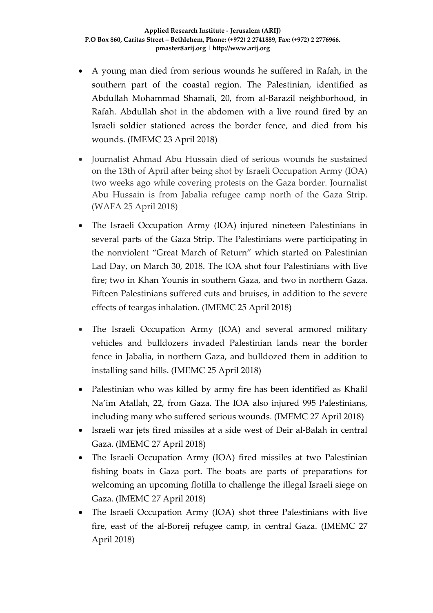- A young man died from serious wounds he suffered in Rafah, in the southern part of the coastal region. The Palestinian, identified as Abdullah Mohammad Shamali, 20, from al-Barazil neighborhood, in Rafah. Abdullah shot in the abdomen with a live round fired by an Israeli soldier stationed across the border fence, and died from his wounds. (IMEMC 23 April 2018)
- Journalist Ahmad Abu Hussain died of serious wounds he sustained on the 13th of April after being shot by Israeli Occupation Army (IOA) two weeks ago while covering protests on the Gaza border. Journalist Abu Hussain is from Jabalia refugee camp north of the Gaza Strip. (WAFA 25 April 2018)
- The Israeli Occupation Army (IOA) injured nineteen Palestinians in several parts of the Gaza Strip. The Palestinians were participating in the nonviolent "Great March of Return" which started on Palestinian Lad Day, on March 30, 2018. The IOA shot four Palestinians with live fire; two in Khan Younis in southern Gaza, and two in northern Gaza. Fifteen Palestinians suffered cuts and bruises, in addition to the severe effects of teargas inhalation. (IMEMC 25 April 2018)
- The Israeli Occupation Army (IOA) and several armored military vehicles and bulldozers invaded Palestinian lands near the border fence in Jabalia, in northern Gaza, and bulldozed them in addition to installing sand hills. (IMEMC 25 April 2018)
- Palestinian who was killed by army fire has been identified as Khalil Na'im Atallah, 22, from Gaza. The IOA also injured 995 Palestinians, including many who suffered serious wounds. (IMEMC 27 April 2018)
- Israeli war jets fired missiles at a side west of Deir al-Balah in central Gaza. (IMEMC 27 April 2018)
- The Israeli Occupation Army (IOA) fired missiles at two Palestinian fishing boats in Gaza port. The boats are parts of preparations for welcoming an upcoming flotilla to challenge the illegal Israeli siege on Gaza. (IMEMC 27 April 2018)
- The Israeli Occupation Army (IOA) shot three Palestinians with live fire, east of the al-Boreij refugee camp, in central Gaza. (IMEMC 27 April 2018)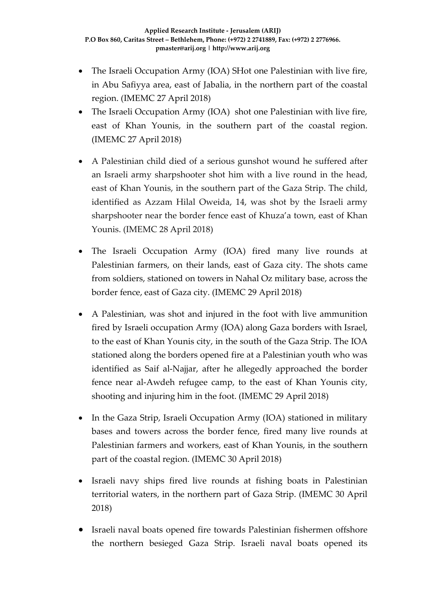- The Israeli Occupation Army (IOA) SHot one Palestinian with live fire, in Abu Safiyya area, east of Jabalia, in the northern part of the coastal region. (IMEMC 27 April 2018)
- The Israeli Occupation Army (IOA) shot one Palestinian with live fire, east of Khan Younis, in the southern part of the coastal region. (IMEMC 27 April 2018)
- A Palestinian child died of a serious gunshot wound he suffered after an Israeli army sharpshooter shot him with a live round in the head, east of Khan Younis, in the southern part of the Gaza Strip. The child, identified as Azzam Hilal Oweida, 14, was shot by the Israeli army sharpshooter near the border fence east of Khuza'a town, east of Khan Younis. (IMEMC 28 April 2018)
- The Israeli Occupation Army (IOA) fired many live rounds at Palestinian farmers, on their lands, east of Gaza city. The shots came from soldiers, stationed on towers in Nahal Oz military base, across the border fence, east of Gaza city. (IMEMC 29 April 2018)
- A Palestinian, was shot and injured in the foot with live ammunition fired by Israeli occupation Army (IOA) along Gaza borders with Israel, to the east of Khan Younis city, in the south of the Gaza Strip. The IOA stationed along the borders opened fire at a Palestinian youth who was identified as Saif al-Najjar, after he allegedly approached the border fence near al-Awdeh refugee camp, to the east of Khan Younis city, shooting and injuring him in the foot. (IMEMC 29 April 2018)
- In the Gaza Strip, Israeli Occupation Army (IOA) stationed in military bases and towers across the border fence, fired many live rounds at Palestinian farmers and workers, east of Khan Younis, in the southern part of the coastal region. (IMEMC 30 April 2018)
- Israeli navy ships fired live rounds at fishing boats in Palestinian territorial waters, in the northern part of Gaza Strip. (IMEMC 30 April 2018)
- Israeli naval boats opened fire towards Palestinian fishermen offshore the northern besieged Gaza Strip. Israeli naval boats opened its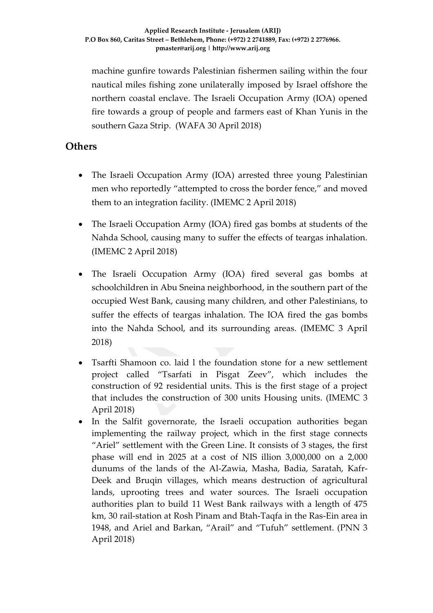machine gunfire towards Palestinian fishermen sailing within the four nautical miles fishing zone unilaterally imposed by Israel offshore the northern coastal enclave. The Israeli Occupation Army (IOA) opened fire towards a group of people and farmers east of Khan Yunis in the southern Gaza Strip. (WAFA 30 April 2018)

### **Others**

- The Israeli Occupation Army (IOA) arrested three young Palestinian men who reportedly "attempted to cross the border fence," and moved them to an integration facility. (IMEMC 2 April 2018)
- The Israeli Occupation Army (IOA) fired gas bombs at students of the Nahda School, causing many to suffer the effects of teargas inhalation. (IMEMC 2 April 2018)
- The Israeli Occupation Army (IOA) fired several gas bombs at schoolchildren in Abu Sneina neighborhood, in the southern part of the occupied West Bank, causing many children, and other Palestinians, to suffer the effects of teargas inhalation. The IOA fired the gas bombs into the Nahda School, and its surrounding areas. (IMEMC 3 April 2018)
- Tsarfti Shamoon co. laid l the foundation stone for a new settlement project called "Tsarfati in Pisgat Zeev", which includes the construction of 92 residential units. This is the first stage of a project that includes the construction of 300 units Housing units. (IMEMC 3 April 2018)
- In the Salfit governorate, the Israeli occupation authorities began implementing the railway project, which in the first stage connects "Ariel" settlement with the Green Line. It consists of 3 stages, the first phase will end in 2025 at a cost of NIS illion 3,000,000 on a 2,000 dunums of the lands of the Al-Zawia, Masha, Badia, Saratah, Kafr-Deek and Bruqin villages, which means destruction of agricultural lands, uprooting trees and water sources. The Israeli occupation authorities plan to build 11 West Bank railways with a length of 475 km, 30 rail-station at Rosh Pinam and Btah-Taqfa in the Ras-Ein area in 1948, and Ariel and Barkan, "Arail" and "Tufuh" settlement. (PNN 3 April 2018)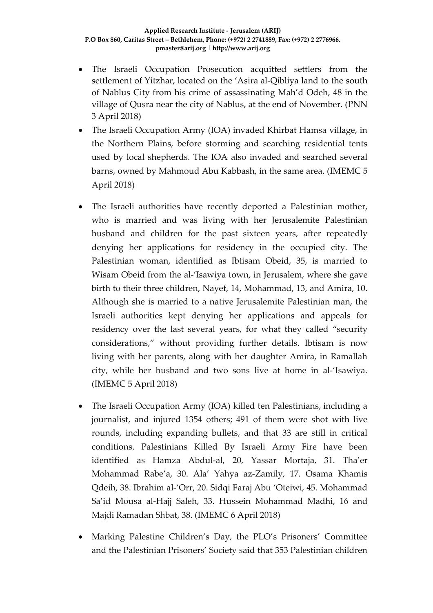- The Israeli Occupation Prosecution acquitted settlers from the settlement of Yitzhar, located on the 'Asira al-Qibliya land to the south of Nablus City from his crime of assassinating Mah'd Odeh, 48 in the village of Qusra near the city of Nablus, at the end of November. (PNN 3 April 2018)
- The Israeli Occupation Army (IOA) invaded Khirbat Hamsa village, in the Northern Plains, before storming and searching residential tents used by local shepherds. The IOA also invaded and searched several barns, owned by Mahmoud Abu Kabbash, in the same area. (IMEMC 5 April 2018)
- The Israeli authorities have recently deported a Palestinian mother, who is married and was living with her Jerusalemite Palestinian husband and children for the past sixteen years, after repeatedly denying her applications for residency in the occupied city. The Palestinian woman, identified as Ibtisam Obeid, 35, is married to Wisam Obeid from the al-'Isawiya town, in Jerusalem, where she gave birth to their three children, Nayef, 14, Mohammad, 13, and Amira, 10. Although she is married to a native Jerusalemite Palestinian man, the Israeli authorities kept denying her applications and appeals for residency over the last several years, for what they called "security considerations," without providing further details. Ibtisam is now living with her parents, along with her daughter Amira, in Ramallah city, while her husband and two sons live at home in al-'Isawiya. (IMEMC 5 April 2018)
- The Israeli Occupation Army (IOA) killed ten Palestinians, including a journalist, and injured 1354 others; 491 of them were shot with live rounds, including expanding bullets, and that 33 are still in critical conditions. Palestinians Killed By Israeli Army Fire have been identified as Hamza Abdul-al, 20, Yassar Mortaja, 31. Tha'er Mohammad Rabe'a, 30. Ala' Yahya az-Zamily, 17. Osama Khamis Qdeih, 38. Ibrahim al-'Orr, 20. Sidqi Faraj Abu 'Oteiwi, 45. Mohammad Sa'id Mousa al-Hajj Saleh, 33. Hussein Mohammad Madhi, 16 and Majdi Ramadan Shbat, 38. (IMEMC 6 April 2018)
- Marking Palestine Children's Day, the PLO's Prisoners' Committee and the Palestinian Prisoners' Society said that 353 Palestinian children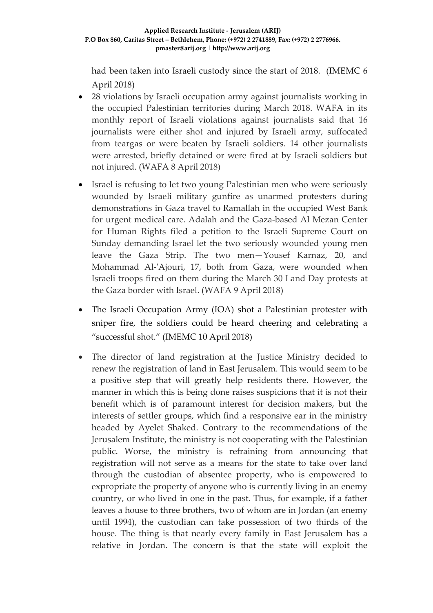had been taken into Israeli custody since the start of 2018. (IMEMC 6 April 2018)

- 28 violations by Israeli occupation army against journalists working in the occupied Palestinian territories during March 2018. WAFA in its monthly report of Israeli violations against journalists said that 16 journalists were either shot and injured by Israeli army, suffocated from teargas or were beaten by Israeli soldiers. 14 other journalists were arrested, briefly detained or were fired at by Israeli soldiers but not injured. (WAFA 8 April 2018)
- Israel is refusing to let two young Palestinian men who were seriously wounded by Israeli military gunfire as unarmed protesters during demonstrations in Gaza travel to Ramallah in the occupied West Bank for urgent medical care. Adalah and the Gaza-based Al Mezan Center for Human Rights filed a petition to the Israeli Supreme Court on Sunday demanding Israel let the two seriously wounded young men leave the Gaza Strip. The two men—Yousef Karnaz, 20, and Mohammad Al-'Ajouri, 17, both from Gaza, were wounded when Israeli troops fired on them during the March 30 Land Day protests at the Gaza border with Israel. (WAFA 9 April 2018)
- The Israeli Occupation Army (IOA) shot a Palestinian protester with sniper fire, the soldiers could be heard cheering and celebrating a "successful shot." (IMEMC 10 April 2018)
- The director of land registration at the Justice Ministry decided to renew the registration of land in East Jerusalem. This would seem to be a positive step that will greatly help residents there. However, the manner in which this is being done raises suspicions that it is not their benefit which is of paramount interest for decision makers, but the interests of settler groups, which find a responsive ear in the ministry headed by Ayelet Shaked. Contrary to the recommendations of the Jerusalem Institute, the ministry is not cooperating with the Palestinian public. Worse, the ministry is refraining from announcing that registration will not serve as a means for the state to take over land through the custodian of absentee property, who is empowered to expropriate the property of anyone who is currently living in an enemy country, or who lived in one in the past. Thus, for example, if a father leaves a house to three brothers, two of whom are in Jordan (an enemy until 1994), the custodian can take possession of two thirds of the house. The thing is that nearly every family in East Jerusalem has a relative in Jordan. The concern is that the state will exploit the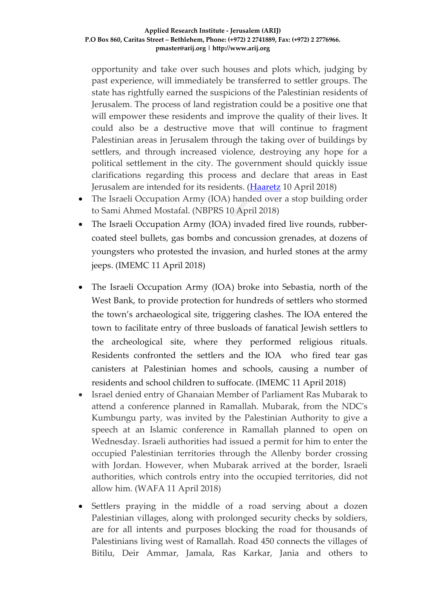opportunity and take over such houses and plots which, judging by past experience, will immediately be transferred to settler groups. The state has rightfully earned the suspicions of the Palestinian residents of Jerusalem. The process of land registration could be a positive one that will empower these residents and improve the quality of their lives. It could also be a destructive move that will continue to fragment Palestinian areas in Jerusalem through the taking over of buildings by settlers, and through increased violence, destroying any hope for a political settlement in the city. The government should quickly issue clarifications regarding this process and declare that areas in East Jerusalem are intended for its residents. [\(Haaretz](https://www.haaretz.com/opinion/editorial/east-jerusalem-is-the-double-edged-sword-of-israel-s-capital-1.5988771) 10 April 2018)

- The Israeli Occupation Army (IOA) handed over a stop building order to Sami Ahmed Mostafal. (NBPRS 10 April 2018)
- The Israeli Occupation Army (IOA) invaded fired live rounds, rubbercoated steel bullets, gas bombs and concussion grenades, at dozens of youngsters who protested the invasion, and hurled stones at the army jeeps. (IMEMC 11 April 2018)
- The Israeli Occupation Army (IOA) broke into Sebastia, north of the West Bank, to provide protection for hundreds of settlers who stormed the town's archaeological site, triggering clashes. The IOA entered the town to facilitate entry of three busloads of fanatical Jewish settlers to the archeological site, where they performed religious rituals. Residents confronted the settlers and the IOA who fired tear gas canisters at Palestinian homes and schools, causing a number of residents and school children to suffocate. (IMEMC 11 April 2018)
- Israel denied entry of Ghanaian Member of Parliament Ras Mubarak to attend a conference planned in Ramallah. Mubarak, from the NDC's Kumbungu party, was invited by the Palestinian Authority to give a speech at an Islamic conference in Ramallah planned to open on Wednesday. Israeli authorities had issued a permit for him to enter the occupied Palestinian territories through the Allenby border crossing with Jordan. However, when Mubarak arrived at the border, Israeli authorities, which controls entry into the occupied territories, did not allow him. (WAFA 11 April 2018)
- Settlers praying in the middle of a road serving about a dozen Palestinian villages, along with prolonged security checks by soldiers, are for all intents and purposes blocking the road for thousands of Palestinians living west of Ramallah. Road 450 connects the villages of Bitilu, Deir Ammar, Jamala, Ras Karkar, Jania and others to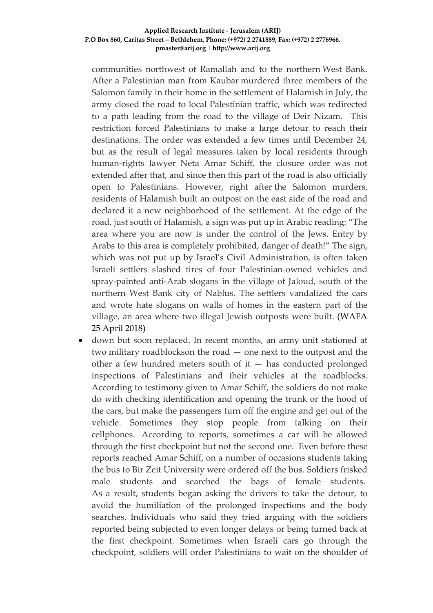communities northwest of Ramallah and to the northern West Bank. After a Palestinian man from Kaubar murdered three members of the Salomon family in their home in the settlement of Halamish in July, the army closed the road to local Palestinian traffic, which was redirected to a path leading from the road to the village of Deir Nizam. This restriction forced Palestinians to make a large detour to reach their destinations. The order was extended a few times until December 24, but as the result of legal measures taken by local residents through human-rights lawyer Neta Amar Schiff, the closure order was not extended after that, and since then this part of the road is also officially open to Palestinians. However, right after the Salomon murders, residents of Halamish built an outpost on the east side of the road and declared it a new neighborhood of the settlement. At the edge of the road, just south of Halamish, a sign was put up in Arabic reading: "The area where you are now is under the control of the Jews. Entry by Arabs to this area is completely prohibited, danger of death!" The sign, which was not put up by Israel's Civil Administration, is often taken Israeli settlers slashed tires of four Palestinian-owned vehicles and spray-painted anti-Arab slogans in the village of Jaloud, south of the northern West Bank city of Nablus. The settlers vandalized the cars and wrote hate slogans on walls of homes in the eastern part of the village, an area where two illegal Jewish outposts were built. (WAFA 25 April 2018)

• down but soon replaced. In recent months, an army unit stationed at two military roadblockson the road — one next to the outpost and the other a few hundred meters south of it — has conducted prolonged inspections of Palestinians and their vehicles at the roadblocks. According to testimony given to Amar Schiff, the soldiers do not make do with checking identification and opening the trunk or the hood of the cars, but make the passengers turn off the engine and get out of the vehicle. Sometimes they stop people from talking on their cellphones. According to reports, sometimes a car will be allowed through the first checkpoint but not the second one. Even before these reports reached Amar Schiff, on a number of occasions students taking the bus to Bir Zeit University were ordered off the bus. Soldiers frisked male students and searched the bags of female students. As a result, students began asking the drivers to take the detour, to avoid the humiliation of the prolonged inspections and the body searches. Individuals who said they tried arguing with the soldiers reported being subjected to even longer delays or being turned back at the first checkpoint. Sometimes when Israeli cars go through the checkpoint, soldiers will order Palestinians to wait on the shoulder of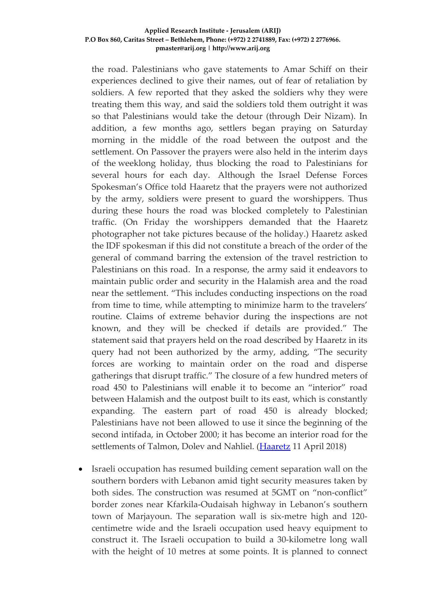the road. Palestinians who gave statements to Amar Schiff on their experiences declined to give their names, out of fear of retaliation by soldiers. A few reported that they asked the soldiers why they were treating them this way, and said the soldiers told them outright it was so that Palestinians would take the detour (through Deir Nizam). In addition, a few months ago, settlers began praying on Saturday morning in the middle of the road between the outpost and the settlement. On Passover the prayers were also held in the interim days of the weeklong holiday, thus blocking the road to Palestinians for several hours for each day. Although the Israel Defense Forces Spokesman's Office told Haaretz that the prayers were not authorized by the army, soldiers were present to guard the worshippers. Thus during these hours the road was blocked completely to Palestinian traffic. (On Friday the worshippers demanded that the Haaretz photographer not take pictures because of the holiday.) Haaretz asked the IDF spokesman if this did not constitute a breach of the order of the general of command barring the extension of the travel restriction to Palestinians on this road. In a response, the army said it endeavors to maintain public order and security in the Halamish area and the road near the settlement. "This includes conducting inspections on the road from time to time, while attempting to minimize harm to the travelers' routine. Claims of extreme behavior during the inspections are not known, and they will be checked if details are provided." The statement said that prayers held on the road described by Haaretz in its query had not been authorized by the army, adding, "The security forces are working to maintain order on the road and disperse gatherings that disrupt traffic." The closure of a few hundred meters of road 450 to Palestinians will enable it to become an "interior" road between Halamish and the outpost built to its east, which is constantly expanding. The eastern part of road 450 is already blocked; Palestinians have not been allowed to use it since the beginning of the second intifada, in October 2000; it has become an interior road for the settlements of Talmon, Dolev and Nahliel. [\(Haaretz](https://www.haaretz.com/israel-news/.premium-palestinians-barred-from-road-linking-villages-in-the-west-bank-1.5990900) 11 April 2018)

• Israeli occupation has resumed building cement separation wall on the southern borders with Lebanon amid tight security measures taken by both sides. The construction was resumed at 5GMT on "non-conflict" border zones near Kfarkila-Oudaisah highway in Lebanon's southern town of Marjayoun. The separation wall is six-metre high and 120 centimetre wide and the Israeli occupation used heavy equipment to construct it. The Israeli occupation to build a 30-kilometre long wall with the height of 10 metres at some points. It is planned to connect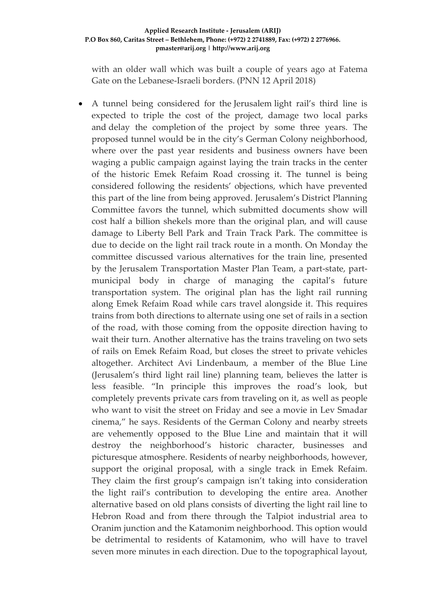with an older wall which was built a couple of years ago at Fatema Gate on the Lebanese-Israeli borders. (PNN 12 April 2018)

• A tunnel being considered for the Jerusalem light rail's third line is expected to triple the cost of the project, damage two local parks and delay the completion of the project by some three years. The proposed tunnel would be in the city's German Colony neighborhood, where over the past year residents and business owners have been waging a public campaign against laying the train tracks in the center of the historic Emek Refaim Road crossing it. The tunnel is being considered following the residents' objections, which have prevented this part of the line from being approved. Jerusalem's District Planning Committee favors the tunnel, which submitted documents show will cost half a billion shekels more than the original plan, and will cause damage to Liberty Bell Park and Train Track Park. The committee is due to decide on the light rail track route in a month. On Monday the committee discussed various alternatives for the train line, presented by the Jerusalem Transportation Master Plan Team, a part-state, partmunicipal body in charge of managing the capital's future transportation system. The original plan has the light rail running along Emek Refaim Road while cars travel alongside it. This requires trains from both directions to alternate using one set of rails in a section of the road, with those coming from the opposite direction having to wait their turn. Another alternative has the trains traveling on two sets of rails on Emek Refaim Road, but closes the street to private vehicles altogether. Architect Avi Lindenbaum, a member of the Blue Line (Jerusalem's third light rail line) planning team, believes the latter is less feasible. "In principle this improves the road's look, but completely prevents private cars from traveling on it, as well as people who want to visit the street on Friday and see a movie in Lev Smadar cinema," he says. Residents of the German Colony and nearby streets are vehemently opposed to the Blue Line and maintain that it will destroy the neighborhood's historic character, businesses and picturesque atmosphere. Residents of nearby neighborhoods, however, support the original proposal, with a single track in Emek Refaim. They claim the first group's campaign isn't taking into consideration the light rail's contribution to developing the entire area. Another alternative based on old plans consists of diverting the light rail line to Hebron Road and from there through the Talpiot industrial area to Oranim junction and the Katamonim neighborhood. This option would be detrimental to residents of Katamonim, who will have to travel seven more minutes in each direction. Due to the topographical layout,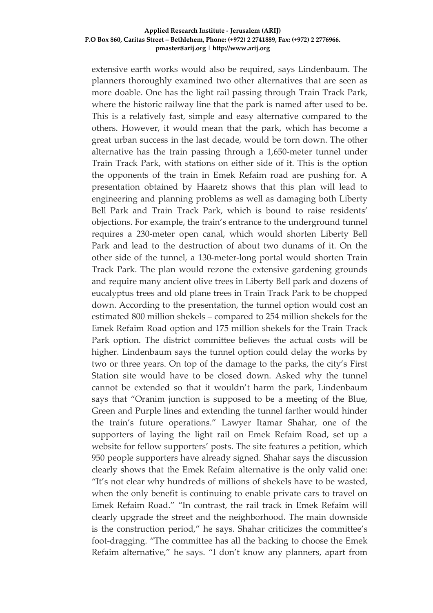extensive earth works would also be required, says Lindenbaum. The planners thoroughly examined two other alternatives that are seen as more doable. One has the light rail passing through Train Track Park, where the historic railway line that the park is named after used to be. This is a relatively fast, simple and easy alternative compared to the others. However, it would mean that the park, which has become a great urban success in the last decade, would be torn down. The other alternative has the train passing through a 1,650-meter tunnel under Train Track Park, with stations on either side of it. This is the option the opponents of the train in Emek Refaim road are pushing for. A presentation obtained by Haaretz shows that this plan will lead to engineering and planning problems as well as damaging both Liberty Bell Park and Train Track Park, which is bound to raise residents' objections. For example, the train's entrance to the underground tunnel requires a 230-meter open canal, which would shorten Liberty Bell Park and lead to the destruction of about two dunams of it. On the other side of the tunnel, a 130-meter-long portal would shorten Train Track Park. The plan would rezone the extensive gardening grounds and require many ancient olive trees in Liberty Bell park and dozens of eucalyptus trees and old plane trees in Train Track Park to be chopped down. According to the presentation, the tunnel option would cost an estimated 800 million shekels – compared to 254 million shekels for the Emek Refaim Road option and 175 million shekels for the Train Track Park option. The district committee believes the actual costs will be higher. Lindenbaum says the tunnel option could delay the works by two or three years. On top of the damage to the parks, the city's First Station site would have to be closed down. Asked why the tunnel cannot be extended so that it wouldn't harm the park, Lindenbaum says that "Oranim junction is supposed to be a meeting of the Blue, Green and Purple lines and extending the tunnel farther would hinder the train's future operations." Lawyer Itamar Shahar, one of the supporters of laying the light rail on Emek Refaim Road, set up a website for fellow supporters' posts. The site features a petition, which 950 people supporters have already signed. Shahar says the discussion clearly shows that the Emek Refaim alternative is the only valid one: "It's not clear why hundreds of millions of shekels have to be wasted, when the only benefit is continuing to enable private cars to travel on Emek Refaim Road." "In contrast, the rail track in Emek Refaim will clearly upgrade the street and the neighborhood. The main downside is the construction period," he says. Shahar criticizes the committee's foot-dragging. "The committee has all the backing to choose the Emek Refaim alternative," he says. "I don't know any planners, apart from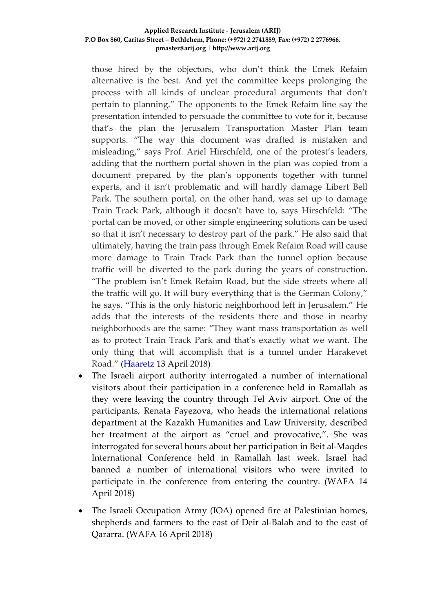those hired by the objectors, who don't think the Emek Refaim alternative is the best. And yet the committee keeps prolonging the process with all kinds of unclear procedural arguments that don't pertain to planning." The opponents to the Emek Refaim line say the presentation intended to persuade the committee to vote for it, because that's the plan the Jerusalem Transportation Master Plan team supports. "The way this document was drafted is mistaken and misleading," says Prof. Ariel Hirschfeld, one of the protest's leaders, adding that the northern portal shown in the plan was copied from a document prepared by the plan's opponents together with tunnel experts, and it isn't problematic and will hardly damage Libert Bell Park. The southern portal, on the other hand, was set up to damage Train Track Park, although it doesn't have to, says Hirschfeld: "The portal can be moved, or other simple engineering solutions can be used so that it isn't necessary to destroy part of the park." He also said that ultimately, having the train pass through Emek Refaim Road will cause more damage to Train Track Park than the tunnel option because traffic will be diverted to the park during the years of construction. "The problem isn't Emek Refaim Road, but the side streets where all the traffic will go. It will bury everything that is the German Colony," he says. "This is the only historic neighborhood left in Jerusalem." He adds that the interests of the residents there and those in nearby neighborhoods are the same: "They want mass transportation as well as to protect Train Track Park and that's exactly what we want. The only thing that will accomplish that is a tunnel under Harakevet Road." [\(Haaretz](https://www.haaretz.com/israel-news/.premium-proposed-tunnel-for-jerusalem-light-rail-could-triple-project-s-price-1.5994783) 13 April 2018)

- The Israeli airport authority interrogated a number of international visitors about their participation in a conference held in Ramallah as they were leaving the country through Tel Aviv airport. One of the participants, Renata Fayezova, who heads the international relations department at the Kazakh Humanities and Law University, described her treatment at the airport as "cruel and provocative,". She was interrogated for several hours about her participation in Beit al-Maqdes International Conference held in Ramallah last week. Israel had banned a number of international visitors who were invited to participate in the conference from entering the country. (WAFA 14 April 2018)
- The Israeli Occupation Army (IOA) opened fire at Palestinian homes, shepherds and farmers to the east of Deir al-Balah and to the east of Qararra. (WAFA 16 April 2018)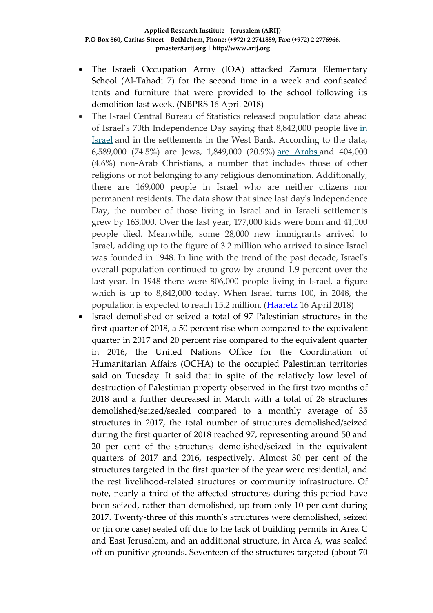- The Israeli Occupation Army (IOA) attacked Zanuta Elementary School (Al-Tahadi 7) for the second time in a week and confiscated tents and furniture that were provided to the school following its demolition last week. (NBPRS 16 April 2018)
- The Israel Central Bureau of Statistics released population data ahead of Israel's 70th Independence Day saying that 8,842,000 people live [in](https://www.haaretz.com/israel-news)  [Israel](https://www.haaretz.com/israel-news) and in the settlements in the West Bank. According to the data, 6,589,000 (74.5%) are Jews, 1,849,000 (20.9%) [are Arabs](https://www.haaretz.com/israel-news/army-presents-figures-showing-arab-majority-in-israel-territories-1.5940676) and 404,000 (4.6%) non-Arab Christians, a number that includes those of other religions or not belonging to any religious denomination. Additionally, there are 169,000 people in Israel who are neither citizens nor permanent residents. The data show that since last day's Independence Day, the number of those living in Israel and in Israeli settlements grew by 163,000. Over the last year, 177,000 kids were born and 41,000 people died. Meanwhile, some 28,000 new immigrants arrived to Israel, adding up to the figure of 3.2 million who arrived to since Israel was founded in 1948. In line with the trend of the past decade, Israel's overall population continued to grow by around 1.9 percent over the last year. In 1948 there were 806,000 people living in Israel, a figure which is up to 8,842,000 today. When Israel turns 100, in 2048, the population is expected to reach 15.2 million. [\(Haaretz](https://www.haaretz.com/israel-news/.premium-israel-s-population-reaches-8-842-000-ahead-of-70th-anniversary-1.6008629) 16 April 2018)
- Israel demolished or seized a total of 97 Palestinian structures in the first quarter of 2018, a 50 percent rise when compared to the equivalent quarter in 2017 and 20 percent rise compared to the equivalent quarter in 2016, the United Nations Office for the Coordination of Humanitarian Affairs (OCHA) to the occupied Palestinian territories said on Tuesday. It said that in spite of the relatively low level of destruction of Palestinian property observed in the first two months of 2018 and a further decreased in March with a total of 28 structures demolished/seized/sealed compared to a monthly average of 35 structures in 2017, the total number of structures demolished/seized during the first quarter of 2018 reached 97, representing around 50 and 20 per cent of the structures demolished/seized in the equivalent quarters of 2017 and 2016, respectively. Almost 30 per cent of the structures targeted in the first quarter of the year were residential, and the rest livelihood-related structures or community infrastructure. Of note, nearly a third of the affected structures during this period have been seized, rather than demolished, up from only 10 per cent during 2017. Twenty-three of this month's structures were demolished, seized or (in one case) sealed off due to the lack of building permits in Area C and East Jerusalem, and an additional structure, in Area A, was sealed off on punitive grounds. Seventeen of the structures targeted (about 70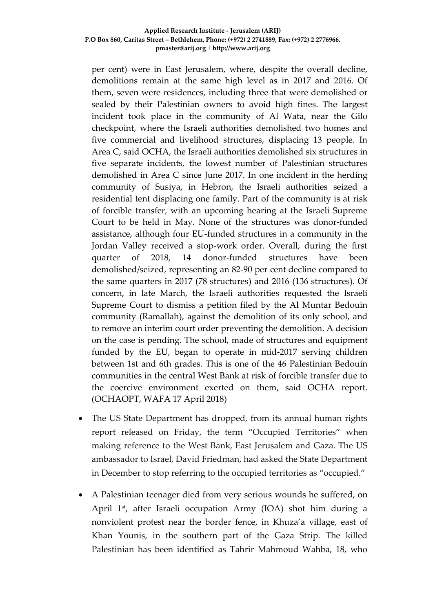per cent) were in East Jerusalem, where, despite the overall decline, demolitions remain at the same high level as in 2017 and 2016. Of them, seven were residences, including three that were demolished or sealed by their Palestinian owners to avoid high fines. The largest incident took place in the community of Al Wata, near the Gilo checkpoint, where the Israeli authorities demolished two homes and five commercial and livelihood structures, displacing 13 people. In Area C, said OCHA, the Israeli authorities demolished six structures in five separate incidents, the lowest number of Palestinian structures demolished in Area C since June 2017. In one incident in the herding community of Susiya, in Hebron, the Israeli authorities seized a residential tent displacing one family. Part of the community is at risk of forcible transfer, with an upcoming hearing at the Israeli Supreme Court to be held in May. None of the structures was donor-funded assistance, although four EU-funded structures in a community in the Jordan Valley received a stop-work order. Overall, during the first quarter of 2018, 14 donor-funded structures have been demolished/seized, representing an 82-90 per cent decline compared to the same quarters in 2017 (78 structures) and 2016 (136 structures). Of concern, in late March, the Israeli authorities requested the Israeli Supreme Court to dismiss a petition filed by the Al Muntar Bedouin community (Ramallah), against the demolition of its only school, and to remove an interim court order preventing the demolition. A decision on the case is pending. The school, made of structures and equipment funded by the EU, began to operate in mid-2017 serving children between 1st and 6th grades. This is one of the 46 Palestinian Bedouin communities in the central West Bank at risk of forcible transfer due to the coercive environment exerted on them, said OCHA report. (OCHAOPT, WAFA 17 April 2018)

- The US State Department has dropped, from its annual human rights report released on Friday, the term "Occupied Territories" when making reference to the West Bank, East Jerusalem and Gaza. The US ambassador to Israel, David Friedman, had asked the State Department in December to stop referring to the occupied territories as "occupied."
- A Palestinian teenager died from very serious wounds he suffered, on April 1<sup>st</sup>, after Israeli occupation Army (IOA) shot him during a nonviolent protest near the border fence, in Khuza'a village, east of Khan Younis, in the southern part of the Gaza Strip. The killed Palestinian has been identified as Tahrir Mahmoud Wahba, 18, who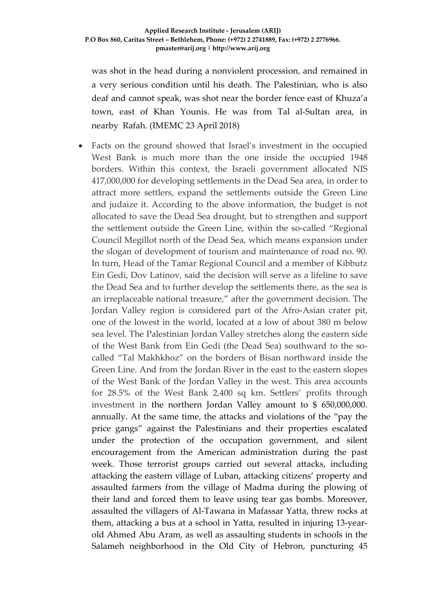was shot in the head during a nonviolent procession, and remained in a very serious condition until his death. The Palestinian, who is also deaf and cannot speak, was shot near the border fence east of Khuza'a town, east of Khan Younis. He was from Tal al-Sultan area, in nearby Rafah. (IMEMC 23 April 2018)

Facts on the ground showed that Israel's investment in the occupied West Bank is much more than the one inside the occupied 1948 borders. Within this context, the Israeli government allocated NIS 417,000,000 for developing settlements in the Dead Sea area, in order to attract more settlers, expand the settlements outside the Green Line and judaize it. According to the above information, the budget is not allocated to save the Dead Sea drought, but to strengthen and support the settlement outside the Green Line, within the so-called "Regional Council Megillot north of the Dead Sea, which means expansion under the slogan of development of tourism and maintenance of road no. 90. In turn, Head of the Tamar Regional Council and a member of Kibbutz Ein Gedi, Dov Latinov, said the decision will serve as a lifeline to save the Dead Sea and to further develop the settlements there, as the sea is an irreplaceable national treasure," after the government decision. The Jordan Valley region is considered part of the Afro-Asian crater pit, one of the lowest in the world, located at a low of about 380 m below sea level. The Palestinian Jordan Valley stretches along the eastern side of the West Bank from Ein Gedi (the Dead Sea) southward to the socalled "Tal Makhkhoz" on the borders of Bisan northward inside the Green Line. And from the Jordan River in the east to the eastern slopes of the West Bank of the Jordan Valley in the west. This area accounts for 28.5% of the West Bank 2,400 sq km. Settlers' profits through investment in the northern Jordan Valley amount to \$ 650,000,000. annually. At the same time, the attacks and violations of the "pay the price gangs" against the Palestinians and their properties escalated under the protection of the occupation government, and silent encouragement from the American administration during the past week. Those terrorist groups carried out several attacks, including attacking the eastern village of Luban, attacking citizens' property and assaulted farmers from the village of Madma during the plowing of their land and forced them to leave using tear gas bombs. Moreover, assaulted the villagers of Al-Tawana in Mafassar Yatta, threw rocks at them, attacking a bus at a school in Yatta, resulted in injuring 13-yearold Ahmed Abu Aram, as well as assaulting students in schools in the Salameh neighborhood in the Old City of Hebron, puncturing 45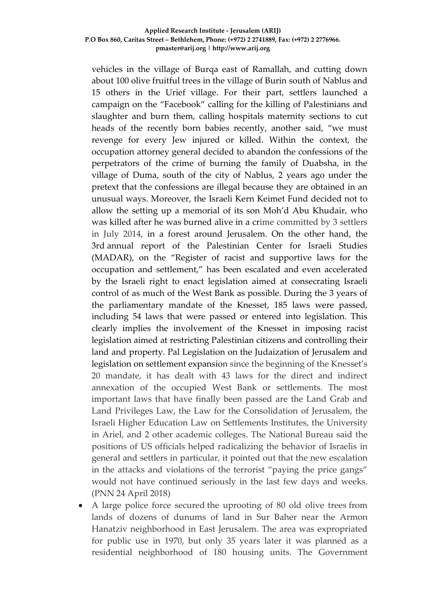vehicles in the village of Burqa east of Ramallah, and cutting down about 100 olive fruitful trees in the village of Burin south of Nablus and 15 others in the Urief village. For their part, settlers launched a campaign on the "Facebook" calling for the killing of Palestinians and slaughter and burn them, calling hospitals maternity sections to cut heads of the recently born babies recently, another said, "we must revenge for every Jew injured or killed. Within the context, the occupation attorney general decided to abandon the confessions of the perpetrators of the crime of burning the family of Duabsha, in the village of Duma, south of the city of Nablus, 2 years ago under the pretext that the confessions are illegal because they are obtained in an unusual ways. Moreover, the Israeli Kern Keimet Fund decided not to allow the setting up a memorial of its son Moh'd Abu Khudair, who was killed after he was burned alive in a crime committed by 3 settlers in July 2014, in a forest around Jerusalem. On the other hand, the 3rd annual report of the Palestinian Center for Israeli Studies (MADAR), on the "Register of racist and supportive laws for the occupation and settlement," has been escalated and even accelerated by the Israeli right to enact legislation aimed at consecrating Israeli control of as much of the West Bank as possible. During the 3 years of the parliamentary mandate of the Knesset, 185 laws were passed, including 54 laws that were passed or entered into legislation. This clearly implies the involvement of the Knesset in imposing racist legislation aimed at restricting Palestinian citizens and controlling their land and property. Pal Legislation on the Judaization of Jerusalem and legislation on settlement expansion since the beginning of the Knesset's 20 mandate, it has dealt with 43 laws for the direct and indirect annexation of the occupied West Bank or settlements. The most important laws that have finally been passed are the Land Grab and Land Privileges Law, the Law for the Consolidation of Jerusalem, the Israeli Higher Education Law on Settlements Institutes, the University in Ariel, and 2 other academic colleges. The National Bureau said the positions of US officials helped radicalizing the behavior of Israelis in general and settlers in particular, it pointed out that the new escalation in the attacks and violations of the terrorist "paying the price gangs" would not have continued seriously in the last few days and weeks. (PNN 24 April 2018)

• A large police force secured the uprooting of 80 old olive trees from lands of dozens of dunums of land in Sur Baher near the Armon Hanatziv neighborhood in East Jerusalem. The area was expropriated for public use in 1970, but only 35 years later it was planned as a residential neighborhood of 180 housing units. The Government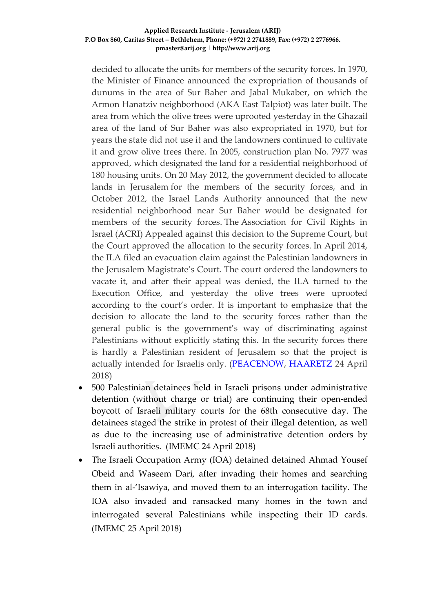decided to allocate the units for members of the security forces. In 1970, the Minister of Finance announced the expropriation of thousands of dunums in the area of Sur Baher and Jabal Mukaber, on which the Armon Hanatziv neighborhood (AKA East Talpiot) was later built. The area from which the olive trees were uprooted yesterday in the Ghazail area of the land of Sur Baher was also expropriated in 1970, but for years the state did not use it and the landowners continued to cultivate it and grow olive trees there. In 2005, construction plan No. 7977 was approved, which designated the land for a residential neighborhood of 180 housing units. On 20 May 2012, the government decided to allocate lands in Jerusalem for the members of the security forces, and in October 2012, the Israel Lands Authority announced that the new residential neighborhood near Sur Baher would be designated for members of the security forces. The Association for Civil Rights in Israel (ACRI) Appealed against this decision to the Supreme Court, but the Court approved the allocation to the security forces. In April 2014, the ILA filed an evacuation claim against the Palestinian landowners in the Jerusalem Magistrate's Court. The court ordered the landowners to vacate it, and after their appeal was denied, the ILA turned to the Execution Office, and yesterday the olive trees were uprooted according to the court's order. It is important to emphasize that the decision to allocate the land to the security forces rather than the general public is the government's way of discriminating against Palestinians without explicitly stating this. In the security forces there is hardly a Palestinian resident of Jerusalem so that the project is actually intended for Israelis only. [\(PEACENOW,](http://peacenow.org.il/en/sur-baher-uprooting) [HAARETZ](https://www.haaretz.com/israel-news/.premium-new-neighborhood-to-be-built-on-expropriated-east-jerusalem-land-1.6028905) 24 April 2018)

- 500 Palestinian detainees held in Israeli prisons under administrative detention (without charge or trial) are continuing their open-ended boycott of Israeli military courts for the 68th consecutive day. The detainees staged the strike in protest of their illegal detention, as well as due to the increasing use of administrative detention orders by Israeli authorities. (IMEMC 24 April 2018)
- The Israeli Occupation Army (IOA) detained detained Ahmad Yousef Obeid and Waseem Dari, after invading their homes and searching them in al-'Isawiya, and moved them to an interrogation facility. The IOA also invaded and ransacked many homes in the town and interrogated several Palestinians while inspecting their ID cards. (IMEMC 25 April 2018)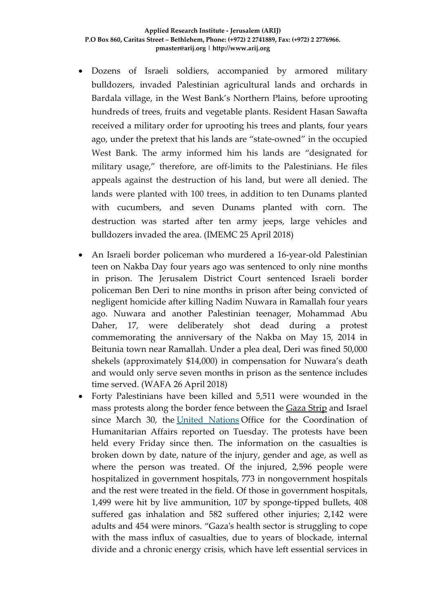- Dozens of Israeli soldiers, accompanied by armored military bulldozers, invaded Palestinian agricultural lands and orchards in Bardala village, in the West Bank's Northern Plains, before uprooting hundreds of trees, fruits and vegetable plants. Resident Hasan Sawafta received a military order for uprooting his trees and plants, four years ago, under the pretext that his lands are "state-owned" in the occupied West Bank. The army informed him his lands are "designated for military usage," therefore, are off-limits to the Palestinians. He files appeals against the destruction of his land, but were all denied. The lands were planted with 100 trees, in addition to ten Dunams planted with cucumbers, and seven Dunams planted with corn. The destruction was started after ten army jeeps, large vehicles and bulldozers invaded the area. (IMEMC 25 April 2018)
- An Israeli border policeman who murdered a 16-year-old Palestinian teen on Nakba Day four years ago was sentenced to only nine months in prison. The Jerusalem District Court sentenced Israeli border policeman Ben Deri to nine months in prison after being convicted of negligent homicide after killing Nadim Nuwara in Ramallah four years ago. Nuwara and another Palestinian teenager, Mohammad Abu Daher, 17, were deliberately shot dead during a protest commemorating the anniversary of the Nakba on May 15, 2014 in Beitunia town near Ramallah. Under a plea deal, Deri was fined 50,000 shekels (approximately \$14,000) in compensation for Nuwara's death and would only serve seven months in prison as the sentence includes time served. (WAFA 26 April 2018)
- Forty Palestinians have been killed and 5,511 were wounded in the mass protests along the border fence between the [Gaza Strip](https://www.haaretz.com/misc/tags/gaza-1.5599001) and Israel since March 30, the [United Nations](https://www.haaretz.com/misc/tags/un-1.5598959) Office for the Coordination of Humanitarian Affairs reported on Tuesday. The protests have been held every Friday since then. The information on the casualties is broken down by date, nature of the injury, gender and age, as well as where the person was treated. Of the injured, 2,596 people were hospitalized in government hospitals, 773 in nongovernment hospitals and the rest were treated in the field. Of those in government hospitals, 1,499 were hit by live ammunition, 107 by sponge-tipped bullets, 408 suffered gas inhalation and 582 suffered other injuries; 2,142 were adults and 454 were minors. "Gaza's health sector is struggling to cope with the mass influx of casualties, due to years of blockade, internal divide and a chronic energy crisis, which have left essential services in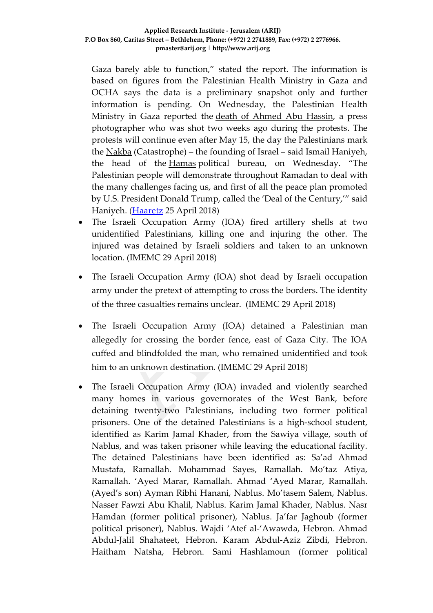Gaza barely able to function," stated the report. The information is based on figures from the Palestinian Health Ministry in Gaza and OCHA says the data is a preliminary snapshot only and further information is pending. On Wednesday, the Palestinian Health Ministry in Gaza reported the [death of Ahmed Abu Hassin,](https://www.haaretz.com/middle-east-news/palestinians/second-gazan-journalist-shot-by-israel-dies-of-wounds-1.6029983) a press photographer who was shot two weeks ago during the protests. The protests will continue even after May 15, the day the Palestinians mark the [Nakba](https://www.haaretz.com/misc/tags/nakba-1.5599071) (Catastrophe) – the founding of Israel – said Ismail Haniyeh, the head of the [Hamas](https://www.haaretz.com/misc/tags/hamas-1.5598922) political bureau, on Wednesday. "The Palestinian people will demonstrate throughout Ramadan to deal with the many challenges facing us, and first of all the peace plan promoted by U.S. President Donald Trump, called the 'Deal of the Century,'" said Haniyeh. [\(Haaretz](https://www.haaretz.com/middle-east-news/palestinians/40-dead-5-511-wounded-un-figures-on-casualties-in-gaza-mass-protests-1.6030556) 25 April 2018)

- The Israeli Occupation Army (IOA) fired artillery shells at two unidentified Palestinians, killing one and injuring the other. The injured was detained by Israeli soldiers and taken to an unknown location. (IMEMC 29 April 2018)
- The Israeli Occupation Army (IOA) shot dead by Israeli occupation army under the pretext of attempting to cross the borders. The identity of the three casualties remains unclear. (IMEMC 29 April 2018)
- The Israeli Occupation Army (IOA) detained a Palestinian man allegedly for crossing the border fence, east of Gaza City. The IOA cuffed and blindfolded the man, who remained unidentified and took him to an unknown destination. (IMEMC 29 April 2018)
- The Israeli Occupation Army (IOA) invaded and violently searched many homes in various governorates of the West Bank, before detaining twenty-two Palestinians, including two former political prisoners. One of the detained Palestinians is a high-school student, identified as Karim Jamal Khader, from the Sawiya village, south of Nablus, and was taken prisoner while leaving the educational facility. The detained Palestinians have been identified as: Sa'ad Ahmad Mustafa, Ramallah. Mohammad Sayes, Ramallah. Mo'taz Atiya, Ramallah. 'Ayed Marar, Ramallah. Ahmad 'Ayed Marar, Ramallah. (Ayed's son) Ayman Ribhi Hanani, Nablus. Mo'tasem Salem, Nablus. Nasser Fawzi Abu Khalil, Nablus. Karim Jamal Khader, Nablus. Nasr Hamdan (former political prisoner), Nablus. Ja'far Jaghoub (former political prisoner), Nablus. Wajdi 'Atef al-'Awawda, Hebron. Ahmad Abdul-Jalil Shahateet, Hebron. Karam Abdul-Aziz Zibdi, Hebron. Haitham Natsha, Hebron. Sami Hashlamoun (former political